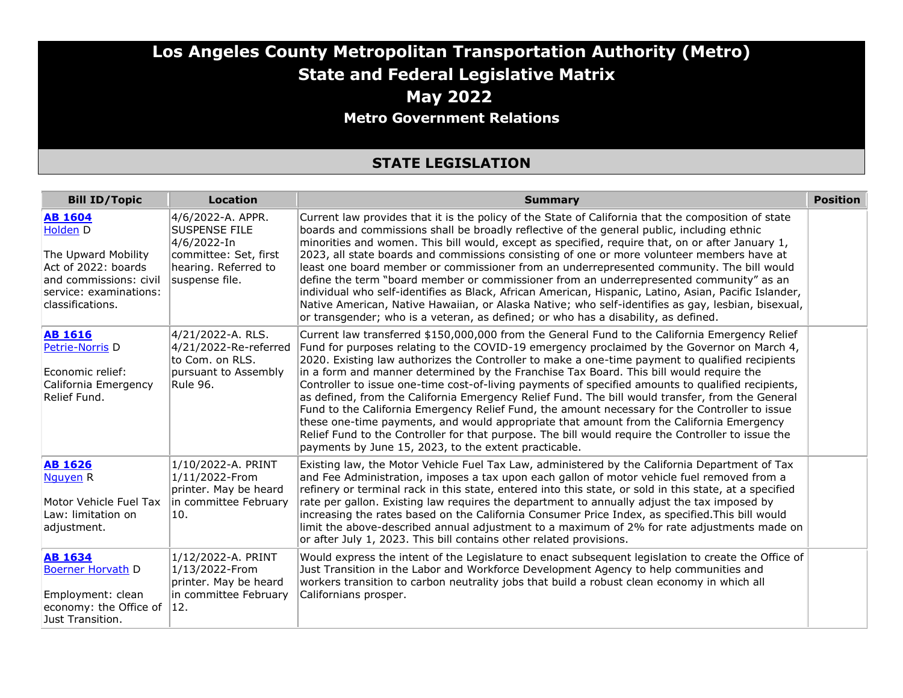## **Los Angeles County Metropolitan Transportation Authority (Metro) State and Federal Legislative Matrix May 2022 Metro Government Relations**

#### **STATE LEGISLATION**

| <b>Bill ID/Topic</b>                                                                                                                             | <b>Location</b>                                                                                                             | <b>Summary</b>                                                                                                                                                                                                                                                                                                                                                                                                                                                                                                                                                                                                                                                                                                                                                                                                                                                                                                                                                     | <b>Position</b> |
|--------------------------------------------------------------------------------------------------------------------------------------------------|-----------------------------------------------------------------------------------------------------------------------------|--------------------------------------------------------------------------------------------------------------------------------------------------------------------------------------------------------------------------------------------------------------------------------------------------------------------------------------------------------------------------------------------------------------------------------------------------------------------------------------------------------------------------------------------------------------------------------------------------------------------------------------------------------------------------------------------------------------------------------------------------------------------------------------------------------------------------------------------------------------------------------------------------------------------------------------------------------------------|-----------------|
| <b>AB 1604</b><br>Holden D<br>The Upward Mobility<br>Act of 2022: boards<br>and commissions: civil<br>service: examinations:<br>classifications. | 4/6/2022-A. APPR.<br><b>SUSPENSE FILE</b><br>4/6/2022-In<br>committee: Set, first<br>hearing. Referred to<br>suspense file. | Current law provides that it is the policy of the State of California that the composition of state<br>boards and commissions shall be broadly reflective of the general public, including ethnic<br>minorities and women. This bill would, except as specified, require that, on or after January 1,<br>2023, all state boards and commissions consisting of one or more volunteer members have at<br>least one board member or commissioner from an underrepresented community. The bill would<br>define the term "board member or commissioner from an underrepresented community" as an<br>individual who self-identifies as Black, African American, Hispanic, Latino, Asian, Pacific Islander,<br>Native American, Native Hawaiian, or Alaska Native; who self-identifies as gay, lesbian, bisexual,<br>or transgender; who is a veteran, as defined; or who has a disability, as defined.                                                                   |                 |
| <b>AB 1616</b><br>Petrie-Norris <sub>D</sub><br>Economic relief:<br>California Emergency<br>Relief Fund.                                         | 4/21/2022-A. RLS.<br>4/21/2022-Re-referred<br>to Com. on RLS.<br>pursuant to Assembly<br>Rule 96.                           | Current law transferred \$150,000,000 from the General Fund to the California Emergency Relief<br>Fund for purposes relating to the COVID-19 emergency proclaimed by the Governor on March 4,<br>2020. Existing law authorizes the Controller to make a one-time payment to qualified recipients<br>in a form and manner determined by the Franchise Tax Board. This bill would require the<br>Controller to issue one-time cost-of-living payments of specified amounts to qualified recipients,<br>as defined, from the California Emergency Relief Fund. The bill would transfer, from the General<br>Fund to the California Emergency Relief Fund, the amount necessary for the Controller to issue<br>these one-time payments, and would appropriate that amount from the California Emergency<br>Relief Fund to the Controller for that purpose. The bill would require the Controller to issue the<br>payments by June 15, 2023, to the extent practicable. |                 |
| <b>AB 1626</b><br>Nguyen R<br>Motor Vehicle Fuel Tax<br>Law: limitation on<br>adjustment.                                                        | 1/10/2022-A. PRINT<br>1/11/2022-From<br>printer. May be heard<br>in committee February<br>10.                               | Existing law, the Motor Vehicle Fuel Tax Law, administered by the California Department of Tax<br>and Fee Administration, imposes a tax upon each gallon of motor vehicle fuel removed from a<br>refinery or terminal rack in this state, entered into this state, or sold in this state, at a specified<br>rate per gallon. Existing law requires the department to annually adjust the tax imposed by<br>increasing the rates based on the California Consumer Price Index, as specified. This bill would<br>limit the above-described annual adjustment to a maximum of 2% for rate adjustments made on<br>or after July 1, 2023. This bill contains other related provisions.                                                                                                                                                                                                                                                                                  |                 |
| <b>AB 1634</b><br><b>Boerner Horvath D</b><br>Employment: clean<br>economy: the Office of<br>Just Transition.                                    | 1/12/2022-A. PRINT<br>1/13/2022-From<br>printer. May be heard<br>in committee February<br> 12.                              | Would express the intent of the Legislature to enact subsequent legislation to create the Office of<br>Just Transition in the Labor and Workforce Development Agency to help communities and<br>workers transition to carbon neutrality jobs that build a robust clean economy in which all<br>Californians prosper.                                                                                                                                                                                                                                                                                                                                                                                                                                                                                                                                                                                                                                               |                 |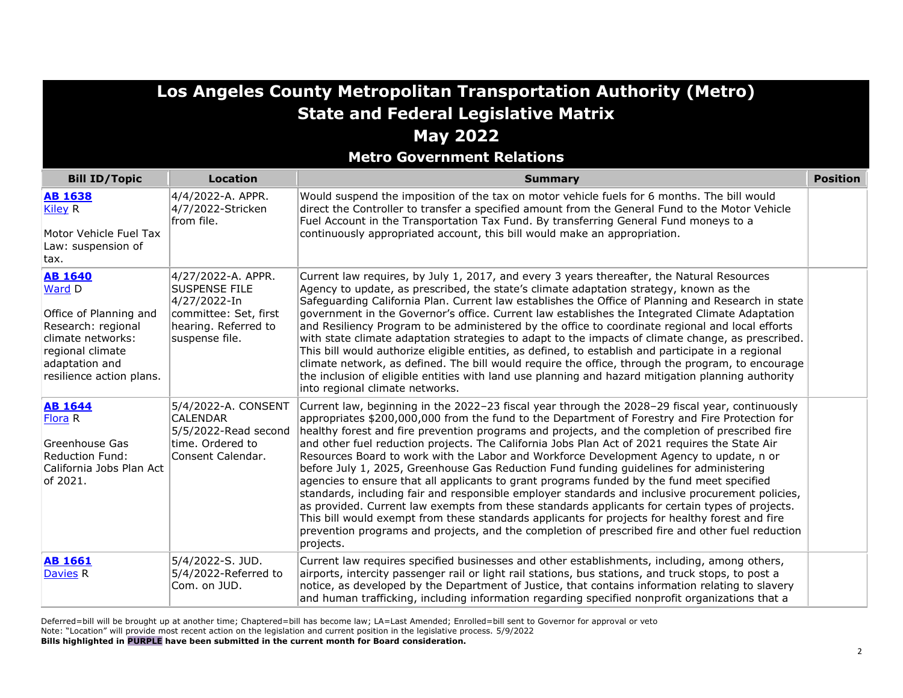| Los Angeles County Metropolitan Transportation Authority (Metro)                                                                                                |                                                                                                                               |                                                                                                                                                                                                                                                                                                                                                                                                                                                                                                                                                                                                                                                                                                                                                                                                                                                                                                                                                                                                                                                                                                                       |                 |
|-----------------------------------------------------------------------------------------------------------------------------------------------------------------|-------------------------------------------------------------------------------------------------------------------------------|-----------------------------------------------------------------------------------------------------------------------------------------------------------------------------------------------------------------------------------------------------------------------------------------------------------------------------------------------------------------------------------------------------------------------------------------------------------------------------------------------------------------------------------------------------------------------------------------------------------------------------------------------------------------------------------------------------------------------------------------------------------------------------------------------------------------------------------------------------------------------------------------------------------------------------------------------------------------------------------------------------------------------------------------------------------------------------------------------------------------------|-----------------|
|                                                                                                                                                                 |                                                                                                                               | <b>State and Federal Legislative Matrix</b>                                                                                                                                                                                                                                                                                                                                                                                                                                                                                                                                                                                                                                                                                                                                                                                                                                                                                                                                                                                                                                                                           |                 |
|                                                                                                                                                                 |                                                                                                                               | <b>May 2022</b>                                                                                                                                                                                                                                                                                                                                                                                                                                                                                                                                                                                                                                                                                                                                                                                                                                                                                                                                                                                                                                                                                                       |                 |
|                                                                                                                                                                 |                                                                                                                               | <b>Metro Government Relations</b>                                                                                                                                                                                                                                                                                                                                                                                                                                                                                                                                                                                                                                                                                                                                                                                                                                                                                                                                                                                                                                                                                     |                 |
| <b>Bill ID/Topic</b>                                                                                                                                            | <b>Location</b>                                                                                                               | <b>Summary</b>                                                                                                                                                                                                                                                                                                                                                                                                                                                                                                                                                                                                                                                                                                                                                                                                                                                                                                                                                                                                                                                                                                        | <b>Position</b> |
| <b>AB 1638</b><br><b>Kiley R</b><br>Motor Vehicle Fuel Tax<br>Law: suspension of<br>tax.                                                                        | 4/4/2022-A. APPR.<br>4/7/2022-Stricken<br>from file.                                                                          | Would suspend the imposition of the tax on motor vehicle fuels for 6 months. The bill would<br>direct the Controller to transfer a specified amount from the General Fund to the Motor Vehicle<br>Fuel Account in the Transportation Tax Fund. By transferring General Fund moneys to a<br>continuously appropriated account, this bill would make an appropriation.                                                                                                                                                                                                                                                                                                                                                                                                                                                                                                                                                                                                                                                                                                                                                  |                 |
| <b>AB 1640</b><br>Ward D<br>Office of Planning and<br>Research: regional<br>climate networks:<br>regional climate<br>adaptation and<br>resilience action plans. | 4/27/2022-A. APPR.<br><b>SUSPENSE FILE</b><br>4/27/2022-In<br>committee: Set, first<br>hearing. Referred to<br>suspense file. | Current law requires, by July 1, 2017, and every 3 years thereafter, the Natural Resources<br>Agency to update, as prescribed, the state's climate adaptation strategy, known as the<br>Safeguarding California Plan. Current law establishes the Office of Planning and Research in state<br>government in the Governor's office. Current law establishes the Integrated Climate Adaptation<br>and Resiliency Program to be administered by the office to coordinate regional and local efforts<br>with state climate adaptation strategies to adapt to the impacts of climate change, as prescribed.<br>This bill would authorize eligible entities, as defined, to establish and participate in a regional<br>climate network, as defined. The bill would require the office, through the program, to encourage<br>the inclusion of eligible entities with land use planning and hazard mitigation planning authority<br>into regional climate networks.                                                                                                                                                           |                 |
| <b>AB 1644</b><br>Flora <sub>R</sub><br>Greenhouse Gas<br><b>Reduction Fund:</b><br>California Jobs Plan Act<br>of 2021.                                        | 5/4/2022-A. CONSENT<br><b>CALENDAR</b><br>5/5/2022-Read second<br>time. Ordered to<br>Consent Calendar.                       | Current law, beginning in the 2022-23 fiscal year through the 2028-29 fiscal year, continuously<br>appropriates \$200,000,000 from the fund to the Department of Forestry and Fire Protection for<br>healthy forest and fire prevention programs and projects, and the completion of prescribed fire<br>and other fuel reduction projects. The California Jobs Plan Act of 2021 requires the State Air<br>Resources Board to work with the Labor and Workforce Development Agency to update, n or<br>before July 1, 2025, Greenhouse Gas Reduction Fund funding guidelines for administering<br>agencies to ensure that all applicants to grant programs funded by the fund meet specified<br>standards, including fair and responsible employer standards and inclusive procurement policies,<br>as provided. Current law exempts from these standards applicants for certain types of projects.<br>This bill would exempt from these standards applicants for projects for healthy forest and fire<br>prevention programs and projects, and the completion of prescribed fire and other fuel reduction<br>projects. |                 |
| <b>AB 1661</b><br><b>Davies R</b>                                                                                                                               | 5/4/2022-S. JUD.<br>5/4/2022-Referred to<br>Com. on JUD.                                                                      | Current law requires specified businesses and other establishments, including, among others,<br>airports, intercity passenger rail or light rail stations, bus stations, and truck stops, to post a<br>notice, as developed by the Department of Justice, that contains information relating to slavery<br>and human trafficking, including information regarding specified nonprofit organizations that a                                                                                                                                                                                                                                                                                                                                                                                                                                                                                                                                                                                                                                                                                                            |                 |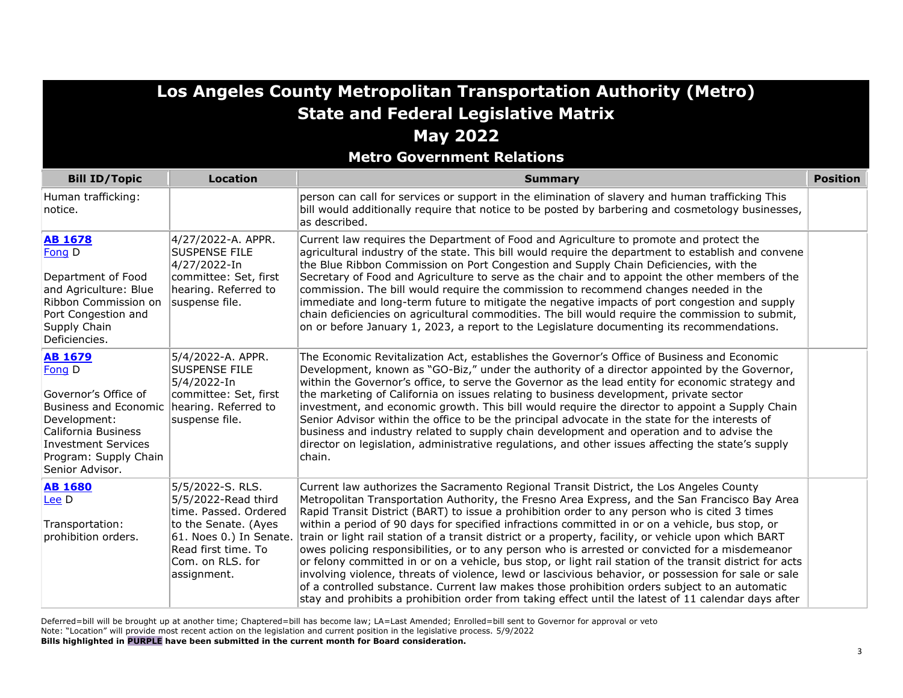**Metro Government Relations**

| <b>Bill ID/Topic</b>                                                                                                                                                                              | <b>Location</b>                                                                                                                                                               | <b>Summary</b>                                                                                                                                                                                                                                                                                                                                                                                                                                                                                                                                                                                                                                                                                                                                                                                                                                                                                                                                                                                                                         | <b>Position</b> |
|---------------------------------------------------------------------------------------------------------------------------------------------------------------------------------------------------|-------------------------------------------------------------------------------------------------------------------------------------------------------------------------------|----------------------------------------------------------------------------------------------------------------------------------------------------------------------------------------------------------------------------------------------------------------------------------------------------------------------------------------------------------------------------------------------------------------------------------------------------------------------------------------------------------------------------------------------------------------------------------------------------------------------------------------------------------------------------------------------------------------------------------------------------------------------------------------------------------------------------------------------------------------------------------------------------------------------------------------------------------------------------------------------------------------------------------------|-----------------|
| Human trafficking:<br>notice.                                                                                                                                                                     |                                                                                                                                                                               | person can call for services or support in the elimination of slavery and human trafficking This<br>bill would additionally require that notice to be posted by barbering and cosmetology businesses,<br>as described.                                                                                                                                                                                                                                                                                                                                                                                                                                                                                                                                                                                                                                                                                                                                                                                                                 |                 |
| <b>AB 1678</b><br>Fong D<br>Department of Food<br>and Agriculture: Blue<br>Ribbon Commission on<br>Port Congestion and<br>Supply Chain<br>Deficiencies.                                           | 4/27/2022-A. APPR.<br><b>SUSPENSE FILE</b><br>4/27/2022-In<br>committee: Set, first<br>hearing. Referred to<br>suspense file.                                                 | Current law requires the Department of Food and Agriculture to promote and protect the<br>agricultural industry of the state. This bill would require the department to establish and convene<br>the Blue Ribbon Commission on Port Congestion and Supply Chain Deficiencies, with the<br>Secretary of Food and Agriculture to serve as the chair and to appoint the other members of the<br>commission. The bill would require the commission to recommend changes needed in the<br>immediate and long-term future to mitigate the negative impacts of port congestion and supply<br>chain deficiencies on agricultural commodities. The bill would require the commission to submit,<br>on or before January 1, 2023, a report to the Legislature documenting its recommendations.                                                                                                                                                                                                                                                   |                 |
| <b>AB 1679</b><br>Fong D<br>Governor's Office of<br><b>Business and Economic</b><br>Development:<br>California Business<br><b>Investment Services</b><br>Program: Supply Chain<br>Senior Advisor. | 5/4/2022-A. APPR.<br><b>SUSPENSE FILE</b><br>5/4/2022-In<br>committee: Set, first<br>hearing. Referred to<br>suspense file.                                                   | The Economic Revitalization Act, establishes the Governor's Office of Business and Economic<br>Development, known as "GO-Biz," under the authority of a director appointed by the Governor,<br>within the Governor's office, to serve the Governor as the lead entity for economic strategy and<br>the marketing of California on issues relating to business development, private sector<br>investment, and economic growth. This bill would require the director to appoint a Supply Chain<br>Senior Advisor within the office to be the principal advocate in the state for the interests of<br>business and industry related to supply chain development and operation and to advise the<br>director on legislation, administrative regulations, and other issues affecting the state's supply<br>chain.                                                                                                                                                                                                                           |                 |
| <b>AB 1680</b><br>Lee D<br>Transportation:<br>prohibition orders.                                                                                                                                 | 5/5/2022-S. RLS.<br>5/5/2022-Read third<br>time. Passed. Ordered<br>to the Senate. (Ayes<br>61. Noes 0.) In Senate.<br>Read first time. To<br>Com. on RLS. for<br>assignment. | Current law authorizes the Sacramento Regional Transit District, the Los Angeles County<br>Metropolitan Transportation Authority, the Fresno Area Express, and the San Francisco Bay Area<br>Rapid Transit District (BART) to issue a prohibition order to any person who is cited 3 times<br>within a period of 90 days for specified infractions committed in or on a vehicle, bus stop, or<br>train or light rail station of a transit district or a property, facility, or vehicle upon which BART<br>owes policing responsibilities, or to any person who is arrested or convicted for a misdemeanor<br>or felony committed in or on a vehicle, bus stop, or light rail station of the transit district for acts<br>involving violence, threats of violence, lewd or lascivious behavior, or possession for sale or sale<br>of a controlled substance. Current law makes those prohibition orders subject to an automatic<br>stay and prohibits a prohibition order from taking effect until the latest of 11 calendar days after |                 |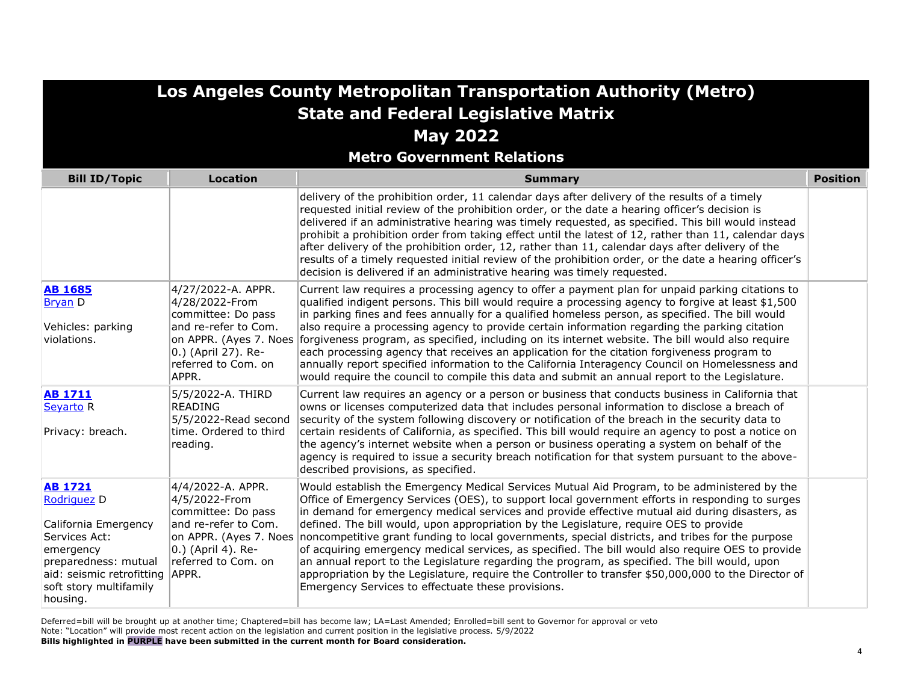| Los Angeles County Metropolitan Transportation Authority (Metro)                                                                                                                     |                                                                                                                                                                     |                                                                                                                                                                                                                                                                                                                                                                                                                                                                                                                                                                                                                                                                                                                                                                                                                                                                     |                 |
|--------------------------------------------------------------------------------------------------------------------------------------------------------------------------------------|---------------------------------------------------------------------------------------------------------------------------------------------------------------------|---------------------------------------------------------------------------------------------------------------------------------------------------------------------------------------------------------------------------------------------------------------------------------------------------------------------------------------------------------------------------------------------------------------------------------------------------------------------------------------------------------------------------------------------------------------------------------------------------------------------------------------------------------------------------------------------------------------------------------------------------------------------------------------------------------------------------------------------------------------------|-----------------|
|                                                                                                                                                                                      |                                                                                                                                                                     | <b>State and Federal Legislative Matrix</b>                                                                                                                                                                                                                                                                                                                                                                                                                                                                                                                                                                                                                                                                                                                                                                                                                         |                 |
|                                                                                                                                                                                      |                                                                                                                                                                     | <b>May 2022</b>                                                                                                                                                                                                                                                                                                                                                                                                                                                                                                                                                                                                                                                                                                                                                                                                                                                     |                 |
|                                                                                                                                                                                      |                                                                                                                                                                     | <b>Metro Government Relations</b>                                                                                                                                                                                                                                                                                                                                                                                                                                                                                                                                                                                                                                                                                                                                                                                                                                   |                 |
| <b>Bill ID/Topic</b>                                                                                                                                                                 | <b>Location</b>                                                                                                                                                     | <b>Summary</b>                                                                                                                                                                                                                                                                                                                                                                                                                                                                                                                                                                                                                                                                                                                                                                                                                                                      | <b>Position</b> |
|                                                                                                                                                                                      |                                                                                                                                                                     | delivery of the prohibition order, 11 calendar days after delivery of the results of a timely<br>requested initial review of the prohibition order, or the date a hearing officer's decision is<br>delivered if an administrative hearing was timely requested, as specified. This bill would instead<br>prohibit a prohibition order from taking effect until the latest of 12, rather than 11, calendar days<br>after delivery of the prohibition order, 12, rather than 11, calendar days after delivery of the<br>results of a timely requested initial review of the prohibition order, or the date a hearing officer's<br>decision is delivered if an administrative hearing was timely requested.                                                                                                                                                            |                 |
| <b>AB 1685</b><br><b>Bryan</b> D<br>Vehicles: parking<br>violations.                                                                                                                 | 4/27/2022-A. APPR.<br>4/28/2022-From<br>committee: Do pass<br>and re-refer to Com.<br>on APPR. (Ayes 7. Noes<br>0.) (April 27). Re-<br>referred to Com. on<br>APPR. | Current law requires a processing agency to offer a payment plan for unpaid parking citations to<br>qualified indigent persons. This bill would require a processing agency to forgive at least \$1,500<br>in parking fines and fees annually for a qualified homeless person, as specified. The bill would<br>also require a processing agency to provide certain information regarding the parking citation<br>forgiveness program, as specified, including on its internet website. The bill would also require<br>each processing agency that receives an application for the citation forgiveness program to<br>annually report specified information to the California Interagency Council on Homelessness and<br>would require the council to compile this data and submit an annual report to the Legislature.                                              |                 |
| <b>AB 1711</b><br>Seyarto <sub>R</sub><br>Privacy: breach.                                                                                                                           | 5/5/2022-A. THIRD<br><b>READING</b><br>5/5/2022-Read second<br>time. Ordered to third<br>reading.                                                                   | Current law requires an agency or a person or business that conducts business in California that<br>owns or licenses computerized data that includes personal information to disclose a breach of<br>security of the system following discovery or notification of the breach in the security data to<br>certain residents of California, as specified. This bill would require an agency to post a notice on<br>the agency's internet website when a person or business operating a system on behalf of the<br>agency is required to issue a security breach notification for that system pursuant to the above-<br>described provisions, as specified.                                                                                                                                                                                                            |                 |
| <b>AB 1721</b><br>Rodriguez D<br>California Emergency<br>Services Act:<br>emergency<br>preparedness: mutual<br>aid: seismic retrofitting APPR.<br>soft story multifamily<br>housing. | 4/4/2022-A. APPR.<br>4/5/2022-From<br>committee: Do pass<br>and re-refer to Com.<br>on APPR. (Ayes 7. Noes<br>0.) (April 4). Re-<br>referred to Com. on             | Would establish the Emergency Medical Services Mutual Aid Program, to be administered by the<br>Office of Emergency Services (OES), to support local government efforts in responding to surges<br>in demand for emergency medical services and provide effective mutual aid during disasters, as<br>defined. The bill would, upon appropriation by the Legislature, require OES to provide<br>noncompetitive grant funding to local governments, special districts, and tribes for the purpose<br>of acquiring emergency medical services, as specified. The bill would also require OES to provide<br>an annual report to the Legislature regarding the program, as specified. The bill would, upon<br>appropriation by the Legislature, require the Controller to transfer \$50,000,000 to the Director of<br>Emergency Services to effectuate these provisions. |                 |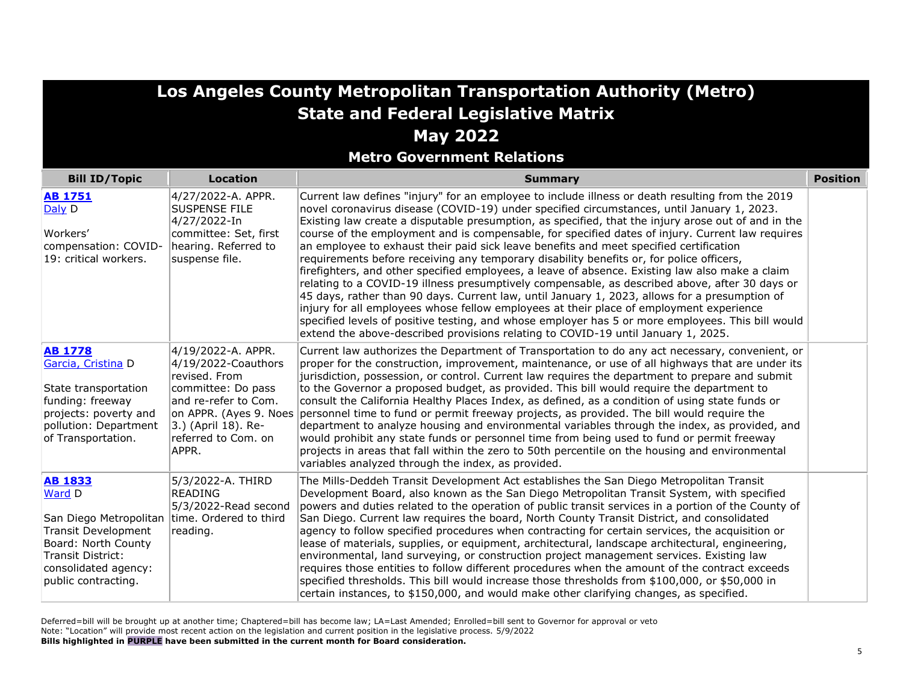**Metro Government Relations**

| <b>Bill ID/Topic</b>                                                                                                                                                 | Location                                                                                                                                                                                  | <b>Summary</b>                                                                                                                                                                                                                                                                                                                                                                                                                                                                                                                                                                                                                                                                                                                                                                                                                                                                                                                                                                                                                                                                                                                                                                             | <b>Position</b> |
|----------------------------------------------------------------------------------------------------------------------------------------------------------------------|-------------------------------------------------------------------------------------------------------------------------------------------------------------------------------------------|--------------------------------------------------------------------------------------------------------------------------------------------------------------------------------------------------------------------------------------------------------------------------------------------------------------------------------------------------------------------------------------------------------------------------------------------------------------------------------------------------------------------------------------------------------------------------------------------------------------------------------------------------------------------------------------------------------------------------------------------------------------------------------------------------------------------------------------------------------------------------------------------------------------------------------------------------------------------------------------------------------------------------------------------------------------------------------------------------------------------------------------------------------------------------------------------|-----------------|
| <b>AB 1751</b><br>Daly D<br>Workers'<br>compensation: COVID-<br>19: critical workers.                                                                                | 4/27/2022-A. APPR.<br><b>SUSPENSE FILE</b><br>4/27/2022-In<br>committee: Set, first<br>hearing. Referred to<br>suspense file.                                                             | Current law defines "injury" for an employee to include illness or death resulting from the 2019<br>novel coronavirus disease (COVID-19) under specified circumstances, until January 1, 2023.<br>Existing law create a disputable presumption, as specified, that the injury arose out of and in the<br>course of the employment and is compensable, for specified dates of injury. Current law requires<br>an employee to exhaust their paid sick leave benefits and meet specified certification<br>requirements before receiving any temporary disability benefits or, for police officers,<br>firefighters, and other specified employees, a leave of absence. Existing law also make a claim<br>relating to a COVID-19 illness presumptively compensable, as described above, after 30 days or<br>45 days, rather than 90 days. Current law, until January 1, 2023, allows for a presumption of<br>injury for all employees whose fellow employees at their place of employment experience<br>specified levels of positive testing, and whose employer has 5 or more employees. This bill would<br>extend the above-described provisions relating to COVID-19 until January 1, 2025. |                 |
| <b>AB 1778</b><br>Garcia, Cristina D<br>State transportation<br>funding: freeway<br>projects: poverty and<br>pollution: Department<br>of Transportation.             | 4/19/2022-A. APPR.<br>4/19/2022-Coauthors<br>revised. From<br>committee: Do pass<br>and re-refer to Com.<br>on APPR. (Ayes 9. Noes<br>3.) (April 18). Re-<br>referred to Com. on<br>APPR. | Current law authorizes the Department of Transportation to do any act necessary, convenient, or<br>proper for the construction, improvement, maintenance, or use of all highways that are under its<br>jurisdiction, possession, or control. Current law requires the department to prepare and submit<br>to the Governor a proposed budget, as provided. This bill would require the department to<br>consult the California Healthy Places Index, as defined, as a condition of using state funds or<br>personnel time to fund or permit freeway projects, as provided. The bill would require the<br>department to analyze housing and environmental variables through the index, as provided, and<br>would prohibit any state funds or personnel time from being used to fund or permit freeway<br>projects in areas that fall within the zero to 50th percentile on the housing and environmental<br>variables analyzed through the index, as provided.                                                                                                                                                                                                                               |                 |
| <b>AB 1833</b><br>Ward D<br>San Diego Metropolitan<br>Transit Development<br>Board: North County<br>Transit District:<br>consolidated agency:<br>public contracting. | 5/3/2022-A. THIRD<br><b>READING</b><br>5/3/2022-Read second<br>time. Ordered to third<br>reading.                                                                                         | The Mills-Deddeh Transit Development Act establishes the San Diego Metropolitan Transit<br>Development Board, also known as the San Diego Metropolitan Transit System, with specified<br>powers and duties related to the operation of public transit services in a portion of the County of<br>San Diego. Current law requires the board, North County Transit District, and consolidated<br>agency to follow specified procedures when contracting for certain services, the acquisition or<br>lease of materials, supplies, or equipment, architectural, landscape architectural, engineering,<br>environmental, land surveying, or construction project management services. Existing law<br>requires those entities to follow different procedures when the amount of the contract exceeds<br>specified thresholds. This bill would increase those thresholds from \$100,000, or \$50,000 in<br>certain instances, to \$150,000, and would make other clarifying changes, as specified.                                                                                                                                                                                               |                 |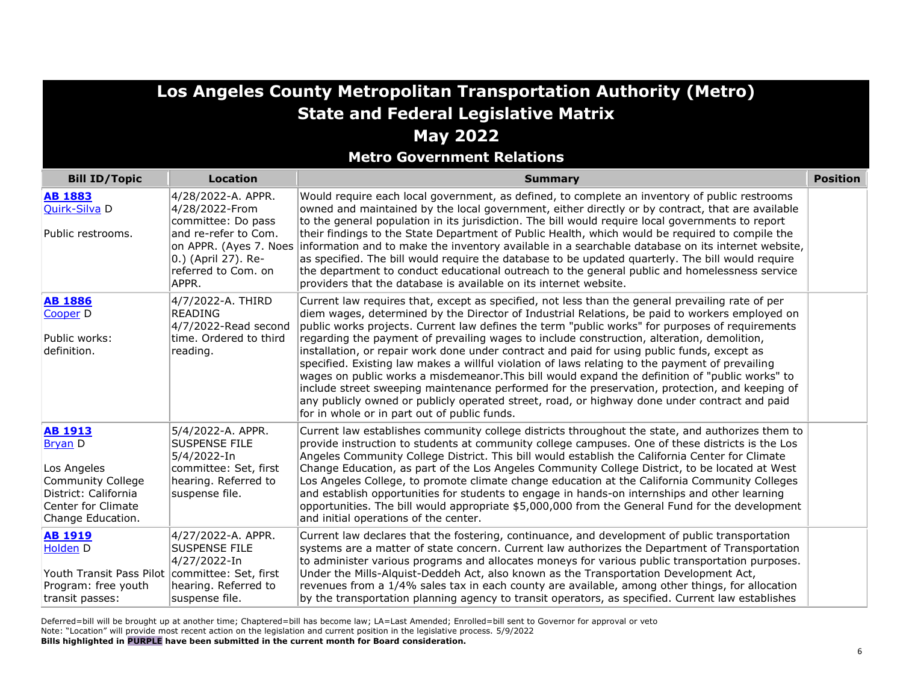**Metro Government Relations**

| <b>Bill ID/Topic</b>                                                                                                                    | <b>Location</b>                                                                                                             | <b>Summary</b>                                                                                                                                                                                                                                                                                                                                                                                                                                                                                                                                                                                                                                                                                                                                                                                                                                                                                                                                              | <b>Position</b> |
|-----------------------------------------------------------------------------------------------------------------------------------------|-----------------------------------------------------------------------------------------------------------------------------|-------------------------------------------------------------------------------------------------------------------------------------------------------------------------------------------------------------------------------------------------------------------------------------------------------------------------------------------------------------------------------------------------------------------------------------------------------------------------------------------------------------------------------------------------------------------------------------------------------------------------------------------------------------------------------------------------------------------------------------------------------------------------------------------------------------------------------------------------------------------------------------------------------------------------------------------------------------|-----------------|
| <b>AB 1883</b><br>Quirk-Silva D<br>Public restrooms.                                                                                    | 4/28/2022-A. APPR.<br>4/28/2022-From<br>committee: Do pass<br>and re-refer to Com.<br>on APPR. (Ayes 7. Noes                | Would require each local government, as defined, to complete an inventory of public restrooms<br>owned and maintained by the local government, either directly or by contract, that are available<br>to the general population in its jurisdiction. The bill would require local governments to report<br>their findings to the State Department of Public Health, which would be required to compile the<br>information and to make the inventory available in a searchable database on its internet website,                                                                                                                                                                                                                                                                                                                                                                                                                                              |                 |
|                                                                                                                                         | 0.) (April 27). Re-<br>referred to Com. on<br>APPR.                                                                         | as specified. The bill would require the database to be updated quarterly. The bill would require<br>the department to conduct educational outreach to the general public and homelessness service<br>providers that the database is available on its internet website.                                                                                                                                                                                                                                                                                                                                                                                                                                                                                                                                                                                                                                                                                     |                 |
| <b>AB 1886</b><br>Cooper D<br>Public works:<br>definition.                                                                              | 4/7/2022-A. THIRD<br><b>READING</b><br>4/7/2022-Read second<br>time. Ordered to third<br>reading.                           | Current law requires that, except as specified, not less than the general prevailing rate of per<br>diem wages, determined by the Director of Industrial Relations, be paid to workers employed on<br>public works projects. Current law defines the term "public works" for purposes of requirements<br>regarding the payment of prevailing wages to include construction, alteration, demolition,<br>installation, or repair work done under contract and paid for using public funds, except as<br>specified. Existing law makes a willful violation of laws relating to the payment of prevailing<br>wages on public works a misdemeanor. This bill would expand the definition of "public works" to<br>include street sweeping maintenance performed for the preservation, protection, and keeping of<br>any publicly owned or publicly operated street, road, or highway done under contract and paid<br>for in whole or in part out of public funds. |                 |
| <b>AB 1913</b><br><b>Bryan D</b><br>Los Angeles<br>Community College<br>District: California<br>Center for Climate<br>Change Education. | 5/4/2022-A. APPR.<br><b>SUSPENSE FILE</b><br>5/4/2022-In<br>committee: Set, first<br>hearing. Referred to<br>suspense file. | Current law establishes community college districts throughout the state, and authorizes them to<br>provide instruction to students at community college campuses. One of these districts is the Los<br>Angeles Community College District. This bill would establish the California Center for Climate<br>Change Education, as part of the Los Angeles Community College District, to be located at West<br>Los Angeles College, to promote climate change education at the California Community Colleges<br>and establish opportunities for students to engage in hands-on internships and other learning<br>opportunities. The bill would appropriate \$5,000,000 from the General Fund for the development<br>and initial operations of the center.                                                                                                                                                                                                     |                 |
| <b>AB 1919</b><br>Holden D<br>Youth Transit Pass Pilot committee: Set, first<br>Program: free youth<br>transit passes:                  | 4/27/2022-A. APPR.<br><b>SUSPENSE FILE</b><br>4/27/2022-In<br>hearing. Referred to<br>suspense file.                        | Current law declares that the fostering, continuance, and development of public transportation<br>systems are a matter of state concern. Current law authorizes the Department of Transportation<br>to administer various programs and allocates moneys for various public transportation purposes.<br>Under the Mills-Alquist-Deddeh Act, also known as the Transportation Development Act,<br>revenues from a 1/4% sales tax in each county are available, among other things, for allocation<br>by the transportation planning agency to transit operators, as specified. Current law establishes                                                                                                                                                                                                                                                                                                                                                        |                 |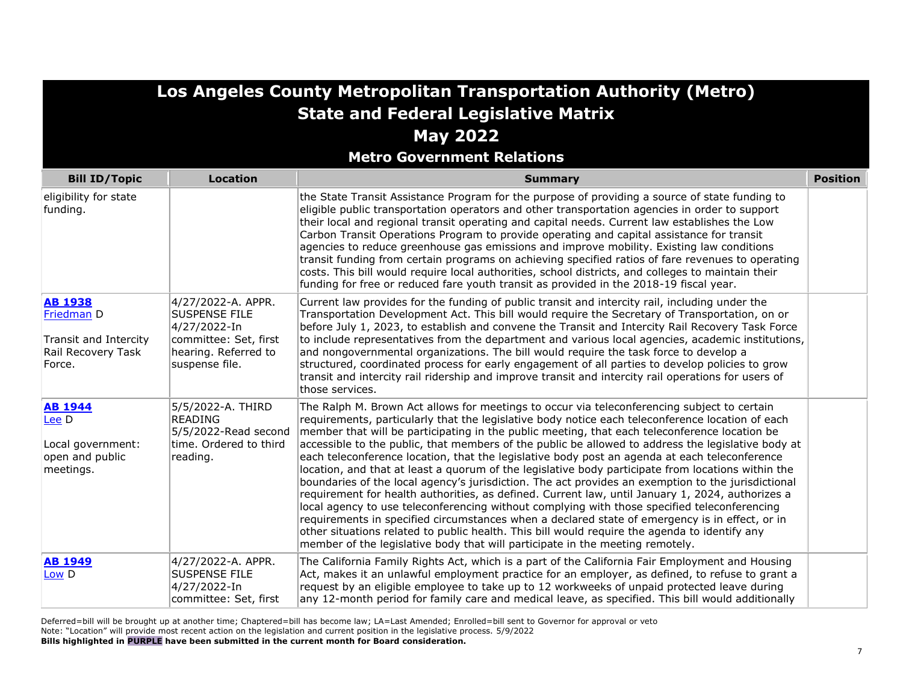| Los Angeles County Metropolitan Transportation Authority (Metro)                      |                                                                                                                               |                                                                                                                                                                                                                                                                                                                                                                                                                                                                                                                                                                                                                                                                                                                                                                                                                                                                                                                                                                                                                                                                                                                                                                                                             |                 |
|---------------------------------------------------------------------------------------|-------------------------------------------------------------------------------------------------------------------------------|-------------------------------------------------------------------------------------------------------------------------------------------------------------------------------------------------------------------------------------------------------------------------------------------------------------------------------------------------------------------------------------------------------------------------------------------------------------------------------------------------------------------------------------------------------------------------------------------------------------------------------------------------------------------------------------------------------------------------------------------------------------------------------------------------------------------------------------------------------------------------------------------------------------------------------------------------------------------------------------------------------------------------------------------------------------------------------------------------------------------------------------------------------------------------------------------------------------|-----------------|
|                                                                                       |                                                                                                                               | <b>State and Federal Legislative Matrix</b>                                                                                                                                                                                                                                                                                                                                                                                                                                                                                                                                                                                                                                                                                                                                                                                                                                                                                                                                                                                                                                                                                                                                                                 |                 |
|                                                                                       |                                                                                                                               | <b>May 2022</b>                                                                                                                                                                                                                                                                                                                                                                                                                                                                                                                                                                                                                                                                                                                                                                                                                                                                                                                                                                                                                                                                                                                                                                                             |                 |
|                                                                                       |                                                                                                                               | <b>Metro Government Relations</b>                                                                                                                                                                                                                                                                                                                                                                                                                                                                                                                                                                                                                                                                                                                                                                                                                                                                                                                                                                                                                                                                                                                                                                           |                 |
| <b>Bill ID/Topic</b>                                                                  | <b>Location</b>                                                                                                               | <b>Summary</b>                                                                                                                                                                                                                                                                                                                                                                                                                                                                                                                                                                                                                                                                                                                                                                                                                                                                                                                                                                                                                                                                                                                                                                                              | <b>Position</b> |
| eligibility for state<br>funding.                                                     |                                                                                                                               | the State Transit Assistance Program for the purpose of providing a source of state funding to<br>eligible public transportation operators and other transportation agencies in order to support<br>their local and regional transit operating and capital needs. Current law establishes the Low<br>Carbon Transit Operations Program to provide operating and capital assistance for transit<br>agencies to reduce greenhouse gas emissions and improve mobility. Existing law conditions<br>transit funding from certain programs on achieving specified ratios of fare revenues to operating<br>costs. This bill would require local authorities, school districts, and colleges to maintain their<br>funding for free or reduced fare youth transit as provided in the 2018-19 fiscal year.                                                                                                                                                                                                                                                                                                                                                                                                            |                 |
| <b>AB 1938</b><br>Friedman D<br>Transit and Intercity<br>Rail Recovery Task<br>Force. | 4/27/2022-A. APPR.<br><b>SUSPENSE FILE</b><br>4/27/2022-In<br>committee: Set, first<br>hearing. Referred to<br>suspense file. | Current law provides for the funding of public transit and intercity rail, including under the<br>Transportation Development Act. This bill would require the Secretary of Transportation, on or<br>before July 1, 2023, to establish and convene the Transit and Intercity Rail Recovery Task Force<br>to include representatives from the department and various local agencies, academic institutions,<br>and nongovernmental organizations. The bill would require the task force to develop a<br>structured, coordinated process for early engagement of all parties to develop policies to grow<br>transit and intercity rail ridership and improve transit and intercity rail operations for users of<br>those services.                                                                                                                                                                                                                                                                                                                                                                                                                                                                             |                 |
| <b>AB 1944</b><br>Lee D<br>Local government:<br>open and public<br>meetings.          | 5/5/2022-A. THIRD<br><b>READING</b><br>5/5/2022-Read second<br>time. Ordered to third<br>reading.                             | The Ralph M. Brown Act allows for meetings to occur via teleconferencing subject to certain<br>requirements, particularly that the legislative body notice each teleconference location of each<br>member that will be participating in the public meeting, that each teleconference location be<br>accessible to the public, that members of the public be allowed to address the legislative body at<br>each teleconference location, that the legislative body post an agenda at each teleconference<br>location, and that at least a quorum of the legislative body participate from locations within the<br>boundaries of the local agency's jurisdiction. The act provides an exemption to the jurisdictional<br>requirement for health authorities, as defined. Current law, until January 1, 2024, authorizes a<br>local agency to use teleconferencing without complying with those specified teleconferencing<br>requirements in specified circumstances when a declared state of emergency is in effect, or in<br>other situations related to public health. This bill would require the agenda to identify any<br>member of the legislative body that will participate in the meeting remotely. |                 |
| <b>AB 1949</b><br>Low D                                                               | 4/27/2022-A. APPR.<br><b>SUSPENSE FILE</b><br>4/27/2022-In<br>committee: Set, first                                           | The California Family Rights Act, which is a part of the California Fair Employment and Housing<br>Act, makes it an unlawful employment practice for an employer, as defined, to refuse to grant a<br>request by an eligible employee to take up to 12 workweeks of unpaid protected leave during<br>any 12-month period for family care and medical leave, as specified. This bill would additionally                                                                                                                                                                                                                                                                                                                                                                                                                                                                                                                                                                                                                                                                                                                                                                                                      |                 |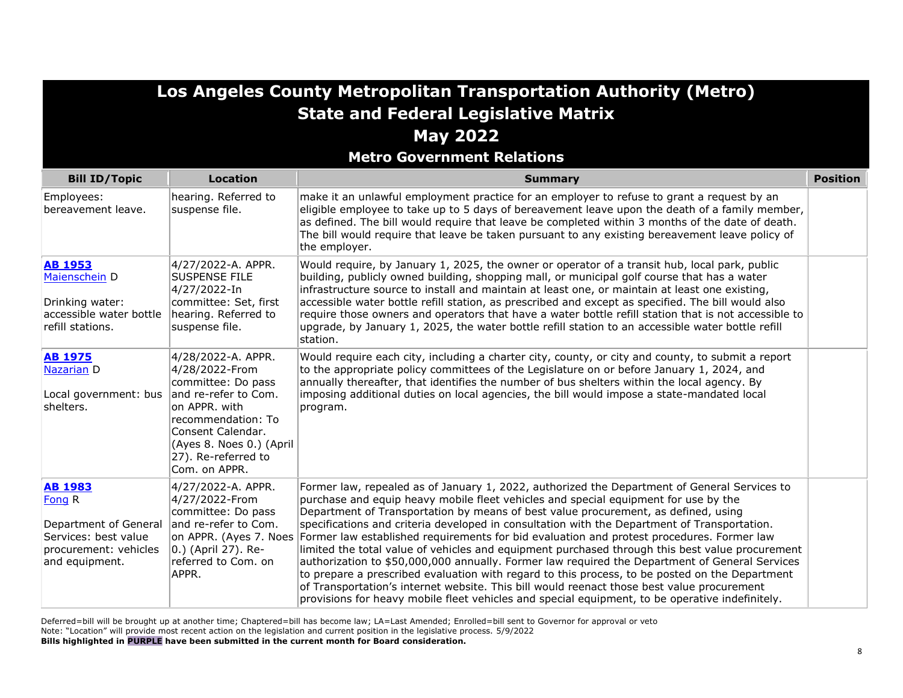| Los Angeles County Metropolitan Transportation Authority (Metro)                                                     |                                                                                                                                                                                                                    |                                                                                                                                                                                                                                                                                                                                                                                                                                                                                                                                                                                                                                                                                                                                                                                                                                                                                                                                                                                |                 |
|----------------------------------------------------------------------------------------------------------------------|--------------------------------------------------------------------------------------------------------------------------------------------------------------------------------------------------------------------|--------------------------------------------------------------------------------------------------------------------------------------------------------------------------------------------------------------------------------------------------------------------------------------------------------------------------------------------------------------------------------------------------------------------------------------------------------------------------------------------------------------------------------------------------------------------------------------------------------------------------------------------------------------------------------------------------------------------------------------------------------------------------------------------------------------------------------------------------------------------------------------------------------------------------------------------------------------------------------|-----------------|
|                                                                                                                      |                                                                                                                                                                                                                    | <b>State and Federal Legislative Matrix</b>                                                                                                                                                                                                                                                                                                                                                                                                                                                                                                                                                                                                                                                                                                                                                                                                                                                                                                                                    |                 |
|                                                                                                                      |                                                                                                                                                                                                                    | <b>May 2022</b>                                                                                                                                                                                                                                                                                                                                                                                                                                                                                                                                                                                                                                                                                                                                                                                                                                                                                                                                                                |                 |
|                                                                                                                      |                                                                                                                                                                                                                    | <b>Metro Government Relations</b>                                                                                                                                                                                                                                                                                                                                                                                                                                                                                                                                                                                                                                                                                                                                                                                                                                                                                                                                              |                 |
| <b>Bill ID/Topic</b>                                                                                                 | <b>Location</b>                                                                                                                                                                                                    | <b>Summary</b>                                                                                                                                                                                                                                                                                                                                                                                                                                                                                                                                                                                                                                                                                                                                                                                                                                                                                                                                                                 | <b>Position</b> |
| Employees:<br>bereavement leave.                                                                                     | hearing. Referred to<br>suspense file.                                                                                                                                                                             | make it an unlawful employment practice for an employer to refuse to grant a request by an<br>eligible employee to take up to 5 days of bereavement leave upon the death of a family member,<br>as defined. The bill would require that leave be completed within 3 months of the date of death.<br>The bill would require that leave be taken pursuant to any existing bereavement leave policy of<br>the employer.                                                                                                                                                                                                                                                                                                                                                                                                                                                                                                                                                           |                 |
| <b>AB 1953</b><br>Maienschein D<br>Drinking water:<br>accessible water bottle<br>refill stations.                    | 4/27/2022-A. APPR.<br><b>SUSPENSE FILE</b><br>4/27/2022-In<br>committee: Set, first<br>hearing. Referred to<br>suspense file.                                                                                      | Would require, by January 1, 2025, the owner or operator of a transit hub, local park, public<br>building, publicly owned building, shopping mall, or municipal golf course that has a water<br>infrastructure source to install and maintain at least one, or maintain at least one existing,<br>accessible water bottle refill station, as prescribed and except as specified. The bill would also<br>require those owners and operators that have a water bottle refill station that is not accessible to<br>upgrade, by January 1, 2025, the water bottle refill station to an accessible water bottle refill<br>station.                                                                                                                                                                                                                                                                                                                                                  |                 |
| <b>AB 1975</b><br>Nazarian D<br>Local government: bus<br>shelters.                                                   | 4/28/2022-A. APPR.<br>4/28/2022-From<br>committee: Do pass<br>and re-refer to Com.<br>on APPR. with<br>recommendation: To<br>Consent Calendar.<br>(Ayes 8. Noes 0.) (April<br>27). Re-referred to<br>Com. on APPR. | Would require each city, including a charter city, county, or city and county, to submit a report<br>to the appropriate policy committees of the Legislature on or before January 1, 2024, and<br>annually thereafter, that identifies the number of bus shelters within the local agency. By<br>imposing additional duties on local agencies, the bill would impose a state-mandated local<br>program.                                                                                                                                                                                                                                                                                                                                                                                                                                                                                                                                                                        |                 |
| <b>AB 1983</b><br>Fong R<br>Department of General<br>Services: best value<br>procurement: vehicles<br>and equipment. | 4/27/2022-A. APPR.<br>4/27/2022-From<br>committee: Do pass<br>and re-refer to Com.<br>on APPR. (Ayes 7. Noes<br>0.) (April 27). Re-<br>referred to Com. on<br>APPR.                                                | Former law, repealed as of January 1, 2022, authorized the Department of General Services to<br>purchase and equip heavy mobile fleet vehicles and special equipment for use by the<br>Department of Transportation by means of best value procurement, as defined, using<br>specifications and criteria developed in consultation with the Department of Transportation.<br>Former law established requirements for bid evaluation and protest procedures. Former law<br>limited the total value of vehicles and equipment purchased through this best value procurement<br>authorization to \$50,000,000 annually. Former law required the Department of General Services<br>to prepare a prescribed evaluation with regard to this process, to be posted on the Department<br>of Transportation's internet website. This bill would reenact those best value procurement<br>provisions for heavy mobile fleet vehicles and special equipment, to be operative indefinitely. |                 |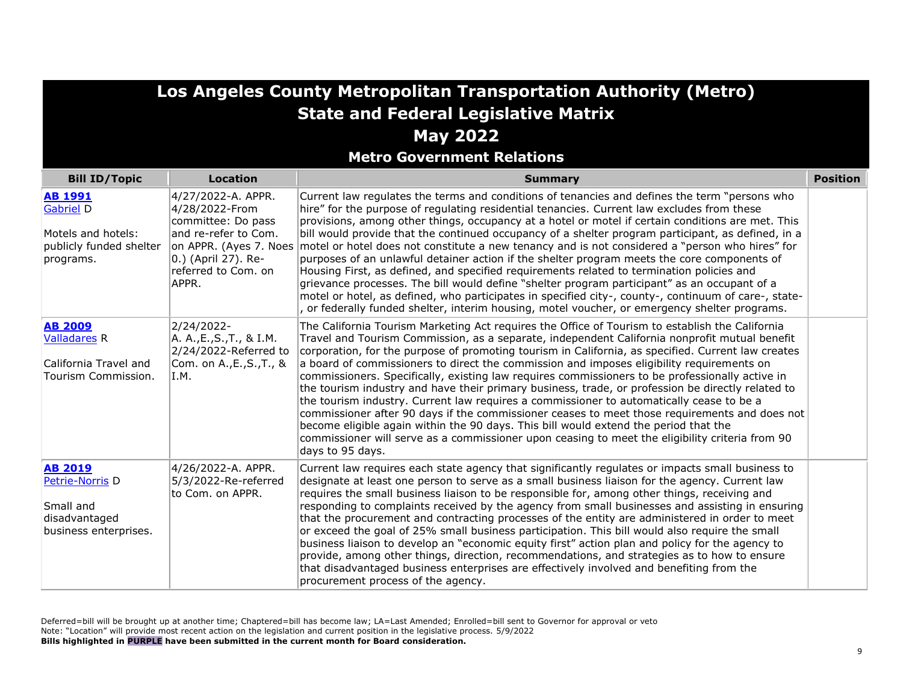**Metro Government Relations**

| <b>Bill ID/Topic</b>                                                                      | <b>Location</b>                                                                                                                                                     | <b>Summary</b>                                                                                                                                                                                                                                                                                                                                                                                                                                                                                                                                                                                                                                                                                                                                                                                                                                                                                                                                                                                                          | <b>Position</b> |
|-------------------------------------------------------------------------------------------|---------------------------------------------------------------------------------------------------------------------------------------------------------------------|-------------------------------------------------------------------------------------------------------------------------------------------------------------------------------------------------------------------------------------------------------------------------------------------------------------------------------------------------------------------------------------------------------------------------------------------------------------------------------------------------------------------------------------------------------------------------------------------------------------------------------------------------------------------------------------------------------------------------------------------------------------------------------------------------------------------------------------------------------------------------------------------------------------------------------------------------------------------------------------------------------------------------|-----------------|
| <b>AB 1991</b><br>Gabriel D<br>Motels and hotels:<br>publicly funded shelter<br>programs. | 4/27/2022-A. APPR.<br>4/28/2022-From<br>committee: Do pass<br>and re-refer to Com.<br>on APPR. (Ayes 7. Noes<br>0.) (April 27). Re-<br>referred to Com. on<br>APPR. | Current law regulates the terms and conditions of tenancies and defines the term "persons who<br>hire" for the purpose of regulating residential tenancies. Current law excludes from these<br>provisions, among other things, occupancy at a hotel or motel if certain conditions are met. This<br>bill would provide that the continued occupancy of a shelter program participant, as defined, in a<br>motel or hotel does not constitute a new tenancy and is not considered a "person who hires" for<br>purposes of an unlawful detainer action if the shelter program meets the core components of<br>Housing First, as defined, and specified requirements related to termination policies and<br>grievance processes. The bill would define "shelter program participant" as an occupant of a<br>motel or hotel, as defined, who participates in specified city-, county-, continuum of care-, state-<br>, or federally funded shelter, interim housing, motel voucher, or emergency shelter programs.          |                 |
| <b>AB 2009</b><br><b>Valladares R</b><br>California Travel and<br>Tourism Commission.     | 2/24/2022-<br>A. A., E., S., T., & I.M.<br>2/24/2022-Referred to<br>Com. on A.,E.,S.,T., &<br>I.M.                                                                  | The California Tourism Marketing Act requires the Office of Tourism to establish the California<br>Travel and Tourism Commission, as a separate, independent California nonprofit mutual benefit<br>corporation, for the purpose of promoting tourism in California, as specified. Current law creates<br>a board of commissioners to direct the commission and imposes eligibility requirements on<br>commissioners. Specifically, existing law requires commissioners to be professionally active in<br>the tourism industry and have their primary business, trade, or profession be directly related to<br>the tourism industry. Current law requires a commissioner to automatically cease to be a<br>commissioner after 90 days if the commissioner ceases to meet those requirements and does not<br>become eligible again within the 90 days. This bill would extend the period that the<br>commissioner will serve as a commissioner upon ceasing to meet the eligibility criteria from 90<br>days to 95 days. |                 |
| <b>AB 2019</b><br>Petrie-Norris D<br>Small and<br>disadvantaged<br>business enterprises.  | 4/26/2022-A. APPR.<br>5/3/2022-Re-referred<br>to Com. on APPR.                                                                                                      | Current law requires each state agency that significantly regulates or impacts small business to<br>designate at least one person to serve as a small business liaison for the agency. Current law<br>requires the small business liaison to be responsible for, among other things, receiving and<br>responding to complaints received by the agency from small businesses and assisting in ensuring<br>that the procurement and contracting processes of the entity are administered in order to meet<br>or exceed the goal of 25% small business participation. This bill would also require the small<br>business liaison to develop an "economic equity first" action plan and policy for the agency to<br>provide, among other things, direction, recommendations, and strategies as to how to ensure<br>that disadvantaged business enterprises are effectively involved and benefiting from the<br>procurement process of the agency.                                                                           |                 |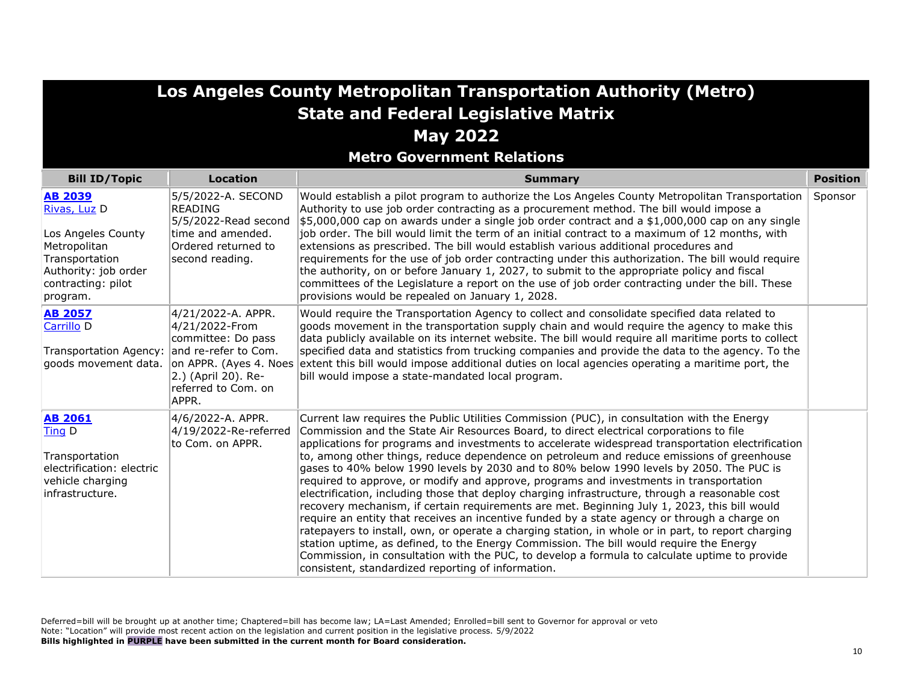**Metro Government Relations**

| <b>Bill ID/Topic</b>                                                                                                                             | <b>Location</b>                                                                                                                                                     | <b>Summary</b>                                                                                                                                                                                                                                                                                                                                                                                                                                                                                                                                                                                                                                                                                                                                                                                                                                                                                                                                                                                                                                                                                                                                                                                                                           | <b>Position</b> |
|--------------------------------------------------------------------------------------------------------------------------------------------------|---------------------------------------------------------------------------------------------------------------------------------------------------------------------|------------------------------------------------------------------------------------------------------------------------------------------------------------------------------------------------------------------------------------------------------------------------------------------------------------------------------------------------------------------------------------------------------------------------------------------------------------------------------------------------------------------------------------------------------------------------------------------------------------------------------------------------------------------------------------------------------------------------------------------------------------------------------------------------------------------------------------------------------------------------------------------------------------------------------------------------------------------------------------------------------------------------------------------------------------------------------------------------------------------------------------------------------------------------------------------------------------------------------------------|-----------------|
| <b>AB 2039</b><br>Rivas, Luz D<br>Los Angeles County<br>Metropolitan<br>Transportation<br>Authority: job order<br>contracting: pilot<br>program. | 5/5/2022-A. SECOND<br><b>READING</b><br>5/5/2022-Read second<br>time and amended.<br>Ordered returned to<br>second reading.                                         | Would establish a pilot program to authorize the Los Angeles County Metropolitan Transportation<br>Authority to use job order contracting as a procurement method. The bill would impose a<br>$\frac{1}{2}$ 5,000,000 cap on awards under a single job order contract and a \$1,000,000 cap on any single<br>job order. The bill would limit the term of an initial contract to a maximum of 12 months, with<br>extensions as prescribed. The bill would establish various additional procedures and<br>requirements for the use of job order contracting under this authorization. The bill would require<br>the authority, on or before January 1, 2027, to submit to the appropriate policy and fiscal<br>committees of the Legislature a report on the use of job order contracting under the bill. These<br>provisions would be repealed on January 1, 2028.                                                                                                                                                                                                                                                                                                                                                                        | Sponsor         |
| <b>AB 2057</b><br>Carrillo <sub>D</sub><br>Transportation Agency:<br>goods movement data.                                                        | 4/21/2022-A. APPR.<br>4/21/2022-From<br>committee: Do pass<br>and re-refer to Com.<br>on APPR. (Ayes 4. Noes<br>2.) (April 20). Re-<br>referred to Com, on<br>APPR. | Would require the Transportation Agency to collect and consolidate specified data related to<br>goods movement in the transportation supply chain and would require the agency to make this<br>data publicly available on its internet website. The bill would require all maritime ports to collect<br>specified data and statistics from trucking companies and provide the data to the agency. To the<br>extent this bill would impose additional duties on local agencies operating a maritime port, the<br>bill would impose a state-mandated local program.                                                                                                                                                                                                                                                                                                                                                                                                                                                                                                                                                                                                                                                                        |                 |
| <b>AB 2061</b><br>Ting D<br>Transportation<br>electrification: electric<br>vehicle charging<br>infrastructure.                                   | 4/6/2022-A. APPR.<br>4/19/2022-Re-referred<br>to Com. on APPR.                                                                                                      | Current law requires the Public Utilities Commission (PUC), in consultation with the Energy<br>Commission and the State Air Resources Board, to direct electrical corporations to file<br>applications for programs and investments to accelerate widespread transportation electrification<br>to, among other things, reduce dependence on petroleum and reduce emissions of greenhouse<br>gases to 40% below 1990 levels by 2030 and to 80% below 1990 levels by 2050. The PUC is<br>required to approve, or modify and approve, programs and investments in transportation<br>electrification, including those that deploy charging infrastructure, through a reasonable cost<br>recovery mechanism, if certain requirements are met. Beginning July 1, 2023, this bill would<br>require an entity that receives an incentive funded by a state agency or through a charge on<br>ratepayers to install, own, or operate a charging station, in whole or in part, to report charging<br>station uptime, as defined, to the Energy Commission. The bill would require the Energy<br>Commission, in consultation with the PUC, to develop a formula to calculate uptime to provide<br>consistent, standardized reporting of information. |                 |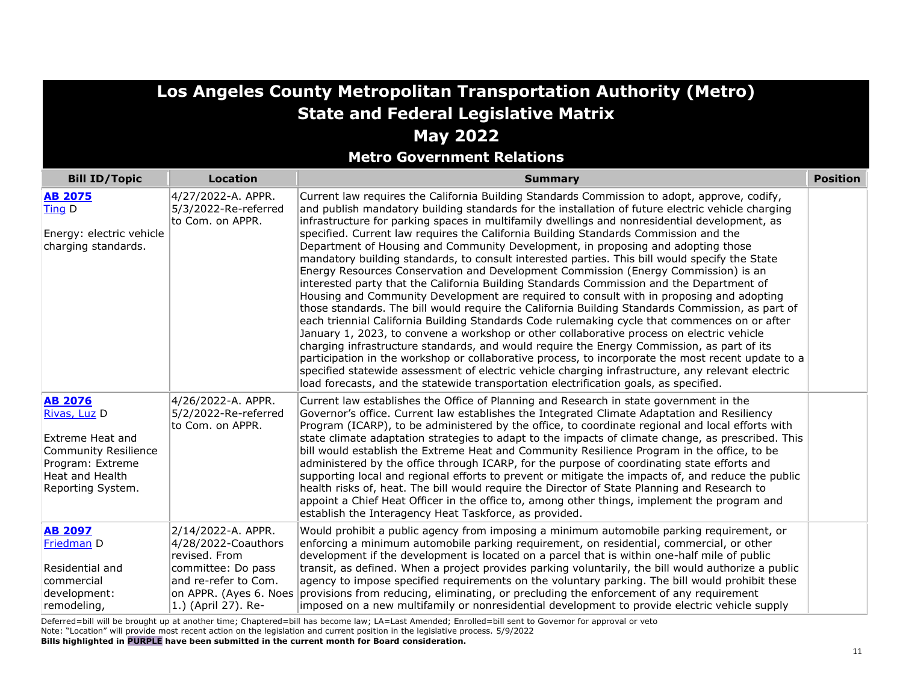**Metro Government Relations**

| <b>Bill ID/Topic</b>                                                                                                                          | Location                                                                                                                                                   | <b>Summary</b>                                                                                                                                                                                                                                                                                                                                                                                                                                                                                                                                                                                                                                                                                                                                                                                                                                                                                                                                                                                                                                                                                                                                                                                                                                                                                                                                                                                                                                                                                                                                                     | <b>Position</b> |
|-----------------------------------------------------------------------------------------------------------------------------------------------|------------------------------------------------------------------------------------------------------------------------------------------------------------|--------------------------------------------------------------------------------------------------------------------------------------------------------------------------------------------------------------------------------------------------------------------------------------------------------------------------------------------------------------------------------------------------------------------------------------------------------------------------------------------------------------------------------------------------------------------------------------------------------------------------------------------------------------------------------------------------------------------------------------------------------------------------------------------------------------------------------------------------------------------------------------------------------------------------------------------------------------------------------------------------------------------------------------------------------------------------------------------------------------------------------------------------------------------------------------------------------------------------------------------------------------------------------------------------------------------------------------------------------------------------------------------------------------------------------------------------------------------------------------------------------------------------------------------------------------------|-----------------|
| <b>AB 2075</b><br>Ting D<br>Energy: electric vehicle<br>charging standards.                                                                   | 4/27/2022-A. APPR.<br>5/3/2022-Re-referred<br>to Com. on APPR.                                                                                             | Current law requires the California Building Standards Commission to adopt, approve, codify,<br>and publish mandatory building standards for the installation of future electric vehicle charging<br>infrastructure for parking spaces in multifamily dwellings and nonresidential development, as<br>specified. Current law requires the California Building Standards Commission and the<br>Department of Housing and Community Development, in proposing and adopting those<br>mandatory building standards, to consult interested parties. This bill would specify the State<br>Energy Resources Conservation and Development Commission (Energy Commission) is an<br>interested party that the California Building Standards Commission and the Department of<br>Housing and Community Development are required to consult with in proposing and adopting<br>those standards. The bill would require the California Building Standards Commission, as part of<br>each triennial California Building Standards Code rulemaking cycle that commences on or after<br>January 1, 2023, to convene a workshop or other collaborative process on electric vehicle<br>charging infrastructure standards, and would require the Energy Commission, as part of its<br>participation in the workshop or collaborative process, to incorporate the most recent update to a<br>specified statewide assessment of electric vehicle charging infrastructure, any relevant electric<br>load forecasts, and the statewide transportation electrification goals, as specified. |                 |
| <b>AB 2076</b><br>Rivas, Luz D<br>Extreme Heat and<br><b>Community Resilience</b><br>Program: Extreme<br>Heat and Health<br>Reporting System. | 4/26/2022-A. APPR.<br>5/2/2022-Re-referred<br>to Com. on APPR.                                                                                             | Current law establishes the Office of Planning and Research in state government in the<br>Governor's office. Current law establishes the Integrated Climate Adaptation and Resiliency<br>Program (ICARP), to be administered by the office, to coordinate regional and local efforts with<br>state climate adaptation strategies to adapt to the impacts of climate change, as prescribed. This<br>bill would establish the Extreme Heat and Community Resilience Program in the office, to be<br>administered by the office through ICARP, for the purpose of coordinating state efforts and<br>supporting local and regional efforts to prevent or mitigate the impacts of, and reduce the public<br>health risks of, heat. The bill would require the Director of State Planning and Research to<br>appoint a Chief Heat Officer in the office to, among other things, implement the program and<br>establish the Interagency Heat Taskforce, as provided.                                                                                                                                                                                                                                                                                                                                                                                                                                                                                                                                                                                                      |                 |
| <b>AB 2097</b><br>Friedman D<br>Residential and<br>commercial<br>development:<br>remodeling,                                                  | 2/14/2022-A. APPR.<br>4/28/2022-Coauthors<br>revised. From<br>committee: Do pass<br>land re-refer to Com.<br>on APPR. (Ayes 6. Noes<br>1.) (April 27). Re- | Would prohibit a public agency from imposing a minimum automobile parking requirement, or<br>enforcing a minimum automobile parking requirement, on residential, commercial, or other<br>development if the development is located on a parcel that is within one-half mile of public<br>transit, as defined. When a project provides parking voluntarily, the bill would authorize a public<br>agency to impose specified requirements on the voluntary parking. The bill would prohibit these<br>provisions from reducing, eliminating, or precluding the enforcement of any requirement<br>imposed on a new multifamily or nonresidential development to provide electric vehicle supply                                                                                                                                                                                                                                                                                                                                                                                                                                                                                                                                                                                                                                                                                                                                                                                                                                                                        |                 |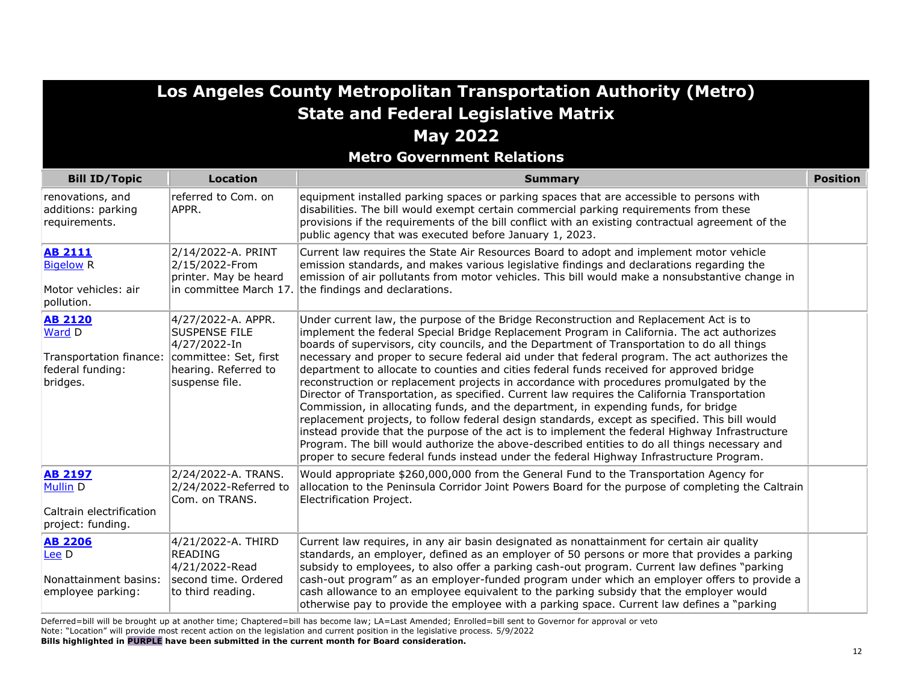| Los Angeles County Metropolitan Transportation Authority (Metro)                    |                                                                                                                               |                                                                                                                                                                                                                                                                                                                                                                                                                                                                                                                                                                                                                                                                                                                                                                                                                                                                                                                                                                                                                                                                                                                                                                    |                 |
|-------------------------------------------------------------------------------------|-------------------------------------------------------------------------------------------------------------------------------|--------------------------------------------------------------------------------------------------------------------------------------------------------------------------------------------------------------------------------------------------------------------------------------------------------------------------------------------------------------------------------------------------------------------------------------------------------------------------------------------------------------------------------------------------------------------------------------------------------------------------------------------------------------------------------------------------------------------------------------------------------------------------------------------------------------------------------------------------------------------------------------------------------------------------------------------------------------------------------------------------------------------------------------------------------------------------------------------------------------------------------------------------------------------|-----------------|
|                                                                                     |                                                                                                                               | <b>State and Federal Legislative Matrix</b>                                                                                                                                                                                                                                                                                                                                                                                                                                                                                                                                                                                                                                                                                                                                                                                                                                                                                                                                                                                                                                                                                                                        |                 |
|                                                                                     |                                                                                                                               | <b>May 2022</b>                                                                                                                                                                                                                                                                                                                                                                                                                                                                                                                                                                                                                                                                                                                                                                                                                                                                                                                                                                                                                                                                                                                                                    |                 |
|                                                                                     |                                                                                                                               | <b>Metro Government Relations</b>                                                                                                                                                                                                                                                                                                                                                                                                                                                                                                                                                                                                                                                                                                                                                                                                                                                                                                                                                                                                                                                                                                                                  |                 |
| <b>Bill ID/Topic</b>                                                                | <b>Location</b>                                                                                                               | <b>Summary</b>                                                                                                                                                                                                                                                                                                                                                                                                                                                                                                                                                                                                                                                                                                                                                                                                                                                                                                                                                                                                                                                                                                                                                     | <b>Position</b> |
| renovations, and<br>additions: parking<br>requirements.                             | referred to Com. on<br>APPR.                                                                                                  | equipment installed parking spaces or parking spaces that are accessible to persons with<br>disabilities. The bill would exempt certain commercial parking requirements from these<br>provisions if the requirements of the bill conflict with an existing contractual agreement of the<br>public agency that was executed before January 1, 2023.                                                                                                                                                                                                                                                                                                                                                                                                                                                                                                                                                                                                                                                                                                                                                                                                                 |                 |
| <b>AB 2111</b><br><b>Bigelow R</b><br>Motor vehicles: air<br>pollution.             | 2/14/2022-A. PRINT<br>2/15/2022-From<br>printer. May be heard<br>in committee March 17.                                       | Current law requires the State Air Resources Board to adopt and implement motor vehicle<br>emission standards, and makes various legislative findings and declarations regarding the<br>emission of air pollutants from motor vehicles. This bill would make a nonsubstantive change in<br>the findings and declarations.                                                                                                                                                                                                                                                                                                                                                                                                                                                                                                                                                                                                                                                                                                                                                                                                                                          |                 |
| <b>AB 2120</b><br>Ward D<br>Transportation finance:<br>federal funding:<br>bridges. | 4/27/2022-A. APPR.<br><b>SUSPENSE FILE</b><br>4/27/2022-In<br>committee: Set, first<br>hearing. Referred to<br>suspense file. | Under current law, the purpose of the Bridge Reconstruction and Replacement Act is to<br>implement the federal Special Bridge Replacement Program in California. The act authorizes<br>boards of supervisors, city councils, and the Department of Transportation to do all things<br>necessary and proper to secure federal aid under that federal program. The act authorizes the<br>department to allocate to counties and cities federal funds received for approved bridge<br>reconstruction or replacement projects in accordance with procedures promulgated by the<br>Director of Transportation, as specified. Current law requires the California Transportation<br>Commission, in allocating funds, and the department, in expending funds, for bridge<br>replacement projects, to follow federal design standards, except as specified. This bill would<br>instead provide that the purpose of the act is to implement the federal Highway Infrastructure<br>Program. The bill would authorize the above-described entities to do all things necessary and<br>proper to secure federal funds instead under the federal Highway Infrastructure Program. |                 |
| <b>AB 2197</b><br>Mullin D<br>Caltrain electrification<br>project: funding.         | 2/24/2022-A. TRANS.<br>2/24/2022-Referred to<br>Com. on TRANS.                                                                | Would appropriate \$260,000,000 from the General Fund to the Transportation Agency for<br>allocation to the Peninsula Corridor Joint Powers Board for the purpose of completing the Caltrain<br>Electrification Project.                                                                                                                                                                                                                                                                                                                                                                                                                                                                                                                                                                                                                                                                                                                                                                                                                                                                                                                                           |                 |
| <b>AB 2206</b><br>Lee D<br>Nonattainment basins:<br>employee parking:               | 4/21/2022-A. THIRD<br><b>READING</b><br>4/21/2022-Read<br>second time. Ordered<br>to third reading.                           | Current law requires, in any air basin designated as nonattainment for certain air quality<br>standards, an employer, defined as an employer of 50 persons or more that provides a parking<br>subsidy to employees, to also offer a parking cash-out program. Current law defines "parking<br>cash-out program" as an employer-funded program under which an employer offers to provide a<br>cash allowance to an employee equivalent to the parking subsidy that the employer would<br>otherwise pay to provide the employee with a parking space. Current law defines a "parking                                                                                                                                                                                                                                                                                                                                                                                                                                                                                                                                                                                 |                 |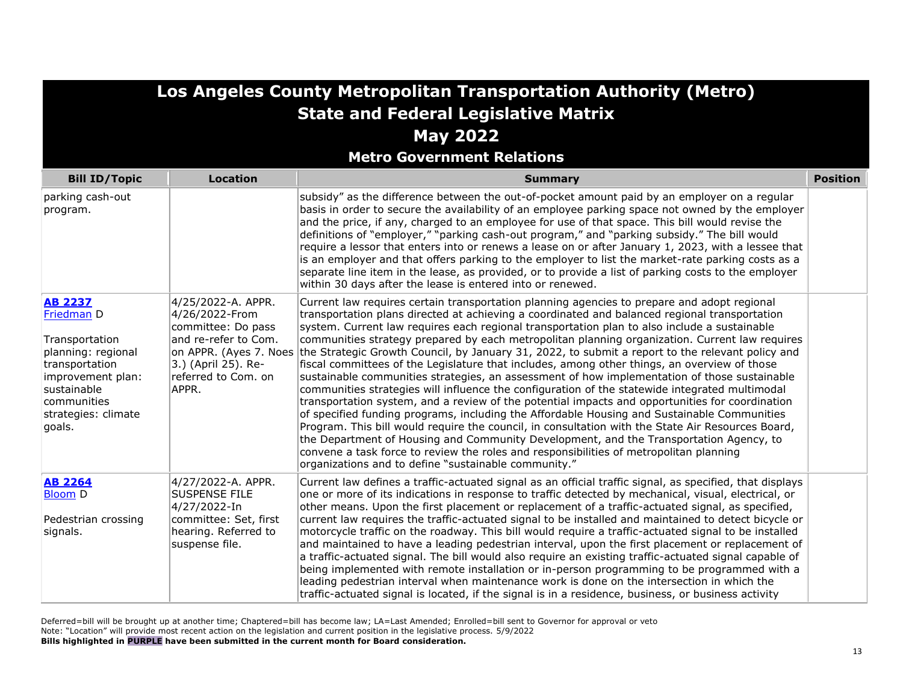|                                                                                                                                                                            |                                                                                                                                           | Los Angeles County Metropolitan Transportation Authority (Metro)<br><b>State and Federal Legislative Matrix</b>                                                                                                                                                                                                                                                                                                                                                                                                                                                                                                                                                                                                                                                                                                                                                                                                                                                                                                                                                                                                                                                                                                                                                                                                                                                                |                 |
|----------------------------------------------------------------------------------------------------------------------------------------------------------------------------|-------------------------------------------------------------------------------------------------------------------------------------------|--------------------------------------------------------------------------------------------------------------------------------------------------------------------------------------------------------------------------------------------------------------------------------------------------------------------------------------------------------------------------------------------------------------------------------------------------------------------------------------------------------------------------------------------------------------------------------------------------------------------------------------------------------------------------------------------------------------------------------------------------------------------------------------------------------------------------------------------------------------------------------------------------------------------------------------------------------------------------------------------------------------------------------------------------------------------------------------------------------------------------------------------------------------------------------------------------------------------------------------------------------------------------------------------------------------------------------------------------------------------------------|-----------------|
|                                                                                                                                                                            |                                                                                                                                           | <b>May 2022</b>                                                                                                                                                                                                                                                                                                                                                                                                                                                                                                                                                                                                                                                                                                                                                                                                                                                                                                                                                                                                                                                                                                                                                                                                                                                                                                                                                                |                 |
|                                                                                                                                                                            |                                                                                                                                           | <b>Metro Government Relations</b>                                                                                                                                                                                                                                                                                                                                                                                                                                                                                                                                                                                                                                                                                                                                                                                                                                                                                                                                                                                                                                                                                                                                                                                                                                                                                                                                              |                 |
| <b>Bill ID/Topic</b>                                                                                                                                                       | <b>Location</b>                                                                                                                           | <b>Summary</b>                                                                                                                                                                                                                                                                                                                                                                                                                                                                                                                                                                                                                                                                                                                                                                                                                                                                                                                                                                                                                                                                                                                                                                                                                                                                                                                                                                 | <b>Position</b> |
| parking cash-out<br>program.                                                                                                                                               |                                                                                                                                           | subsidy" as the difference between the out-of-pocket amount paid by an employer on a regular<br>basis in order to secure the availability of an employee parking space not owned by the employer<br>and the price, if any, charged to an employee for use of that space. This bill would revise the<br>definitions of "employer," "parking cash-out program," and "parking subsidy." The bill would<br>require a lessor that enters into or renews a lease on or after January 1, 2023, with a lessee that<br>is an employer and that offers parking to the employer to list the market-rate parking costs as a<br>separate line item in the lease, as provided, or to provide a list of parking costs to the employer<br>within 30 days after the lease is entered into or renewed.                                                                                                                                                                                                                                                                                                                                                                                                                                                                                                                                                                                           |                 |
| <b>AB 2237</b><br>Friedman D<br>Transportation<br>planning: regional<br>transportation<br>improvement plan:<br>sustainable<br>communities<br>strategies: climate<br>goals. | 4/25/2022-A. APPR.<br>4/26/2022-From<br>committee: Do pass<br>and re-refer to Com.<br>3.) (April 25). Re-<br>referred to Com. on<br>APPR. | Current law requires certain transportation planning agencies to prepare and adopt regional<br>transportation plans directed at achieving a coordinated and balanced regional transportation<br>system. Current law requires each regional transportation plan to also include a sustainable<br>communities strategy prepared by each metropolitan planning organization. Current law requires<br>on APPR. (Ayes 7. Noes the Strategic Growth Council, by January 31, 2022, to submit a report to the relevant policy and<br>fiscal committees of the Legislature that includes, among other things, an overview of those<br>sustainable communities strategies, an assessment of how implementation of those sustainable<br>communities strategies will influence the configuration of the statewide integrated multimodal<br>transportation system, and a review of the potential impacts and opportunities for coordination<br>of specified funding programs, including the Affordable Housing and Sustainable Communities<br>Program. This bill would require the council, in consultation with the State Air Resources Board,<br>the Department of Housing and Community Development, and the Transportation Agency, to<br>convene a task force to review the roles and responsibilities of metropolitan planning<br>organizations and to define "sustainable community." |                 |
| <b>AB 2264</b><br><b>Bloom D</b><br>Pedestrian crossing<br>signals.                                                                                                        | 4/27/2022-A. APPR.<br><b>SUSPENSE FILE</b><br>4/27/2022-In<br>committee: Set, first<br>hearing. Referred to<br>suspense file.             | Current law defines a traffic-actuated signal as an official traffic signal, as specified, that displays<br>one or more of its indications in response to traffic detected by mechanical, visual, electrical, or<br>other means. Upon the first placement or replacement of a traffic-actuated signal, as specified,<br>current law requires the traffic-actuated signal to be installed and maintained to detect bicycle or<br>motorcycle traffic on the roadway. This bill would require a traffic-actuated signal to be installed<br>and maintained to have a leading pedestrian interval, upon the first placement or replacement of<br>a traffic-actuated signal. The bill would also require an existing traffic-actuated signal capable of<br>being implemented with remote installation or in-person programming to be programmed with a<br>leading pedestrian interval when maintenance work is done on the intersection in which the<br>traffic-actuated signal is located, if the signal is in a residence, business, or business activity                                                                                                                                                                                                                                                                                                                          |                 |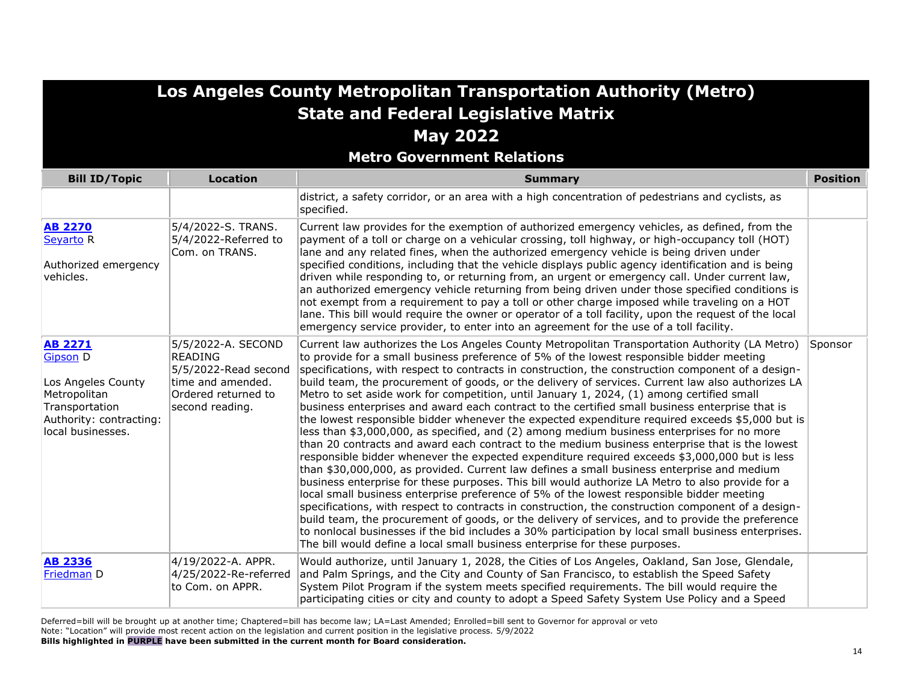**Metro Government Relations**

| <b>Bill ID/Topic</b>                                                                                                                      | <b>Location</b>                                                                                                             | <b>Summary</b>                                                                                                                                                                                                                                                                                                                                                                                                                                                                                                                                                                                                                                                                                                                                                                                                                                                                                                                                                                                                                                                                                                                                                                                                                                                                                                                                                                                                                                                                                                                                                                                                                                                                                            | <b>Position</b> |
|-------------------------------------------------------------------------------------------------------------------------------------------|-----------------------------------------------------------------------------------------------------------------------------|-----------------------------------------------------------------------------------------------------------------------------------------------------------------------------------------------------------------------------------------------------------------------------------------------------------------------------------------------------------------------------------------------------------------------------------------------------------------------------------------------------------------------------------------------------------------------------------------------------------------------------------------------------------------------------------------------------------------------------------------------------------------------------------------------------------------------------------------------------------------------------------------------------------------------------------------------------------------------------------------------------------------------------------------------------------------------------------------------------------------------------------------------------------------------------------------------------------------------------------------------------------------------------------------------------------------------------------------------------------------------------------------------------------------------------------------------------------------------------------------------------------------------------------------------------------------------------------------------------------------------------------------------------------------------------------------------------------|-----------------|
|                                                                                                                                           |                                                                                                                             | district, a safety corridor, or an area with a high concentration of pedestrians and cyclists, as<br>specified.                                                                                                                                                                                                                                                                                                                                                                                                                                                                                                                                                                                                                                                                                                                                                                                                                                                                                                                                                                                                                                                                                                                                                                                                                                                                                                                                                                                                                                                                                                                                                                                           |                 |
| <b>AB 2270</b><br>Seyarto R<br>Authorized emergency<br>vehicles.                                                                          | 5/4/2022-S. TRANS.<br>5/4/2022-Referred to<br>Com. on TRANS.                                                                | Current law provides for the exemption of authorized emergency vehicles, as defined, from the<br>payment of a toll or charge on a vehicular crossing, toll highway, or high-occupancy toll (HOT)<br>lane and any related fines, when the authorized emergency vehicle is being driven under<br>specified conditions, including that the vehicle displays public agency identification and is being<br>driven while responding to, or returning from, an urgent or emergency call. Under current law,<br>an authorized emergency vehicle returning from being driven under those specified conditions is<br>not exempt from a requirement to pay a toll or other charge imposed while traveling on a HOT<br>lane. This bill would require the owner or operator of a toll facility, upon the request of the local<br>emergency service provider, to enter into an agreement for the use of a toll facility.                                                                                                                                                                                                                                                                                                                                                                                                                                                                                                                                                                                                                                                                                                                                                                                                |                 |
| <b>AB 2271</b><br><b>Gipson D</b><br>Los Angeles County<br>Metropolitan<br>Transportation<br>Authority: contracting:<br>local businesses. | 5/5/2022-A. SECOND<br><b>READING</b><br>5/5/2022-Read second<br>time and amended.<br>Ordered returned to<br>second reading. | Current law authorizes the Los Angeles County Metropolitan Transportation Authority (LA Metro)<br>to provide for a small business preference of 5% of the lowest responsible bidder meeting<br>specifications, with respect to contracts in construction, the construction component of a design-<br>build team, the procurement of goods, or the delivery of services. Current law also authorizes LA<br>Metro to set aside work for competition, until January 1, 2024, (1) among certified small<br>business enterprises and award each contract to the certified small business enterprise that is<br>the lowest responsible bidder whenever the expected expenditure required exceeds \$5,000 but is<br>less than \$3,000,000, as specified, and (2) among medium business enterprises for no more<br>than 20 contracts and award each contract to the medium business enterprise that is the lowest<br>responsible bidder whenever the expected expenditure required exceeds \$3,000,000 but is less<br>than \$30,000,000, as provided. Current law defines a small business enterprise and medium<br>business enterprise for these purposes. This bill would authorize LA Metro to also provide for a<br>local small business enterprise preference of 5% of the lowest responsible bidder meeting<br>specifications, with respect to contracts in construction, the construction component of a design-<br>build team, the procurement of goods, or the delivery of services, and to provide the preference<br>to nonlocal businesses if the bid includes a 30% participation by local small business enterprises.<br>The bill would define a local small business enterprise for these purposes. | Sponsor         |
| <b>AB 2336</b><br>Friedman D                                                                                                              | 4/19/2022-A. APPR.<br>4/25/2022-Re-referred<br>to Com. on APPR.                                                             | Would authorize, until January 1, 2028, the Cities of Los Angeles, Oakland, San Jose, Glendale,<br>and Palm Springs, and the City and County of San Francisco, to establish the Speed Safety<br>System Pilot Program if the system meets specified requirements. The bill would require the<br>participating cities or city and county to adopt a Speed Safety System Use Policy and a Speed                                                                                                                                                                                                                                                                                                                                                                                                                                                                                                                                                                                                                                                                                                                                                                                                                                                                                                                                                                                                                                                                                                                                                                                                                                                                                                              |                 |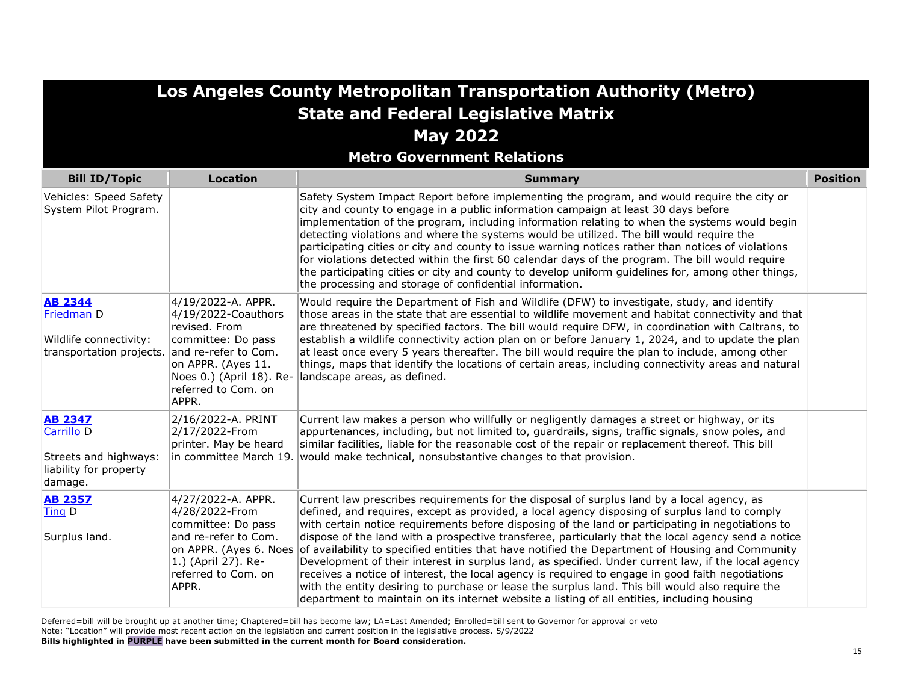|                                                                                                       |                                                                                                                                                                                               | Los Angeles County Metropolitan Transportation Authority (Metro)                                                                                                                                                                                                                                                                                                                                                                                                                                                                                                                                                                                                                                                                                                                                                                                                                                                          |                 |
|-------------------------------------------------------------------------------------------------------|-----------------------------------------------------------------------------------------------------------------------------------------------------------------------------------------------|---------------------------------------------------------------------------------------------------------------------------------------------------------------------------------------------------------------------------------------------------------------------------------------------------------------------------------------------------------------------------------------------------------------------------------------------------------------------------------------------------------------------------------------------------------------------------------------------------------------------------------------------------------------------------------------------------------------------------------------------------------------------------------------------------------------------------------------------------------------------------------------------------------------------------|-----------------|
|                                                                                                       |                                                                                                                                                                                               | <b>State and Federal Legislative Matrix</b>                                                                                                                                                                                                                                                                                                                                                                                                                                                                                                                                                                                                                                                                                                                                                                                                                                                                               |                 |
|                                                                                                       |                                                                                                                                                                                               | <b>May 2022</b><br><b>Metro Government Relations</b>                                                                                                                                                                                                                                                                                                                                                                                                                                                                                                                                                                                                                                                                                                                                                                                                                                                                      |                 |
| <b>Bill ID/Topic</b>                                                                                  | <b>Location</b>                                                                                                                                                                               | <b>Summary</b>                                                                                                                                                                                                                                                                                                                                                                                                                                                                                                                                                                                                                                                                                                                                                                                                                                                                                                            | <b>Position</b> |
| Vehicles: Speed Safety<br>System Pilot Program.                                                       |                                                                                                                                                                                               | Safety System Impact Report before implementing the program, and would require the city or<br>city and county to engage in a public information campaign at least 30 days before<br>implementation of the program, including information relating to when the systems would begin<br>detecting violations and where the systems would be utilized. The bill would require the<br>participating cities or city and county to issue warning notices rather than notices of violations<br>for violations detected within the first 60 calendar days of the program. The bill would require<br>the participating cities or city and county to develop uniform guidelines for, among other things,<br>the processing and storage of confidential information.                                                                                                                                                                  |                 |
| <b>AB 2344</b><br>Friedman D<br>Wildlife connectivity:<br>transportation projects.                    | 4/19/2022-A. APPR.<br>$4/19/2022$ -Coauthors<br>revised. From<br>committee: Do pass<br>and re-refer to Com.<br>on APPR. (Ayes 11.<br>Noes 0.) (April 18). Re-<br>referred to Com. on<br>APPR. | Would require the Department of Fish and Wildlife (DFW) to investigate, study, and identify<br>those areas in the state that are essential to wildlife movement and habitat connectivity and that<br>are threatened by specified factors. The bill would require DFW, in coordination with Caltrans, to<br>establish a wildlife connectivity action plan on or before January 1, 2024, and to update the plan<br>at least once every 5 years thereafter. The bill would require the plan to include, among other<br>things, maps that identify the locations of certain areas, including connectivity areas and natural<br>landscape areas, as defined.                                                                                                                                                                                                                                                                   |                 |
| <b>AB 2347</b><br>Carrillo <sub>D</sub><br>Streets and highways:<br>liability for property<br>damage. | 2/16/2022-A. PRINT<br>2/17/2022-From<br>printer. May be heard<br>in committee March 19.                                                                                                       | Current law makes a person who willfully or negligently damages a street or highway, or its<br>appurtenances, including, but not limited to, guardrails, signs, traffic signals, snow poles, and<br>similar facilities, liable for the reasonable cost of the repair or replacement thereof. This bill<br>would make technical, nonsubstantive changes to that provision.                                                                                                                                                                                                                                                                                                                                                                                                                                                                                                                                                 |                 |
| <b>AB 2357</b><br>Ting D<br>Surplus land.                                                             | 4/27/2022-A. APPR.<br>4/28/2022-From<br>committee: Do pass<br>and re-refer to Com.<br>on APPR. (Ayes 6. Noes<br>$ 1.$ ) (April 27). Re-<br>referred to Com. on<br>APPR.                       | Current law prescribes requirements for the disposal of surplus land by a local agency, as<br>defined, and requires, except as provided, a local agency disposing of surplus land to comply<br>with certain notice requirements before disposing of the land or participating in negotiations to<br>dispose of the land with a prospective transferee, particularly that the local agency send a notice<br>of availability to specified entities that have notified the Department of Housing and Community<br>Development of their interest in surplus land, as specified. Under current law, if the local agency<br>receives a notice of interest, the local agency is required to engage in good faith negotiations<br>with the entity desiring to purchase or lease the surplus land. This bill would also require the<br>department to maintain on its internet website a listing of all entities, including housing |                 |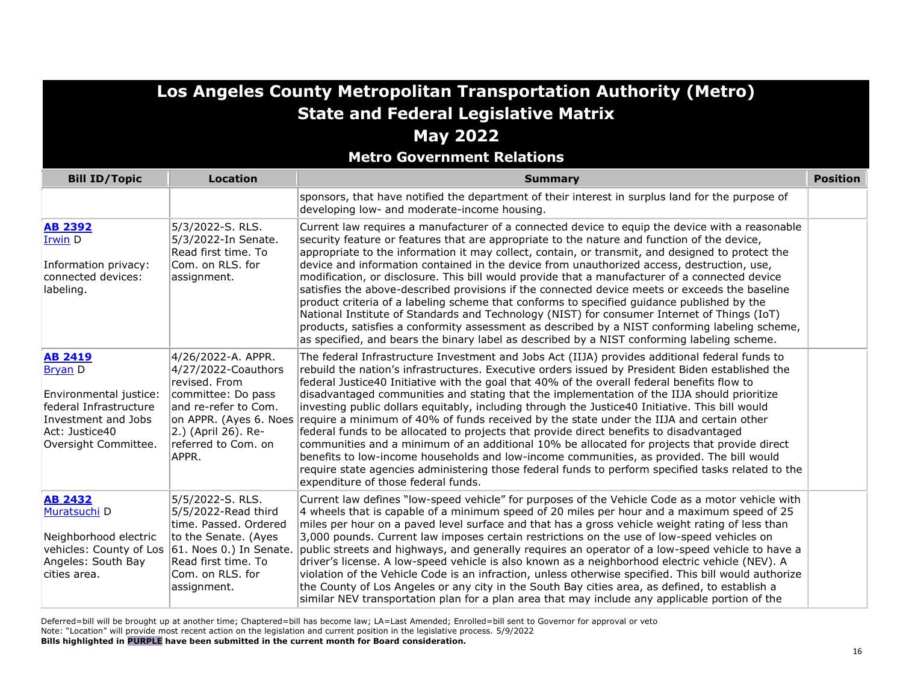**Metro Government Relations**

| <b>Bill ID/Topic</b>                                                                                                                                  | <b>Location</b>                                                                                                                                                                  | <b>Summary</b>                                                                                                                                                                                                                                                                                                                                                                                                                                                                                                                                                                                                                                                                                                                                                                                                                                                                                                                                                                                                                                              | <b>Position</b> |
|-------------------------------------------------------------------------------------------------------------------------------------------------------|----------------------------------------------------------------------------------------------------------------------------------------------------------------------------------|-------------------------------------------------------------------------------------------------------------------------------------------------------------------------------------------------------------------------------------------------------------------------------------------------------------------------------------------------------------------------------------------------------------------------------------------------------------------------------------------------------------------------------------------------------------------------------------------------------------------------------------------------------------------------------------------------------------------------------------------------------------------------------------------------------------------------------------------------------------------------------------------------------------------------------------------------------------------------------------------------------------------------------------------------------------|-----------------|
|                                                                                                                                                       |                                                                                                                                                                                  | sponsors, that have notified the department of their interest in surplus land for the purpose of<br>developing low- and moderate-income housing.                                                                                                                                                                                                                                                                                                                                                                                                                                                                                                                                                                                                                                                                                                                                                                                                                                                                                                            |                 |
| <b>AB 2392</b><br>Irwin D<br>Information privacy:<br>connected devices:<br>labeling.                                                                  | 5/3/2022-S. RLS.<br>5/3/2022-In Senate.<br>Read first time. To<br>Com. on RLS. for<br>assignment.                                                                                | Current law requires a manufacturer of a connected device to equip the device with a reasonable<br>security feature or features that are appropriate to the nature and function of the device,<br>appropriate to the information it may collect, contain, or transmit, and designed to protect the<br>device and information contained in the device from unauthorized access, destruction, use,<br>modification, or disclosure. This bill would provide that a manufacturer of a connected device<br>satisfies the above-described provisions if the connected device meets or exceeds the baseline<br>product criteria of a labeling scheme that conforms to specified guidance published by the<br>National Institute of Standards and Technology (NIST) for consumer Internet of Things (IoT)<br>products, satisfies a conformity assessment as described by a NIST conforming labeling scheme,<br>as specified, and bears the binary label as described by a NIST conforming labeling scheme.                                                          |                 |
| <b>AB 2419</b><br><b>Bryan D</b><br>Environmental justice:<br>federal Infrastructure<br>Investment and Jobs<br>Act: Justice40<br>Oversight Committee. | 4/26/2022-A. APPR.<br>4/27/2022-Coauthors<br>revised. From<br>committee: Do pass<br>and re-refer to Com.<br>2.) (April 26). Re-<br>referred to Com. on<br>APPR.                  | The federal Infrastructure Investment and Jobs Act (IIJA) provides additional federal funds to<br>rebuild the nation's infrastructures. Executive orders issued by President Biden established the<br>federal Justice40 Initiative with the goal that 40% of the overall federal benefits flow to<br>disadvantaged communities and stating that the implementation of the IIJA should prioritize<br>investing public dollars equitably, including through the Justice40 Initiative. This bill would<br>on APPR. (Ayes 6. Noes require a minimum of 40% of funds received by the state under the IIJA and certain other<br>federal funds to be allocated to projects that provide direct benefits to disadvantaged<br>communities and a minimum of an additional 10% be allocated for projects that provide direct<br>benefits to low-income households and low-income communities, as provided. The bill would<br>require state agencies administering those federal funds to perform specified tasks related to the<br>expenditure of those federal funds. |                 |
| <b>AB 2432</b><br>Muratsuchi D<br>Neighborhood electric<br>vehicles: County of Los<br>Angeles: South Bay<br>cities area.                              | 5/5/2022-S. RLS.<br>5/5/2022-Read third<br>time. Passed. Ordered<br>to the Senate. (Ayes<br>$ 61.$ Noes 0.) In Senate.<br>Read first time. To<br>Com. on RLS. for<br>assignment. | Current law defines "low-speed vehicle" for purposes of the Vehicle Code as a motor vehicle with<br>4 wheels that is capable of a minimum speed of 20 miles per hour and a maximum speed of 25<br>miles per hour on a paved level surface and that has a gross vehicle weight rating of less than<br>3,000 pounds. Current law imposes certain restrictions on the use of low-speed vehicles on<br>public streets and highways, and generally requires an operator of a low-speed vehicle to have a<br>driver's license. A low-speed vehicle is also known as a neighborhood electric vehicle (NEV). A<br>violation of the Vehicle Code is an infraction, unless otherwise specified. This bill would authorize<br>the County of Los Angeles or any city in the South Bay cities area, as defined, to establish a<br>similar NEV transportation plan for a plan area that may include any applicable portion of the                                                                                                                                         |                 |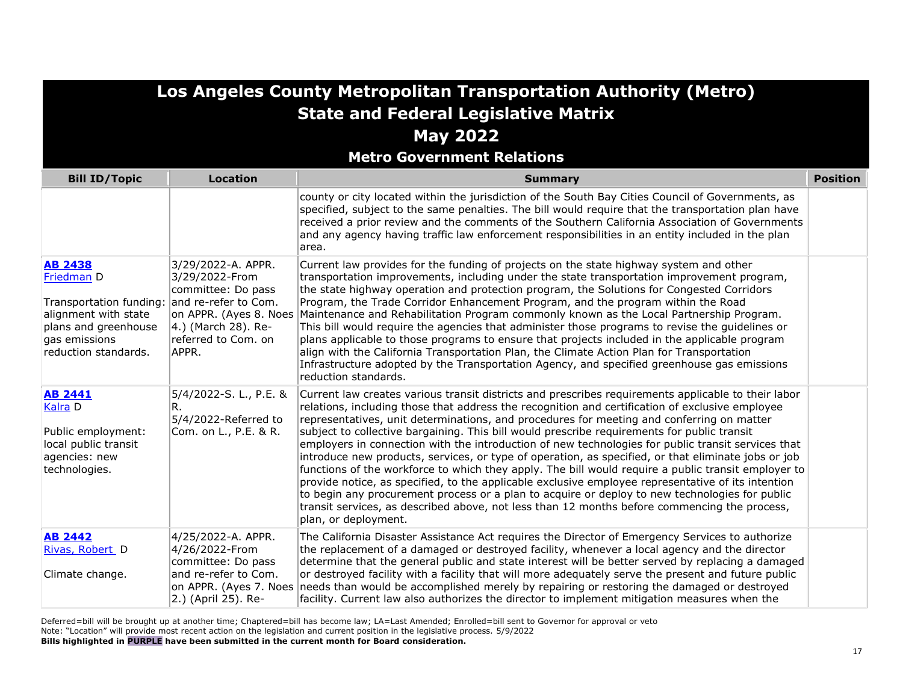|                                                                                                                                                  |                                                                                                                                           | Los Angeles County Metropolitan Transportation Authority (Metro)                                                                                                                                                                                                                                                                                                                                                                                                                                                                                                                                                                                                                                                                                                                                                                                                                                                                                                                                                                                       |                 |
|--------------------------------------------------------------------------------------------------------------------------------------------------|-------------------------------------------------------------------------------------------------------------------------------------------|--------------------------------------------------------------------------------------------------------------------------------------------------------------------------------------------------------------------------------------------------------------------------------------------------------------------------------------------------------------------------------------------------------------------------------------------------------------------------------------------------------------------------------------------------------------------------------------------------------------------------------------------------------------------------------------------------------------------------------------------------------------------------------------------------------------------------------------------------------------------------------------------------------------------------------------------------------------------------------------------------------------------------------------------------------|-----------------|
|                                                                                                                                                  |                                                                                                                                           | <b>State and Federal Legislative Matrix</b>                                                                                                                                                                                                                                                                                                                                                                                                                                                                                                                                                                                                                                                                                                                                                                                                                                                                                                                                                                                                            |                 |
|                                                                                                                                                  |                                                                                                                                           | <b>May 2022</b>                                                                                                                                                                                                                                                                                                                                                                                                                                                                                                                                                                                                                                                                                                                                                                                                                                                                                                                                                                                                                                        |                 |
|                                                                                                                                                  |                                                                                                                                           | <b>Metro Government Relations</b>                                                                                                                                                                                                                                                                                                                                                                                                                                                                                                                                                                                                                                                                                                                                                                                                                                                                                                                                                                                                                      |                 |
| <b>Bill ID/Topic</b>                                                                                                                             | <b>Location</b>                                                                                                                           | <b>Summary</b>                                                                                                                                                                                                                                                                                                                                                                                                                                                                                                                                                                                                                                                                                                                                                                                                                                                                                                                                                                                                                                         | <b>Position</b> |
|                                                                                                                                                  |                                                                                                                                           | county or city located within the jurisdiction of the South Bay Cities Council of Governments, as<br>specified, subject to the same penalties. The bill would require that the transportation plan have<br>received a prior review and the comments of the Southern California Association of Governments<br>and any agency having traffic law enforcement responsibilities in an entity included in the plan<br>area.                                                                                                                                                                                                                                                                                                                                                                                                                                                                                                                                                                                                                                 |                 |
| <b>AB 2438</b><br>Friedman D<br>Transportation funding:<br>alignment with state<br>plans and greenhouse<br>gas emissions<br>reduction standards. | 3/29/2022-A. APPR.<br>3/29/2022-From<br>committee: Do pass<br>and re-refer to Com.<br>4.) (March 28). Re-<br>referred to Com. on<br>APPR. | Current law provides for the funding of projects on the state highway system and other<br>transportation improvements, including under the state transportation improvement program,<br>the state highway operation and protection program, the Solutions for Congested Corridors<br>Program, the Trade Corridor Enhancement Program, and the program within the Road<br>on APPR. (Ayes 8. Noes Maintenance and Rehabilitation Program commonly known as the Local Partnership Program.<br>This bill would require the agencies that administer those programs to revise the guidelines or<br>plans applicable to those programs to ensure that projects included in the applicable program<br>align with the California Transportation Plan, the Climate Action Plan for Transportation<br>Infrastructure adopted by the Transportation Agency, and specified greenhouse gas emissions<br>reduction standards.                                                                                                                                        |                 |
| <b>AB 2441</b><br>Kalra D<br>Public employment:<br>local public transit<br>agencies: new<br>technologies.                                        | 5/4/2022-S. L., P.E. &<br>R.<br>5/4/2022-Referred to<br>Com. on L., P.E. & R.                                                             | Current law creates various transit districts and prescribes requirements applicable to their labor<br>relations, including those that address the recognition and certification of exclusive employee<br>representatives, unit determinations, and procedures for meeting and conferring on matter<br>subject to collective bargaining. This bill would prescribe requirements for public transit<br>employers in connection with the introduction of new technologies for public transit services that<br>introduce new products, services, or type of operation, as specified, or that eliminate jobs or job<br>functions of the workforce to which they apply. The bill would require a public transit employer to<br>provide notice, as specified, to the applicable exclusive employee representative of its intention<br>to begin any procurement process or a plan to acquire or deploy to new technologies for public<br>transit services, as described above, not less than 12 months before commencing the process,<br>plan, or deployment. |                 |
| <b>AB 2442</b><br>Rivas, Robert D<br>Climate change.                                                                                             | 4/25/2022-A. APPR.<br>4/26/2022-From<br>committee: Do pass<br>and re-refer to Com.<br>on APPR. (Ayes 7. Noes<br>2.) (April 25). Re-       | The California Disaster Assistance Act requires the Director of Emergency Services to authorize<br>the replacement of a damaged or destroyed facility, whenever a local agency and the director<br>determine that the general public and state interest will be better served by replacing a damaged<br>or destroyed facility with a facility that will more adequately serve the present and future public<br>needs than would be accomplished merely by repairing or restoring the damaged or destroyed<br>facility. Current law also authorizes the director to implement mitigation measures when the                                                                                                                                                                                                                                                                                                                                                                                                                                              |                 |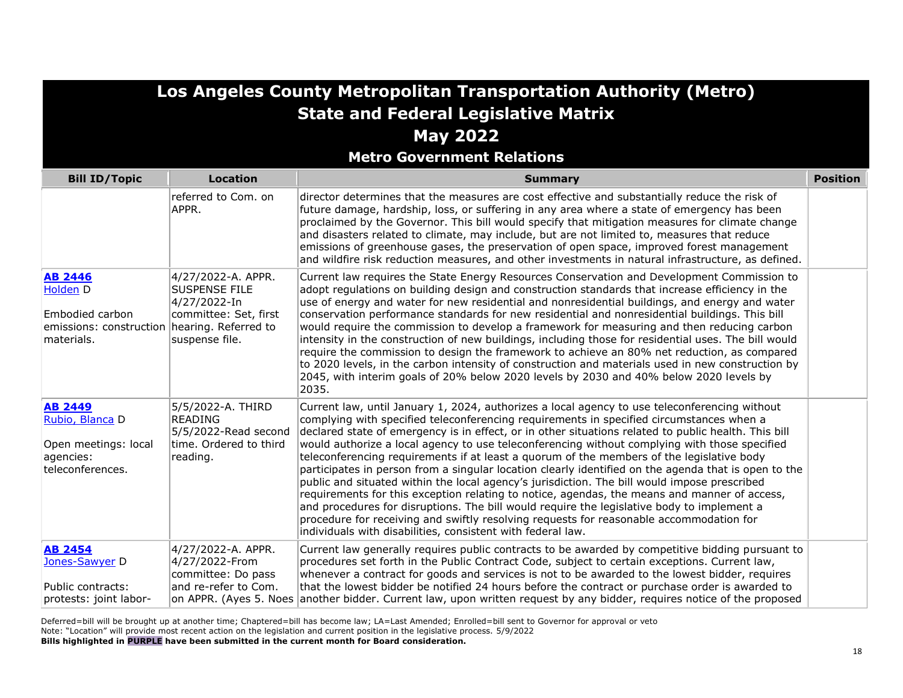|                                                                                                                    | Los Angeles County Metropolitan Transportation Authority (Metro)                                      |                                                                                                                                                                                                                                                                                                                                                                                                                                                                                                                                                                                                                                                                                                                                                                                                                                                                                                                                                                                                                                                                 |                 |  |
|--------------------------------------------------------------------------------------------------------------------|-------------------------------------------------------------------------------------------------------|-----------------------------------------------------------------------------------------------------------------------------------------------------------------------------------------------------------------------------------------------------------------------------------------------------------------------------------------------------------------------------------------------------------------------------------------------------------------------------------------------------------------------------------------------------------------------------------------------------------------------------------------------------------------------------------------------------------------------------------------------------------------------------------------------------------------------------------------------------------------------------------------------------------------------------------------------------------------------------------------------------------------------------------------------------------------|-----------------|--|
|                                                                                                                    |                                                                                                       | <b>State and Federal Legislative Matrix</b>                                                                                                                                                                                                                                                                                                                                                                                                                                                                                                                                                                                                                                                                                                                                                                                                                                                                                                                                                                                                                     |                 |  |
|                                                                                                                    |                                                                                                       | <b>May 2022</b>                                                                                                                                                                                                                                                                                                                                                                                                                                                                                                                                                                                                                                                                                                                                                                                                                                                                                                                                                                                                                                                 |                 |  |
|                                                                                                                    |                                                                                                       | <b>Metro Government Relations</b>                                                                                                                                                                                                                                                                                                                                                                                                                                                                                                                                                                                                                                                                                                                                                                                                                                                                                                                                                                                                                               |                 |  |
| <b>Bill ID/Topic</b>                                                                                               | <b>Location</b>                                                                                       | <b>Summary</b>                                                                                                                                                                                                                                                                                                                                                                                                                                                                                                                                                                                                                                                                                                                                                                                                                                                                                                                                                                                                                                                  | <b>Position</b> |  |
|                                                                                                                    | referred to Com. on<br>APPR.                                                                          | director determines that the measures are cost effective and substantially reduce the risk of<br>future damage, hardship, loss, or suffering in any area where a state of emergency has been<br>proclaimed by the Governor. This bill would specify that mitigation measures for climate change<br>and disasters related to climate, may include, but are not limited to, measures that reduce<br>emissions of greenhouse gases, the preservation of open space, improved forest management<br>and wildfire risk reduction measures, and other investments in natural infrastructure, as defined.                                                                                                                                                                                                                                                                                                                                                                                                                                                               |                 |  |
| <b>AB 2446</b><br><b>Holden</b> D<br>Embodied carbon<br>emissions: construction hearing. Referred to<br>materials. | 4/27/2022-A. APPR.<br><b>SUSPENSE FILE</b><br>4/27/2022-In<br>committee: Set, first<br>suspense file. | Current law requires the State Energy Resources Conservation and Development Commission to<br>adopt regulations on building design and construction standards that increase efficiency in the<br>use of energy and water for new residential and nonresidential buildings, and energy and water<br>conservation performance standards for new residential and nonresidential buildings. This bill<br>would require the commission to develop a framework for measuring and then reducing carbon<br>intensity in the construction of new buildings, including those for residential uses. The bill would<br>require the commission to design the framework to achieve an 80% net reduction, as compared<br>to 2020 levels, in the carbon intensity of construction and materials used in new construction by<br>2045, with interim goals of 20% below 2020 levels by 2030 and 40% below 2020 levels by<br>2035.                                                                                                                                                  |                 |  |
| <b>AB 2449</b><br>Rubio, Blanca D<br>Open meetings: local<br>agencies:<br>teleconferences.                         | 5/5/2022-A. THIRD<br>READING<br>5/5/2022-Read second<br>time. Ordered to third<br>reading.            | Current law, until January 1, 2024, authorizes a local agency to use teleconferencing without<br>complying with specified teleconferencing requirements in specified circumstances when a<br>declared state of emergency is in effect, or in other situations related to public health. This bill<br>would authorize a local agency to use teleconferencing without complying with those specified<br>teleconferencing requirements if at least a quorum of the members of the legislative body<br>participates in person from a singular location clearly identified on the agenda that is open to the<br>public and situated within the local agency's jurisdiction. The bill would impose prescribed<br>requirements for this exception relating to notice, agendas, the means and manner of access,<br>and procedures for disruptions. The bill would require the legislative body to implement a<br>procedure for receiving and swiftly resolving requests for reasonable accommodation for<br>individuals with disabilities, consistent with federal law. |                 |  |
| <b>AB 2454</b><br>Jones-Sawyer D<br>Public contracts:<br>protests: joint labor-                                    | 4/27/2022-A. APPR.<br>4/27/2022-From<br>committee: Do pass<br>and re-refer to Com.                    | Current law generally requires public contracts to be awarded by competitive bidding pursuant to<br>procedures set forth in the Public Contract Code, subject to certain exceptions. Current law,<br>whenever a contract for goods and services is not to be awarded to the lowest bidder, requires<br>that the lowest bidder be notified 24 hours before the contract or purchase order is awarded to<br>on APPR. (Ayes 5. Noes another bidder. Current law, upon written request by any bidder, requires notice of the proposed                                                                                                                                                                                                                                                                                                                                                                                                                                                                                                                               |                 |  |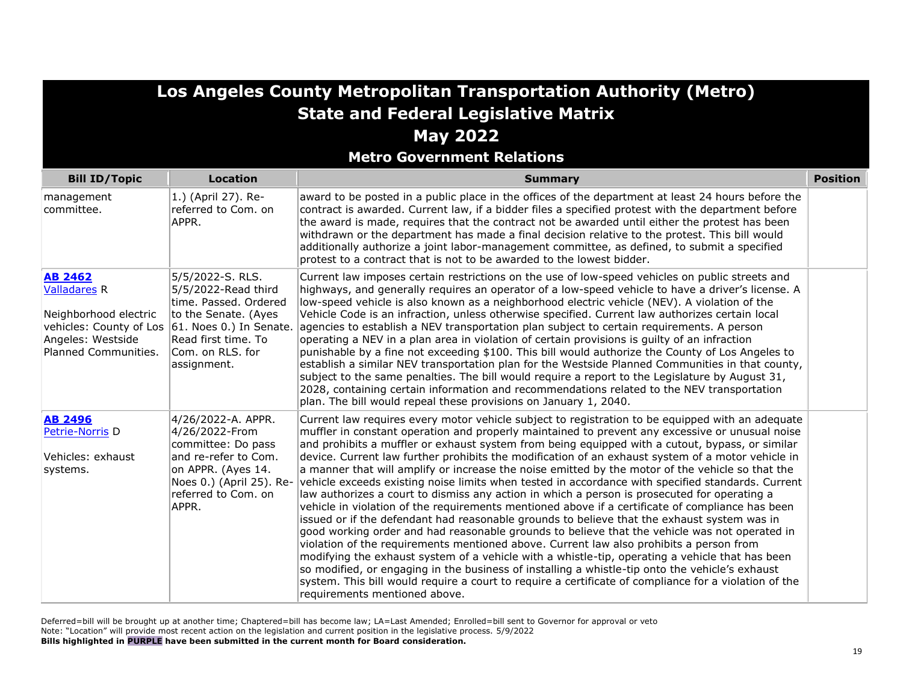| Los Angeles County Metropolitan Transportation Authority (Metro)<br><b>State and Federal Legislative Matrix</b><br><b>May 2022</b><br><b>Metro Government Relations</b> |                                                                                                                                                                                                       |                                                                                                                                                                                                                                                                                                                                                                                                                                                                                                                                                                                                                                                                                                                                                                                                                                                                                                                                                                                                                                                                                                                                                                                                                                                                                                                                                                                                                                                                     |                 |
|-------------------------------------------------------------------------------------------------------------------------------------------------------------------------|-------------------------------------------------------------------------------------------------------------------------------------------------------------------------------------------------------|---------------------------------------------------------------------------------------------------------------------------------------------------------------------------------------------------------------------------------------------------------------------------------------------------------------------------------------------------------------------------------------------------------------------------------------------------------------------------------------------------------------------------------------------------------------------------------------------------------------------------------------------------------------------------------------------------------------------------------------------------------------------------------------------------------------------------------------------------------------------------------------------------------------------------------------------------------------------------------------------------------------------------------------------------------------------------------------------------------------------------------------------------------------------------------------------------------------------------------------------------------------------------------------------------------------------------------------------------------------------------------------------------------------------------------------------------------------------|-----------------|
| <b>Bill ID/Topic</b>                                                                                                                                                    | <b>Location</b>                                                                                                                                                                                       | <b>Summary</b>                                                                                                                                                                                                                                                                                                                                                                                                                                                                                                                                                                                                                                                                                                                                                                                                                                                                                                                                                                                                                                                                                                                                                                                                                                                                                                                                                                                                                                                      | <b>Position</b> |
| management<br>committee.                                                                                                                                                | 1.) (April 27). Re-<br>referred to Com. on<br>APPR.                                                                                                                                                   | award to be posted in a public place in the offices of the department at least 24 hours before the<br>contract is awarded. Current law, if a bidder files a specified protest with the department before<br>the award is made, requires that the contract not be awarded until either the protest has been<br>withdrawn or the department has made a final decision relative to the protest. This bill would<br>additionally authorize a joint labor-management committee, as defined, to submit a specified<br>protest to a contract that is not to be awarded to the lowest bidder.                                                                                                                                                                                                                                                                                                                                                                                                                                                                                                                                                                                                                                                                                                                                                                                                                                                                               |                 |
| <b>AB 2462</b><br><b>Valladares R</b><br>Neighborhood electric<br>Angeles: Westside<br>Planned Communities.                                                             | 5/5/2022-S. RLS.<br>5/5/2022-Read third<br>time. Passed. Ordered<br>to the Senate. (Ayes<br>vehicles: County of Los 61. Noes 0.) In Senate.<br>Read first time. To<br>Com. on RLS. for<br>assignment. | Current law imposes certain restrictions on the use of low-speed vehicles on public streets and<br>highways, and generally requires an operator of a low-speed vehicle to have a driver's license. A<br>low-speed vehicle is also known as a neighborhood electric vehicle (NEV). A violation of the<br>Vehicle Code is an infraction, unless otherwise specified. Current law authorizes certain local<br>agencies to establish a NEV transportation plan subject to certain requirements. A person<br>operating a NEV in a plan area in violation of certain provisions is guilty of an infraction<br>punishable by a fine not exceeding \$100. This bill would authorize the County of Los Angeles to<br>establish a similar NEV transportation plan for the Westside Planned Communities in that county,<br>subject to the same penalties. The bill would require a report to the Legislature by August 31,<br>2028, containing certain information and recommendations related to the NEV transportation<br>$ $ plan. The bill would repeal these provisions on January 1, 2040.                                                                                                                                                                                                                                                                                                                                                                               |                 |
| <b>AB 2496</b><br>Petrie-Norris D<br>Vehicles: exhaust<br>systems.                                                                                                      | 4/26/2022-A. APPR.<br>4/26/2022-From<br>committee: Do pass<br>and re-refer to Com.<br>on APPR. (Ayes 14.<br>Noes 0.) (April 25). Re-<br>referred to Com. on<br>APPR.                                  | Current law requires every motor vehicle subject to registration to be equipped with an adequate<br>muffler in constant operation and properly maintained to prevent any excessive or unusual noise<br>and prohibits a muffler or exhaust system from being equipped with a cutout, bypass, or similar<br>device. Current law further prohibits the modification of an exhaust system of a motor vehicle in<br>a manner that will amplify or increase the noise emitted by the motor of the vehicle so that the<br>vehicle exceeds existing noise limits when tested in accordance with specified standards. Current<br>law authorizes a court to dismiss any action in which a person is prosecuted for operating a<br>vehicle in violation of the requirements mentioned above if a certificate of compliance has been<br>issued or if the defendant had reasonable grounds to believe that the exhaust system was in<br>good working order and had reasonable grounds to believe that the vehicle was not operated in<br>violation of the requirements mentioned above. Current law also prohibits a person from<br>modifying the exhaust system of a vehicle with a whistle-tip, operating a vehicle that has been<br>so modified, or engaging in the business of installing a whistle-tip onto the vehicle's exhaust<br>system. This bill would require a court to require a certificate of compliance for a violation of the<br>requirements mentioned above. |                 |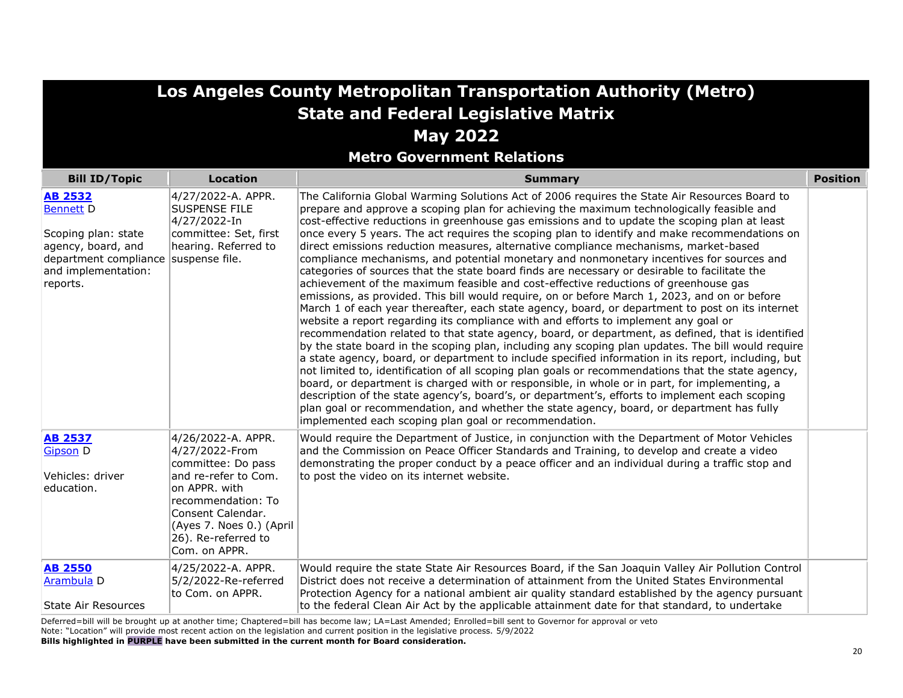**Metro Government Relations**

| <b>Bill ID/Topic</b>                                                                                                                        | <b>Location</b>                                                                                                                                                                                                    | <b>Summary</b>                                                                                                                                                                                                                                                                                                                                                                                                                                                                                                                                                                                                                                                                                                                                                                                                                                                                                                                                                                                                                                                                                                                                                                                                                                                                                                                                                                                                                                                                                                                                                                                                                                                                                                                                                                                                                                        | <b>Position</b> |
|---------------------------------------------------------------------------------------------------------------------------------------------|--------------------------------------------------------------------------------------------------------------------------------------------------------------------------------------------------------------------|-------------------------------------------------------------------------------------------------------------------------------------------------------------------------------------------------------------------------------------------------------------------------------------------------------------------------------------------------------------------------------------------------------------------------------------------------------------------------------------------------------------------------------------------------------------------------------------------------------------------------------------------------------------------------------------------------------------------------------------------------------------------------------------------------------------------------------------------------------------------------------------------------------------------------------------------------------------------------------------------------------------------------------------------------------------------------------------------------------------------------------------------------------------------------------------------------------------------------------------------------------------------------------------------------------------------------------------------------------------------------------------------------------------------------------------------------------------------------------------------------------------------------------------------------------------------------------------------------------------------------------------------------------------------------------------------------------------------------------------------------------------------------------------------------------------------------------------------------------|-----------------|
| <b>AB 2532</b><br><b>Bennett D</b><br>Scoping plan: state<br>agency, board, and<br>department compliance<br>and implementation:<br>reports. | 4/27/2022-A. APPR.<br><b>SUSPENSE FILE</b><br>4/27/2022-In<br>committee: Set, first<br>hearing. Referred to<br>suspense file.                                                                                      | The California Global Warming Solutions Act of 2006 requires the State Air Resources Board to<br>prepare and approve a scoping plan for achieving the maximum technologically feasible and<br>cost-effective reductions in greenhouse gas emissions and to update the scoping plan at least<br>once every 5 years. The act requires the scoping plan to identify and make recommendations on<br>direct emissions reduction measures, alternative compliance mechanisms, market-based<br>compliance mechanisms, and potential monetary and nonmonetary incentives for sources and<br>categories of sources that the state board finds are necessary or desirable to facilitate the<br>achievement of the maximum feasible and cost-effective reductions of greenhouse gas<br>emissions, as provided. This bill would require, on or before March 1, 2023, and on or before<br>March 1 of each year thereafter, each state agency, board, or department to post on its internet<br>website a report regarding its compliance with and efforts to implement any goal or<br>recommendation related to that state agency, board, or department, as defined, that is identified<br>by the state board in the scoping plan, including any scoping plan updates. The bill would require<br>a state agency, board, or department to include specified information in its report, including, but<br>not limited to, identification of all scoping plan goals or recommendations that the state agency,<br>board, or department is charged with or responsible, in whole or in part, for implementing, a<br>description of the state agency's, board's, or department's, efforts to implement each scoping<br>plan goal or recommendation, and whether the state agency, board, or department has fully<br>implemented each scoping plan goal or recommendation. |                 |
| <b>AB 2537</b><br><b>Gipson D</b><br>Vehicles: driver<br>education.                                                                         | 4/26/2022-A. APPR.<br>4/27/2022-From<br>committee: Do pass<br>and re-refer to Com.<br>on APPR. with<br>recommendation: To<br>Consent Calendar.<br>(Ayes 7. Noes 0.) (April<br>26). Re-referred to<br>Com. on APPR. | Would require the Department of Justice, in conjunction with the Department of Motor Vehicles<br>and the Commission on Peace Officer Standards and Training, to develop and create a video<br>demonstrating the proper conduct by a peace officer and an individual during a traffic stop and<br>to post the video on its internet website.                                                                                                                                                                                                                                                                                                                                                                                                                                                                                                                                                                                                                                                                                                                                                                                                                                                                                                                                                                                                                                                                                                                                                                                                                                                                                                                                                                                                                                                                                                           |                 |
| <b>AB 2550</b><br>Arambula D<br><b>State Air Resources</b>                                                                                  | 4/25/2022-A. APPR.<br>5/2/2022-Re-referred<br>to Com. on APPR.                                                                                                                                                     | Would require the state State Air Resources Board, if the San Joaquin Valley Air Pollution Control<br>District does not receive a determination of attainment from the United States Environmental<br>Protection Agency for a national ambient air quality standard established by the agency pursuant<br>to the federal Clean Air Act by the applicable attainment date for that standard, to undertake                                                                                                                                                                                                                                                                                                                                                                                                                                                                                                                                                                                                                                                                                                                                                                                                                                                                                                                                                                                                                                                                                                                                                                                                                                                                                                                                                                                                                                              |                 |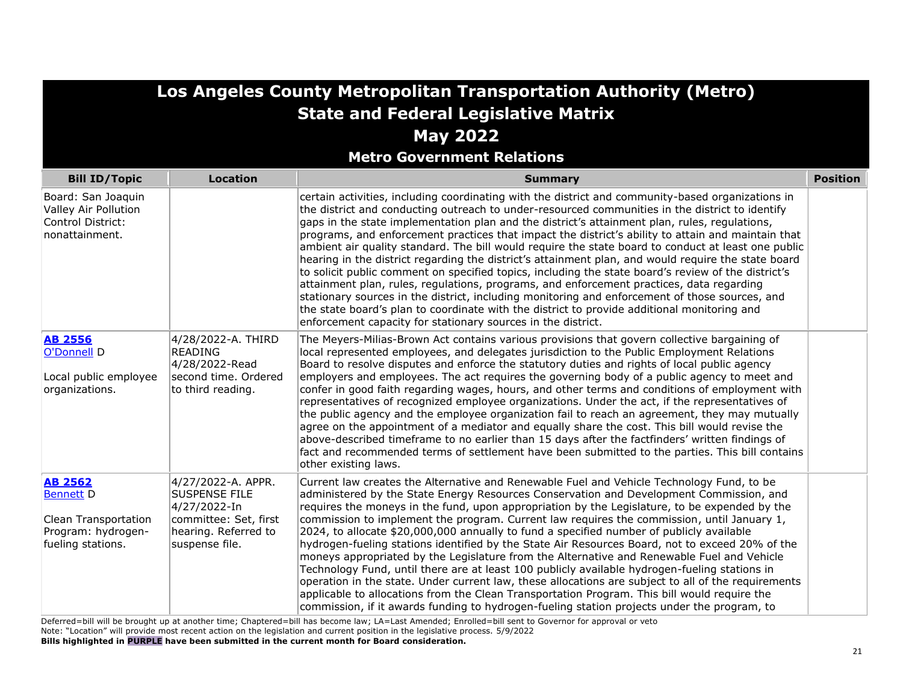|                                                                                                       |                                                                                                                               | Los Angeles County Metropolitan Transportation Authority (Metro)<br><b>State and Federal Legislative Matrix</b>                                                                                                                                                                                                                                                                                                                                                                                                                                                                                                                                                                                                                                                                                                                                                                                                                                                                                                                                                                                                                                                                                                                                               |                 |
|-------------------------------------------------------------------------------------------------------|-------------------------------------------------------------------------------------------------------------------------------|---------------------------------------------------------------------------------------------------------------------------------------------------------------------------------------------------------------------------------------------------------------------------------------------------------------------------------------------------------------------------------------------------------------------------------------------------------------------------------------------------------------------------------------------------------------------------------------------------------------------------------------------------------------------------------------------------------------------------------------------------------------------------------------------------------------------------------------------------------------------------------------------------------------------------------------------------------------------------------------------------------------------------------------------------------------------------------------------------------------------------------------------------------------------------------------------------------------------------------------------------------------|-----------------|
|                                                                                                       |                                                                                                                               | <b>May 2022</b><br><b>Metro Government Relations</b>                                                                                                                                                                                                                                                                                                                                                                                                                                                                                                                                                                                                                                                                                                                                                                                                                                                                                                                                                                                                                                                                                                                                                                                                          |                 |
| <b>Bill ID/Topic</b>                                                                                  | <b>Location</b>                                                                                                               | <b>Summary</b>                                                                                                                                                                                                                                                                                                                                                                                                                                                                                                                                                                                                                                                                                                                                                                                                                                                                                                                                                                                                                                                                                                                                                                                                                                                | <b>Position</b> |
| Board: San Joaquin<br>Valley Air Pollution<br>Control District:<br>nonattainment.                     |                                                                                                                               | certain activities, including coordinating with the district and community-based organizations in<br>the district and conducting outreach to under-resourced communities in the district to identify<br>gaps in the state implementation plan and the district's attainment plan, rules, regulations,<br>programs, and enforcement practices that impact the district's ability to attain and maintain that<br>ambient air quality standard. The bill would require the state board to conduct at least one public<br>hearing in the district regarding the district's attainment plan, and would require the state board<br>to solicit public comment on specified topics, including the state board's review of the district's<br>attainment plan, rules, regulations, programs, and enforcement practices, data regarding<br>stationary sources in the district, including monitoring and enforcement of those sources, and<br>the state board's plan to coordinate with the district to provide additional monitoring and<br>enforcement capacity for stationary sources in the district.                                                                                                                                                                 |                 |
| <b>AB 2556</b><br>O'Donnell D<br>Local public employee<br>organizations.                              | 4/28/2022-A. THIRD<br>READING<br>4/28/2022-Read<br>second time. Ordered<br>to third reading.                                  | The Meyers-Milias-Brown Act contains various provisions that govern collective bargaining of<br>local represented employees, and delegates jurisdiction to the Public Employment Relations<br>Board to resolve disputes and enforce the statutory duties and rights of local public agency<br>employers and employees. The act requires the governing body of a public agency to meet and<br>confer in good faith regarding wages, hours, and other terms and conditions of employment with<br>representatives of recognized employee organizations. Under the act, if the representatives of<br>the public agency and the employee organization fail to reach an agreement, they may mutually<br>agree on the appointment of a mediator and equally share the cost. This bill would revise the<br>above-described timeframe to no earlier than 15 days after the factfinders' written findings of<br>fact and recommended terms of settlement have been submitted to the parties. This bill contains<br>other existing laws.                                                                                                                                                                                                                                 |                 |
| <b>AB 2562</b><br><b>Bennett D</b><br>Clean Transportation<br>Program: hydrogen-<br>fueling stations. | 4/27/2022-A. APPR.<br><b>SUSPENSE FILE</b><br>4/27/2022-In<br>committee: Set, first<br>hearing. Referred to<br>suspense file. | Current law creates the Alternative and Renewable Fuel and Vehicle Technology Fund, to be<br>administered by the State Energy Resources Conservation and Development Commission, and<br>requires the moneys in the fund, upon appropriation by the Legislature, to be expended by the<br>commission to implement the program. Current law requires the commission, until January 1,<br>2024, to allocate \$20,000,000 annually to fund a specified number of publicly available<br>hydrogen-fueling stations identified by the State Air Resources Board, not to exceed 20% of the<br>moneys appropriated by the Legislature from the Alternative and Renewable Fuel and Vehicle<br>Technology Fund, until there are at least 100 publicly available hydrogen-fueling stations in<br>operation in the state. Under current law, these allocations are subject to all of the requirements<br>applicable to allocations from the Clean Transportation Program. This bill would require the<br>commission, if it awards funding to hydrogen-fueling station projects under the program, to<br>$\mathbf{r}$ , $\mathbf{r}$ , $\mathbf{r}$ , $\mathbf{r}$ , $\mathbf{r}$ , $\mathbf{r}$ , $\mathbf{r}$ , $\mathbf{r}$ , $\mathbf{r}$ , $\mathbf{r}$ , $\mathbf{r}$ |                 |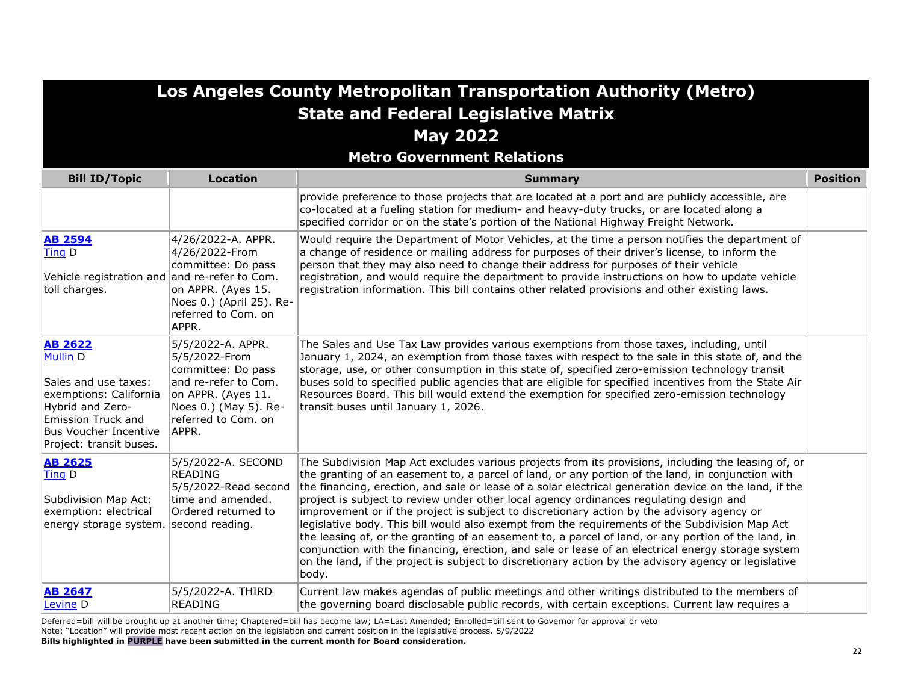| Los Angeles County Metropolitan Transportation Authority (Metro)                                                                                                           |                                                                                                                                                                 |                                                                                                                                                                                                                                                                                                                                                                                                                                                                                                                                                                                                                                                                                                                                                                                                                                                                                                                                            |                 |
|----------------------------------------------------------------------------------------------------------------------------------------------------------------------------|-----------------------------------------------------------------------------------------------------------------------------------------------------------------|--------------------------------------------------------------------------------------------------------------------------------------------------------------------------------------------------------------------------------------------------------------------------------------------------------------------------------------------------------------------------------------------------------------------------------------------------------------------------------------------------------------------------------------------------------------------------------------------------------------------------------------------------------------------------------------------------------------------------------------------------------------------------------------------------------------------------------------------------------------------------------------------------------------------------------------------|-----------------|
|                                                                                                                                                                            |                                                                                                                                                                 | <b>State and Federal Legislative Matrix</b>                                                                                                                                                                                                                                                                                                                                                                                                                                                                                                                                                                                                                                                                                                                                                                                                                                                                                                |                 |
|                                                                                                                                                                            |                                                                                                                                                                 | <b>May 2022</b>                                                                                                                                                                                                                                                                                                                                                                                                                                                                                                                                                                                                                                                                                                                                                                                                                                                                                                                            |                 |
|                                                                                                                                                                            |                                                                                                                                                                 | <b>Metro Government Relations</b>                                                                                                                                                                                                                                                                                                                                                                                                                                                                                                                                                                                                                                                                                                                                                                                                                                                                                                          |                 |
| <b>Bill ID/Topic</b>                                                                                                                                                       | <b>Location</b>                                                                                                                                                 | <b>Summary</b>                                                                                                                                                                                                                                                                                                                                                                                                                                                                                                                                                                                                                                                                                                                                                                                                                                                                                                                             | <b>Position</b> |
|                                                                                                                                                                            |                                                                                                                                                                 | provide preference to those projects that are located at a port and are publicly accessible, are<br>co-located at a fueling station for medium- and heavy-duty trucks, or are located along a<br>specified corridor or on the state's portion of the National Highway Freight Network.                                                                                                                                                                                                                                                                                                                                                                                                                                                                                                                                                                                                                                                     |                 |
| <b>AB 2594</b><br>Ting D<br>Vehicle registration and and re-refer to Com.<br>toll charges.                                                                                 | 4/26/2022-A. APPR.<br>4/26/2022-From<br>committee: Do pass<br>on APPR. (Ayes 15.<br>Noes 0.) (April 25). Re-<br>referred to Com. on<br>APPR.                    | Would require the Department of Motor Vehicles, at the time a person notifies the department of<br>a change of residence or mailing address for purposes of their driver's license, to inform the<br>person that they may also need to change their address for purposes of their vehicle<br>registration, and would require the department to provide instructions on how to update vehicle<br>registration information. This bill contains other related provisions and other existing laws.                                                                                                                                                                                                                                                                                                                                                                                                                                             |                 |
| <b>AB 2622</b><br>Mullin D<br>Sales and use taxes:<br>exemptions: California<br>Hybrid and Zero-<br>Emission Truck and<br>Bus Voucher Incentive<br>Project: transit buses. | 5/5/2022-A. APPR.<br>5/5/2022-From<br>committee: Do pass<br>and re-refer to Com.<br>on APPR. (Ayes 11.<br>Noes 0.) (May 5). Re-<br>referred to Com. on<br>APPR. | The Sales and Use Tax Law provides various exemptions from those taxes, including, until<br>January 1, 2024, an exemption from those taxes with respect to the sale in this state of, and the<br>storage, use, or other consumption in this state of, specified zero-emission technology transit<br>buses sold to specified public agencies that are eligible for specified incentives from the State Air<br>Resources Board. This bill would extend the exemption for specified zero-emission technology<br>transit buses until January 1, 2026.                                                                                                                                                                                                                                                                                                                                                                                          |                 |
| <b>AB 2625</b><br>Ting D<br>Subdivision Map Act:<br>exemption: electrical<br>energy storage system. second reading.                                                        | 5/5/2022-A. SECOND<br><b>READING</b><br>5/5/2022-Read second<br>time and amended.<br>Ordered returned to                                                        | The Subdivision Map Act excludes various projects from its provisions, including the leasing of, or<br>the granting of an easement to, a parcel of land, or any portion of the land, in conjunction with<br>the financing, erection, and sale or lease of a solar electrical generation device on the land, if the<br>project is subject to review under other local agency ordinances regulating design and<br>improvement or if the project is subject to discretionary action by the advisory agency or<br>legislative body. This bill would also exempt from the requirements of the Subdivision Map Act<br>the leasing of, or the granting of an easement to, a parcel of land, or any portion of the land, in<br>conjunction with the financing, erection, and sale or lease of an electrical energy storage system<br>on the land, if the project is subject to discretionary action by the advisory agency or legislative<br>body. |                 |
| <b>AB 2647</b><br>Levine D                                                                                                                                                 | 5/5/2022-A. THIRD<br><b>READING</b>                                                                                                                             | Current law makes agendas of public meetings and other writings distributed to the members of<br>the governing board disclosable public records, with certain exceptions. Current law requires a                                                                                                                                                                                                                                                                                                                                                                                                                                                                                                                                                                                                                                                                                                                                           |                 |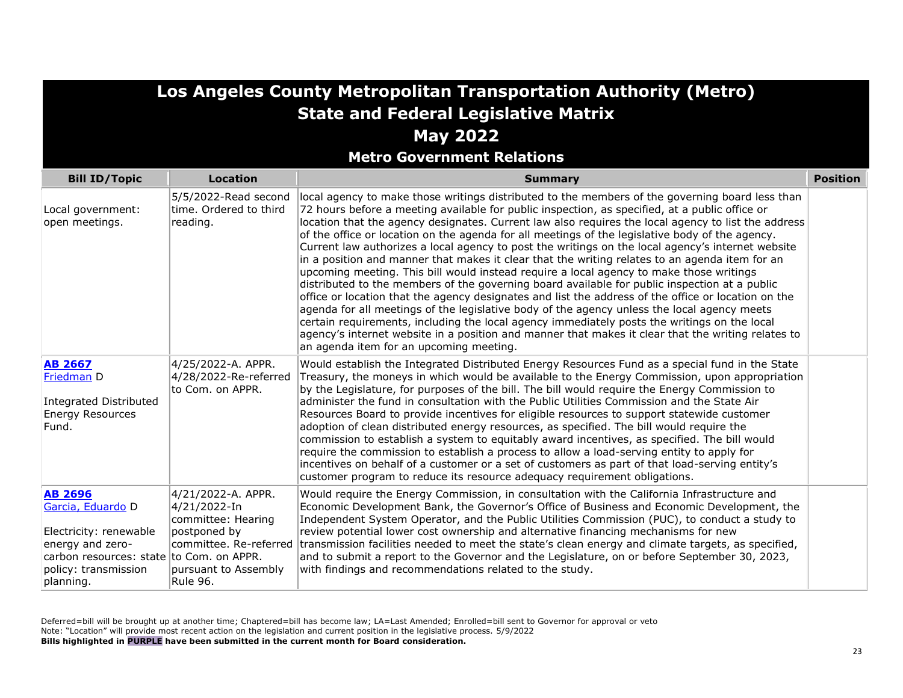| Los Angeles County Metropolitan Transportation Authority (Metro)<br><b>State and Federal Legislative Matrix</b><br><b>May 2022</b>                                 |                                                                                                                                               |                                                                                                                                                                                                                                                                                                                                                                                                                                                                                                                                                                                                                                                                                                                                                                                                                                                                                                                                                                                                                                                                                                                                                                                                                                                                       |                 |
|--------------------------------------------------------------------------------------------------------------------------------------------------------------------|-----------------------------------------------------------------------------------------------------------------------------------------------|-----------------------------------------------------------------------------------------------------------------------------------------------------------------------------------------------------------------------------------------------------------------------------------------------------------------------------------------------------------------------------------------------------------------------------------------------------------------------------------------------------------------------------------------------------------------------------------------------------------------------------------------------------------------------------------------------------------------------------------------------------------------------------------------------------------------------------------------------------------------------------------------------------------------------------------------------------------------------------------------------------------------------------------------------------------------------------------------------------------------------------------------------------------------------------------------------------------------------------------------------------------------------|-----------------|
| <b>Bill ID/Topic</b>                                                                                                                                               | <b>Location</b>                                                                                                                               | <b>Metro Government Relations</b><br><b>Summary</b>                                                                                                                                                                                                                                                                                                                                                                                                                                                                                                                                                                                                                                                                                                                                                                                                                                                                                                                                                                                                                                                                                                                                                                                                                   | <b>Position</b> |
| Local government:<br>open meetings.                                                                                                                                | 5/5/2022-Read second<br>time. Ordered to third<br>reading.                                                                                    | local agency to make those writings distributed to the members of the governing board less than<br>72 hours before a meeting available for public inspection, as specified, at a public office or<br>location that the agency designates. Current law also requires the local agency to list the address<br>of the office or location on the agenda for all meetings of the legislative body of the agency.<br>Current law authorizes a local agency to post the writings on the local agency's internet website<br>in a position and manner that makes it clear that the writing relates to an agenda item for an<br>upcoming meeting. This bill would instead require a local agency to make those writings<br>distributed to the members of the governing board available for public inspection at a public<br>office or location that the agency designates and list the address of the office or location on the<br>agenda for all meetings of the legislative body of the agency unless the local agency meets<br>certain requirements, including the local agency immediately posts the writings on the local<br>agency's internet website in a position and manner that makes it clear that the writing relates to<br>an agenda item for an upcoming meeting. |                 |
| <b>AB 2667</b><br>Friedman D<br>Integrated Distributed<br><b>Energy Resources</b><br>Fund.                                                                         | 4/25/2022-A. APPR.<br>4/28/2022-Re-referred<br>to Com. on APPR.                                                                               | Would establish the Integrated Distributed Energy Resources Fund as a special fund in the State<br>Treasury, the moneys in which would be available to the Energy Commission, upon appropriation<br>by the Legislature, for purposes of the bill. The bill would require the Energy Commission to<br>administer the fund in consultation with the Public Utilities Commission and the State Air<br>Resources Board to provide incentives for eligible resources to support statewide customer<br>adoption of clean distributed energy resources, as specified. The bill would require the<br>commission to establish a system to equitably award incentives, as specified. The bill would<br>require the commission to establish a process to allow a load-serving entity to apply for<br>incentives on behalf of a customer or a set of customers as part of that load-serving entity's<br>customer program to reduce its resource adequacy requirement obligations.                                                                                                                                                                                                                                                                                                 |                 |
| <b>AB 2696</b><br>Garcia, Eduardo D<br>Electricity: renewable<br>energy and zero-<br>carbon resources: state to Com. on APPR.<br>policy: transmission<br>planning. | 4/21/2022-A. APPR.<br>4/21/2022-In<br>committee: Hearing<br>postponed by<br>committee. Re-referred<br>pursuant to Assembly<br><b>Rule 96.</b> | Would require the Energy Commission, in consultation with the California Infrastructure and<br>Economic Development Bank, the Governor's Office of Business and Economic Development, the<br>Independent System Operator, and the Public Utilities Commission (PUC), to conduct a study to<br>review potential lower cost ownership and alternative financing mechanisms for new<br>transmission facilities needed to meet the state's clean energy and climate targets, as specified,<br>and to submit a report to the Governor and the Legislature, on or before September 30, 2023,<br>with findings and recommendations related to the study.                                                                                                                                                                                                                                                                                                                                                                                                                                                                                                                                                                                                                     |                 |

**Los Angeles County Metropolitan Transportation Authority (Metro)**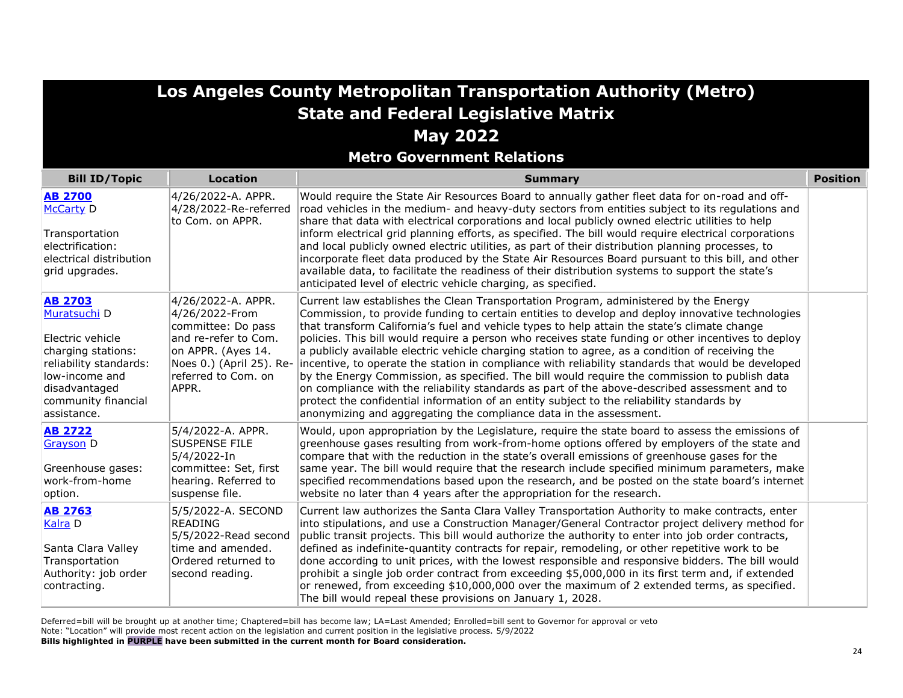| Los Angeles County Metropolitan Transportation Authority (Metro)                                                                                                             |                                                                                                                                                                      |                                                                                                                                                                                                                                                                                                                                                                                                                                                                                                                                                                                                                                                                                                                                                                                                                                                                                                                                                                                |                 |
|------------------------------------------------------------------------------------------------------------------------------------------------------------------------------|----------------------------------------------------------------------------------------------------------------------------------------------------------------------|--------------------------------------------------------------------------------------------------------------------------------------------------------------------------------------------------------------------------------------------------------------------------------------------------------------------------------------------------------------------------------------------------------------------------------------------------------------------------------------------------------------------------------------------------------------------------------------------------------------------------------------------------------------------------------------------------------------------------------------------------------------------------------------------------------------------------------------------------------------------------------------------------------------------------------------------------------------------------------|-----------------|
|                                                                                                                                                                              |                                                                                                                                                                      | <b>State and Federal Legislative Matrix</b>                                                                                                                                                                                                                                                                                                                                                                                                                                                                                                                                                                                                                                                                                                                                                                                                                                                                                                                                    |                 |
|                                                                                                                                                                              |                                                                                                                                                                      | <b>May 2022</b>                                                                                                                                                                                                                                                                                                                                                                                                                                                                                                                                                                                                                                                                                                                                                                                                                                                                                                                                                                |                 |
|                                                                                                                                                                              |                                                                                                                                                                      | <b>Metro Government Relations</b>                                                                                                                                                                                                                                                                                                                                                                                                                                                                                                                                                                                                                                                                                                                                                                                                                                                                                                                                              |                 |
| <b>Bill ID/Topic</b>                                                                                                                                                         | <b>Location</b>                                                                                                                                                      | <b>Summary</b>                                                                                                                                                                                                                                                                                                                                                                                                                                                                                                                                                                                                                                                                                                                                                                                                                                                                                                                                                                 | <b>Position</b> |
| <b>AB 2700</b><br><b>McCarty D</b><br>Transportation<br>electrification:<br>electrical distribution                                                                          | 4/26/2022-A. APPR.<br>4/28/2022-Re-referred<br>to Com. on APPR.                                                                                                      | Would require the State Air Resources Board to annually gather fleet data for on-road and off-<br>road vehicles in the medium- and heavy-duty sectors from entities subject to its regulations and<br>share that data with electrical corporations and local publicly owned electric utilities to help<br>inform electrical grid planning efforts, as specified. The bill would require electrical corporations<br>and local publicly owned electric utilities, as part of their distribution planning processes, to<br>incorporate fleet data produced by the State Air Resources Board pursuant to this bill, and other                                                                                                                                                                                                                                                                                                                                                      |                 |
| grid upgrades.                                                                                                                                                               |                                                                                                                                                                      | available data, to facilitate the readiness of their distribution systems to support the state's<br>anticipated level of electric vehicle charging, as specified.                                                                                                                                                                                                                                                                                                                                                                                                                                                                                                                                                                                                                                                                                                                                                                                                              |                 |
| <b>AB 2703</b><br>Muratsuchi D<br>Electric vehicle<br>charging stations:<br>reliability standards:<br>llow-income and<br>disadvantaged<br>community financial<br>assistance. | 4/26/2022-A. APPR.<br>4/26/2022-From<br>committee: Do pass<br>and re-refer to Com.<br>on APPR. (Ayes 14.<br>Noes 0.) (April 25). Re-<br>referred to Com, on<br>APPR. | Current law establishes the Clean Transportation Program, administered by the Energy<br>Commission, to provide funding to certain entities to develop and deploy innovative technologies<br>that transform California's fuel and vehicle types to help attain the state's climate change<br>policies. This bill would require a person who receives state funding or other incentives to deploy<br>a publicly available electric vehicle charging station to agree, as a condition of receiving the<br>incentive, to operate the station in compliance with reliability standards that would be developed<br>by the Energy Commission, as specified. The bill would require the commission to publish data<br>on compliance with the reliability standards as part of the above-described assessment and to<br>protect the confidential information of an entity subject to the reliability standards by<br>anonymizing and aggregating the compliance data in the assessment. |                 |
| <b>AB 2722</b><br><b>Grayson D</b><br>Greenhouse gases:<br>work-from-home<br>option.                                                                                         | 5/4/2022-A. APPR.<br><b>SUSPENSE FILE</b><br>5/4/2022-In<br>committee: Set, first<br>hearing. Referred to<br>suspense file.                                          | Would, upon appropriation by the Legislature, require the state board to assess the emissions of<br>greenhouse gases resulting from work-from-home options offered by employers of the state and<br>compare that with the reduction in the state's overall emissions of greenhouse gases for the<br>same year. The bill would require that the research include specified minimum parameters, make<br>specified recommendations based upon the research, and be posted on the state board's internet<br>website no later than 4 years after the appropriation for the research.                                                                                                                                                                                                                                                                                                                                                                                                |                 |
| <b>AB 2763</b><br>Kalra D<br>Santa Clara Valley<br>Transportation<br>Authority: job order<br>contracting.                                                                    | 5/5/2022-A. SECOND<br><b>READING</b><br>5/5/2022-Read second<br>time and amended.<br>Ordered returned to<br>second reading.                                          | Current law authorizes the Santa Clara Valley Transportation Authority to make contracts, enter<br>into stipulations, and use a Construction Manager/General Contractor project delivery method for<br>public transit projects. This bill would authorize the authority to enter into job order contracts,<br>defined as indefinite-quantity contracts for repair, remodeling, or other repetitive work to be<br>done according to unit prices, with the lowest responsible and responsive bidders. The bill would<br>prohibit a single job order contract from exceeding \$5,000,000 in its first term and, if extended<br>or renewed, from exceeding \$10,000,000 over the maximum of 2 extended terms, as specified.<br>The bill would repeal these provisions on January 1, 2028.                                                                                                                                                                                          |                 |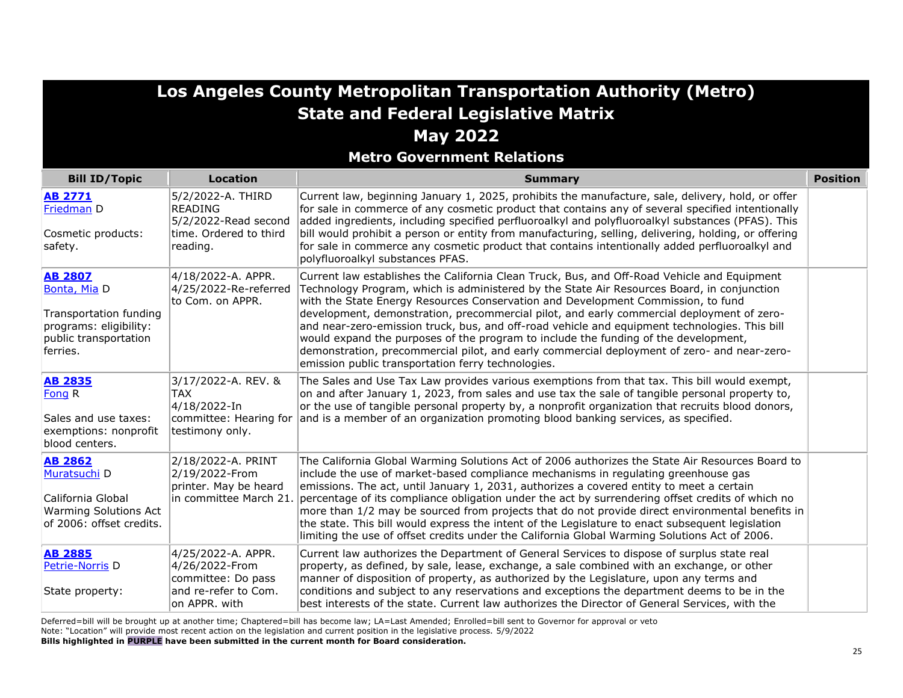**Metro Government Relations**

| <b>Bill ID/Topic</b>                                                                                                    | <b>Location</b>                                                                                     | <b>Summary</b>                                                                                                                                                                                                                                                                                                                                                                                                                                                                                                                                                                                                                                                                                                          | <b>Position</b> |
|-------------------------------------------------------------------------------------------------------------------------|-----------------------------------------------------------------------------------------------------|-------------------------------------------------------------------------------------------------------------------------------------------------------------------------------------------------------------------------------------------------------------------------------------------------------------------------------------------------------------------------------------------------------------------------------------------------------------------------------------------------------------------------------------------------------------------------------------------------------------------------------------------------------------------------------------------------------------------------|-----------------|
| <b>AB 2771</b><br>Friedman D<br>Cosmetic products:<br>safety.                                                           | 5/2/2022-A. THIRD<br><b>READING</b><br>5/2/2022-Read second<br>time. Ordered to third<br>reading.   | Current law, beginning January 1, 2025, prohibits the manufacture, sale, delivery, hold, or offer<br>for sale in commerce of any cosmetic product that contains any of several specified intentionally<br>added ingredients, including specified perfluoroalkyl and polyfluoroalkyl substances (PFAS). This<br>bill would prohibit a person or entity from manufacturing, selling, delivering, holding, or offering<br>for sale in commerce any cosmetic product that contains intentionally added perfluoroalkyl and<br>polyfluoroalkyl substances PFAS.                                                                                                                                                               |                 |
| <b>AB 2807</b><br>Bonta, Mia D<br>Transportation funding<br>programs: eligibility:<br>public transportation<br>ferries. | 4/18/2022-A. APPR.<br>4/25/2022-Re-referred<br>to Com. on APPR.                                     | Current law establishes the California Clean Truck, Bus, and Off-Road Vehicle and Equipment<br>Technology Program, which is administered by the State Air Resources Board, in conjunction<br>with the State Energy Resources Conservation and Development Commission, to fund<br>development, demonstration, precommercial pilot, and early commercial deployment of zero-<br>and near-zero-emission truck, bus, and off-road vehicle and equipment technologies. This bill<br>would expand the purposes of the program to include the funding of the development,<br>demonstration, precommercial pilot, and early commercial deployment of zero- and near-zero-<br>emission public transportation ferry technologies. |                 |
| <b>AB 2835</b><br>Fong R<br>Sales and use taxes:<br>exemptions: nonprofit<br>blood centers.                             | 3/17/2022-A. REV. &<br><b>TAX</b><br>4/18/2022-In<br>committee: Hearing for<br>testimony only.      | The Sales and Use Tax Law provides various exemptions from that tax. This bill would exempt,<br>on and after January 1, 2023, from sales and use tax the sale of tangible personal property to,<br>or the use of tangible personal property by, a nonprofit organization that recruits blood donors,<br>and is a member of an organization promoting blood banking services, as specified.                                                                                                                                                                                                                                                                                                                              |                 |
| <b>AB 2862</b><br>Muratsuchi D<br>California Global<br><b>Warming Solutions Act</b><br>of 2006: offset credits.         | 2/18/2022-A. PRINT<br>2/19/2022-From<br>printer. May be heard<br>lin committee March 21.            | The California Global Warming Solutions Act of 2006 authorizes the State Air Resources Board to<br>include the use of market-based compliance mechanisms in regulating greenhouse gas<br>emissions. The act, until January 1, 2031, authorizes a covered entity to meet a certain<br>percentage of its compliance obligation under the act by surrendering offset credits of which no<br>more than 1/2 may be sourced from projects that do not provide direct environmental benefits in<br>the state. This bill would express the intent of the Legislature to enact subsequent legislation<br>limiting the use of offset credits under the California Global Warming Solutions Act of 2006.                           |                 |
| <b>AB 2885</b><br>Petrie-Norris D<br>State property:                                                                    | 4/25/2022-A. APPR.<br>4/26/2022-From<br>committee: Do pass<br>and re-refer to Com.<br>on APPR. with | Current law authorizes the Department of General Services to dispose of surplus state real<br>property, as defined, by sale, lease, exchange, a sale combined with an exchange, or other<br>manner of disposition of property, as authorized by the Legislature, upon any terms and<br>conditions and subject to any reservations and exceptions the department deems to be in the<br>best interests of the state. Current law authorizes the Director of General Services, with the                                                                                                                                                                                                                                    |                 |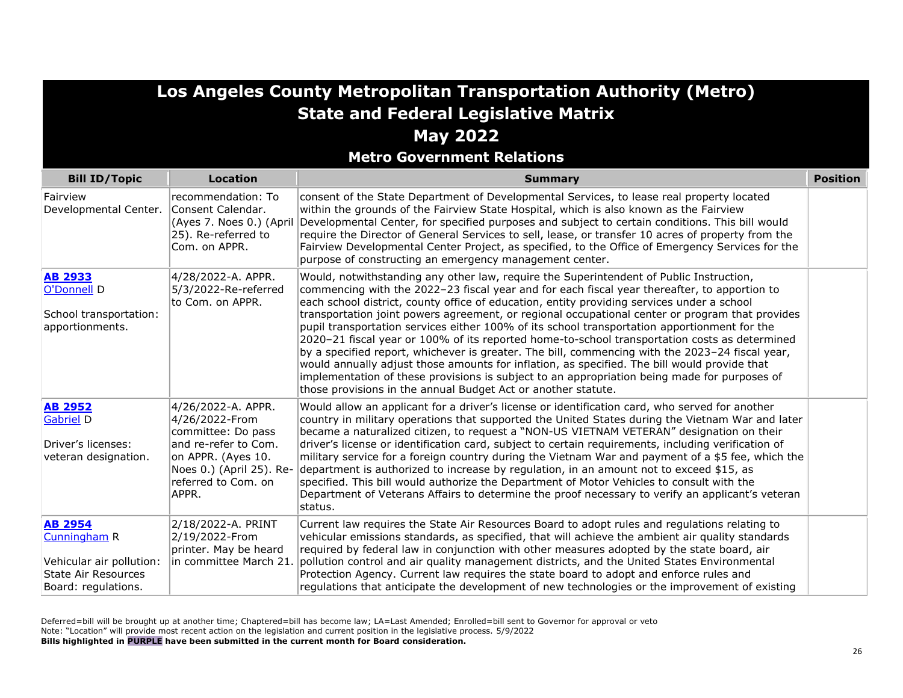| <b>State and Federal Legislative Matrix</b><br><b>May 2022</b><br><b>Metro Government Relations</b>             |                                                                                                                                                                      |                                                                                                                                                                                                                                                                                                                                                                                                                                                                                                                                                                                                                                                                                                                                                                                                                                                                                                                                                               |                 |
|-----------------------------------------------------------------------------------------------------------------|----------------------------------------------------------------------------------------------------------------------------------------------------------------------|---------------------------------------------------------------------------------------------------------------------------------------------------------------------------------------------------------------------------------------------------------------------------------------------------------------------------------------------------------------------------------------------------------------------------------------------------------------------------------------------------------------------------------------------------------------------------------------------------------------------------------------------------------------------------------------------------------------------------------------------------------------------------------------------------------------------------------------------------------------------------------------------------------------------------------------------------------------|-----------------|
| <b>Bill ID/Topic</b>                                                                                            | <b>Location</b>                                                                                                                                                      | <b>Summary</b>                                                                                                                                                                                                                                                                                                                                                                                                                                                                                                                                                                                                                                                                                                                                                                                                                                                                                                                                                | <b>Position</b> |
| Fairview<br>Developmental Center.                                                                               | recommendation: To<br>Consent Calendar.<br>(Ayes 7. Noes 0.) (April<br>25). Re-referred to<br>Com. on APPR.                                                          | consent of the State Department of Developmental Services, to lease real property located<br>within the grounds of the Fairview State Hospital, which is also known as the Fairview<br>Developmental Center, for specified purposes and subject to certain conditions. This bill would<br>require the Director of General Services to sell, lease, or transfer 10 acres of property from the<br>Fairview Developmental Center Project, as specified, to the Office of Emergency Services for the<br>purpose of constructing an emergency management center.                                                                                                                                                                                                                                                                                                                                                                                                   |                 |
| <b>AB 2933</b><br>O'Donnell D<br>School transportation:<br>apportionments.                                      | 4/28/2022-A. APPR.<br>5/3/2022-Re-referred<br>to Com. on APPR.                                                                                                       | Would, notwithstanding any other law, require the Superintendent of Public Instruction,<br>commencing with the 2022-23 fiscal year and for each fiscal year thereafter, to apportion to<br>each school district, county office of education, entity providing services under a school<br>transportation joint powers agreement, or regional occupational center or program that provides<br>pupil transportation services either 100% of its school transportation apportionment for the<br>2020-21 fiscal year or 100% of its reported home-to-school transportation costs as determined<br>by a specified report, whichever is greater. The bill, commencing with the 2023-24 fiscal year,<br>would annually adjust those amounts for inflation, as specified. The bill would provide that<br>implementation of these provisions is subject to an appropriation being made for purposes of<br>those provisions in the annual Budget Act or another statute. |                 |
| <b>AB 2952</b><br>Gabriel D<br>Driver's licenses:<br>veteran designation.                                       | 4/26/2022-A. APPR.<br>4/26/2022-From<br>committee: Do pass<br>and re-refer to Com.<br>on APPR. (Ayes 10.<br>Noes 0.) (April 25). Re-<br>referred to Com. on<br>APPR. | Would allow an applicant for a driver's license or identification card, who served for another<br>country in military operations that supported the United States during the Vietnam War and later<br>became a naturalized citizen, to request a "NON-US VIETNAM VETERAN" designation on their<br>driver's license or identification card, subject to certain requirements, including verification of<br>military service for a foreign country during the Vietnam War and payment of a \$5 fee, which the<br>department is authorized to increase by regulation, in an amount not to exceed \$15, as<br>specified. This bill would authorize the Department of Motor Vehicles to consult with the<br>Department of Veterans Affairs to determine the proof necessary to verify an applicant's veteran<br>status.                                                                                                                                             |                 |
| <b>AB 2954</b><br>Cunningham R<br>Vehicular air pollution:<br><b>State Air Resources</b><br>Board: regulations. | 2/18/2022-A. PRINT<br>2/19/2022-From<br>printer. May be heard<br>in committee March 21.                                                                              | Current law requires the State Air Resources Board to adopt rules and regulations relating to<br>vehicular emissions standards, as specified, that will achieve the ambient air quality standards<br>required by federal law in conjunction with other measures adopted by the state board, air<br>pollution control and air quality management districts, and the United States Environmental<br>Protection Agency. Current law requires the state board to adopt and enforce rules and<br>regulations that anticipate the development of new technologies or the improvement of existing                                                                                                                                                                                                                                                                                                                                                                    |                 |

**Los Angeles County Metropolitan Transportation Authority (Metro)**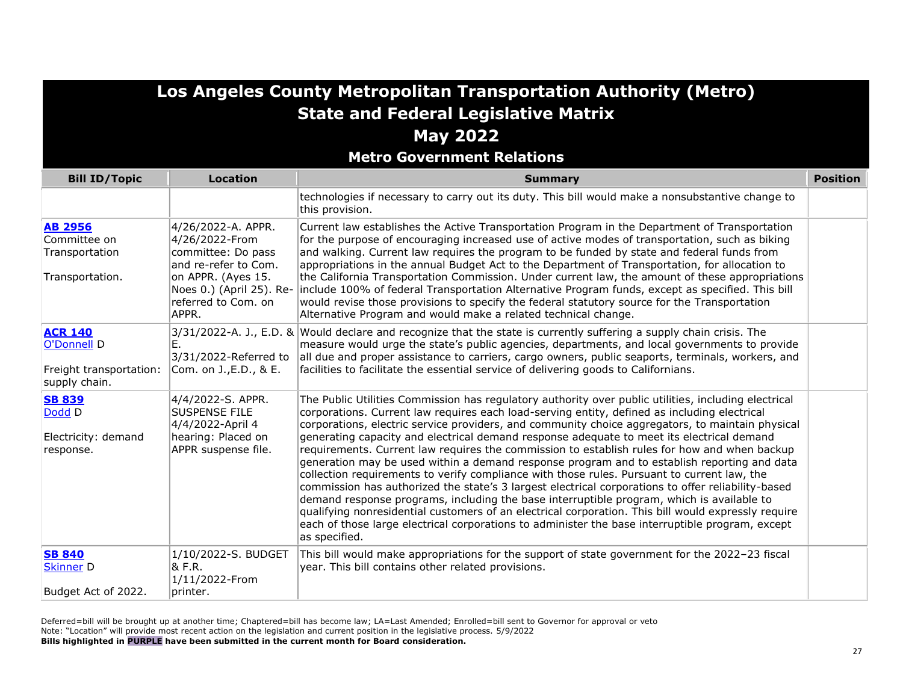**Metro Government Relations**

| <b>Bill ID/Topic</b>                                                      | <b>Location</b>                                                                                                                                                      | <b>Summary</b>                                                                                                                                                                                                                                                                                                                                                                                                                                                                                                                                                                                                                                                                                                                                                                                                                                                                                                                                                                                                                                                                                                                     | <b>Position</b> |
|---------------------------------------------------------------------------|----------------------------------------------------------------------------------------------------------------------------------------------------------------------|------------------------------------------------------------------------------------------------------------------------------------------------------------------------------------------------------------------------------------------------------------------------------------------------------------------------------------------------------------------------------------------------------------------------------------------------------------------------------------------------------------------------------------------------------------------------------------------------------------------------------------------------------------------------------------------------------------------------------------------------------------------------------------------------------------------------------------------------------------------------------------------------------------------------------------------------------------------------------------------------------------------------------------------------------------------------------------------------------------------------------------|-----------------|
|                                                                           |                                                                                                                                                                      | technologies if necessary to carry out its duty. This bill would make a nonsubstantive change to<br>this provision.                                                                                                                                                                                                                                                                                                                                                                                                                                                                                                                                                                                                                                                                                                                                                                                                                                                                                                                                                                                                                |                 |
| <b>AB 2956</b><br>Committee on<br>Transportation<br>Transportation.       | 4/26/2022-A. APPR.<br>4/26/2022-From<br>committee: Do pass<br>and re-refer to Com.<br>on APPR. (Ayes 15.<br>Noes 0.) (April 25). Re-<br>referred to Com. on<br>APPR. | Current law establishes the Active Transportation Program in the Department of Transportation<br>for the purpose of encouraging increased use of active modes of transportation, such as biking<br>and walking. Current law requires the program to be funded by state and federal funds from<br>appropriations in the annual Budget Act to the Department of Transportation, for allocation to<br>the California Transportation Commission. Under current law, the amount of these appropriations<br>include 100% of federal Transportation Alternative Program funds, except as specified. This bill<br>would revise those provisions to specify the federal statutory source for the Transportation<br>Alternative Program and would make a related technical change.                                                                                                                                                                                                                                                                                                                                                           |                 |
| <b>ACR 140</b><br>O'Donnell D<br>Freight transportation:<br>supply chain. | Ε.<br>3/31/2022-Referred to<br>Com. on J., E.D., & E.                                                                                                                | 3/31/2022-A. J., E.D. & Would declare and recognize that the state is currently suffering a supply chain crisis. The<br>measure would urge the state's public agencies, departments, and local governments to provide<br>all due and proper assistance to carriers, cargo owners, public seaports, terminals, workers, and<br>facilities to facilitate the essential service of delivering goods to Californians.                                                                                                                                                                                                                                                                                                                                                                                                                                                                                                                                                                                                                                                                                                                  |                 |
| <b>SB 839</b><br>Dodd D<br>Electricity: demand<br>response.               | 4/4/2022-S. APPR.<br><b>SUSPENSE FILE</b><br>4/4/2022-April 4<br>hearing: Placed on<br>APPR suspense file.                                                           | The Public Utilities Commission has regulatory authority over public utilities, including electrical<br>corporations. Current law requires each load-serving entity, defined as including electrical<br>corporations, electric service providers, and community choice aggregators, to maintain physical<br>generating capacity and electrical demand response adequate to meet its electrical demand<br>requirements. Current law requires the commission to establish rules for how and when backup<br>generation may be used within a demand response program and to establish reporting and data<br>collection requirements to verify compliance with those rules. Pursuant to current law, the<br>commission has authorized the state's 3 largest electrical corporations to offer reliability-based<br>demand response programs, including the base interruptible program, which is available to<br>qualifying nonresidential customers of an electrical corporation. This bill would expressly require<br>each of those large electrical corporations to administer the base interruptible program, except<br>as specified. |                 |
| <b>SB 840</b><br><b>Skinner D</b><br>Budget Act of 2022.                  | 1/10/2022-S. BUDGET<br>& F.R.<br>1/11/2022-From<br>printer.                                                                                                          | This bill would make appropriations for the support of state government for the 2022-23 fiscal<br>year. This bill contains other related provisions.                                                                                                                                                                                                                                                                                                                                                                                                                                                                                                                                                                                                                                                                                                                                                                                                                                                                                                                                                                               |                 |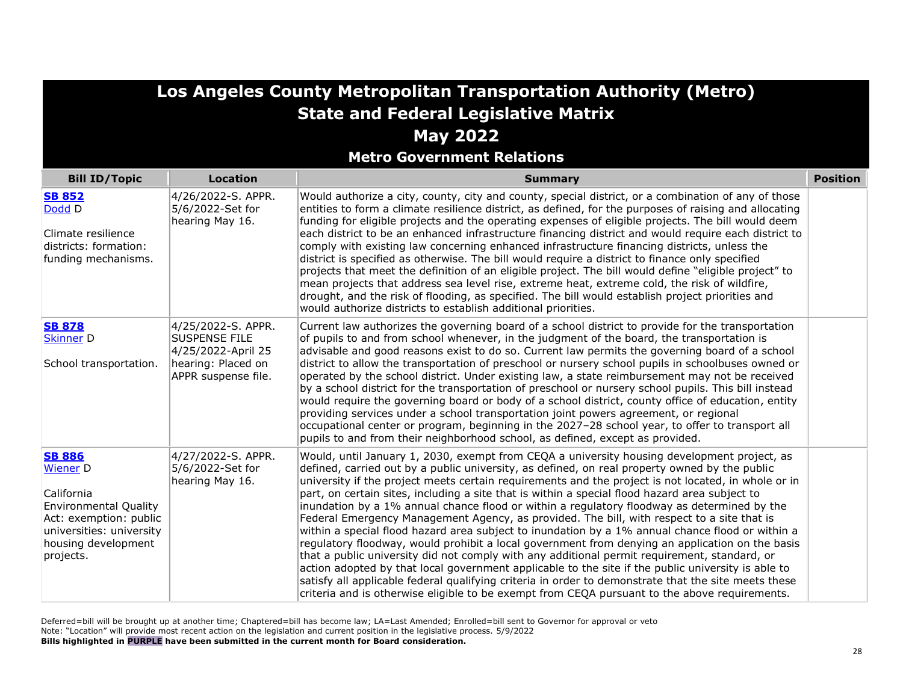| <b>State and Federal Legislative Matrix</b><br><b>May 2022</b><br><b>Metro Government Relations</b>                                                                      |                                                                                                               |                                                                                                                                                                                                                                                                                                                                                                                                                                                                                                                                                                                                                                                                                                                                                                                                                                                                                                                                                                                                                                                                                                                                                                                                                          |                 |
|--------------------------------------------------------------------------------------------------------------------------------------------------------------------------|---------------------------------------------------------------------------------------------------------------|--------------------------------------------------------------------------------------------------------------------------------------------------------------------------------------------------------------------------------------------------------------------------------------------------------------------------------------------------------------------------------------------------------------------------------------------------------------------------------------------------------------------------------------------------------------------------------------------------------------------------------------------------------------------------------------------------------------------------------------------------------------------------------------------------------------------------------------------------------------------------------------------------------------------------------------------------------------------------------------------------------------------------------------------------------------------------------------------------------------------------------------------------------------------------------------------------------------------------|-----------------|
| <b>Bill ID/Topic</b>                                                                                                                                                     | <b>Location</b>                                                                                               | <b>Summary</b>                                                                                                                                                                                                                                                                                                                                                                                                                                                                                                                                                                                                                                                                                                                                                                                                                                                                                                                                                                                                                                                                                                                                                                                                           | <b>Position</b> |
| <b>SB 852</b><br>Dodd D<br>Climate resilience<br>districts: formation:<br>funding mechanisms.                                                                            | 4/26/2022-S. APPR.<br>5/6/2022-Set for<br>hearing May 16.                                                     | Would authorize a city, county, city and county, special district, or a combination of any of those<br>entities to form a climate resilience district, as defined, for the purposes of raising and allocating<br>funding for eligible projects and the operating expenses of eligible projects. The bill would deem<br>each district to be an enhanced infrastructure financing district and would require each district to<br>comply with existing law concerning enhanced infrastructure financing districts, unless the<br>district is specified as otherwise. The bill would require a district to finance only specified<br>projects that meet the definition of an eligible project. The bill would define "eligible project" to<br>mean projects that address sea level rise, extreme heat, extreme cold, the risk of wildfire,<br>drought, and the risk of flooding, as specified. The bill would establish project priorities and<br>would authorize districts to establish additional priorities.                                                                                                                                                                                                              |                 |
| <b>SB 878</b><br><b>Skinner D</b><br>School transportation.                                                                                                              | 4/25/2022-S. APPR.<br><b>SUSPENSE FILE</b><br>4/25/2022-April 25<br>hearing: Placed on<br>APPR suspense file. | Current law authorizes the governing board of a school district to provide for the transportation<br>of pupils to and from school whenever, in the judgment of the board, the transportation is<br>advisable and good reasons exist to do so. Current law permits the governing board of a school<br>district to allow the transportation of preschool or nursery school pupils in schoolbuses owned or<br>operated by the school district. Under existing law, a state reimbursement may not be received<br>by a school district for the transportation of preschool or nursery school pupils. This bill instead<br>would require the governing board or body of a school district, county office of education, entity<br>providing services under a school transportation joint powers agreement, or regional<br>occupational center or program, beginning in the 2027-28 school year, to offer to transport all<br>pupils to and from their neighborhood school, as defined, except as provided.                                                                                                                                                                                                                      |                 |
| <b>SB 886</b><br><b>Wiener D</b><br>California<br><b>Environmental Quality</b><br>Act: exemption: public<br>universities: university<br>housing development<br>projects. | 4/27/2022-S. APPR.<br>5/6/2022-Set for<br>hearing May 16.                                                     | Would, until January 1, 2030, exempt from CEQA a university housing development project, as<br>defined, carried out by a public university, as defined, on real property owned by the public<br>university if the project meets certain requirements and the project is not located, in whole or in<br>part, on certain sites, including a site that is within a special flood hazard area subject to<br>inundation by a 1% annual chance flood or within a regulatory floodway as determined by the<br>Federal Emergency Management Agency, as provided. The bill, with respect to a site that is<br>within a special flood hazard area subject to inundation by a 1% annual chance flood or within a<br>regulatory floodway, would prohibit a local government from denying an application on the basis<br>that a public university did not comply with any additional permit requirement, standard, or<br>action adopted by that local government applicable to the site if the public university is able to<br>satisfy all applicable federal qualifying criteria in order to demonstrate that the site meets these<br>criteria and is otherwise eligible to be exempt from CEQA pursuant to the above requirements. |                 |

**Los Angeles County Metropolitan Transportation Authority (Metro)**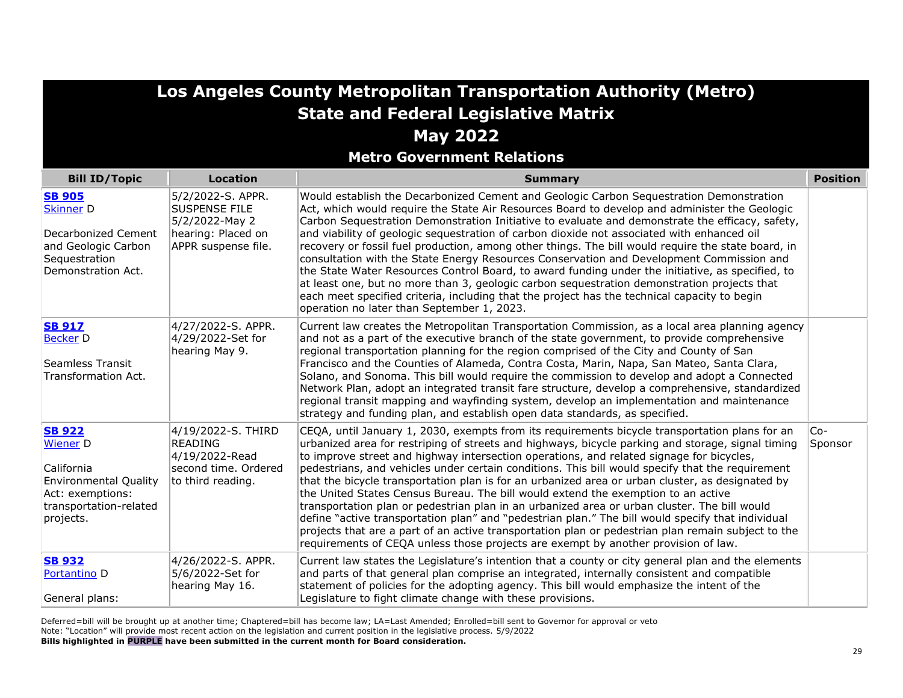| <b>State and Federal Legislative Matrix</b><br><b>May 2022</b><br><b>Metro Government Relations</b>                                |                                                                                                          |                                                                                                                                                                                                                                                                                                                                                                                                                                                                                                                                                                                                                                                                                                                                                                                                                                                                                                                                                                                               |                  |
|------------------------------------------------------------------------------------------------------------------------------------|----------------------------------------------------------------------------------------------------------|-----------------------------------------------------------------------------------------------------------------------------------------------------------------------------------------------------------------------------------------------------------------------------------------------------------------------------------------------------------------------------------------------------------------------------------------------------------------------------------------------------------------------------------------------------------------------------------------------------------------------------------------------------------------------------------------------------------------------------------------------------------------------------------------------------------------------------------------------------------------------------------------------------------------------------------------------------------------------------------------------|------------------|
| <b>Bill ID/Topic</b>                                                                                                               | <b>Location</b>                                                                                          | <b>Summary</b>                                                                                                                                                                                                                                                                                                                                                                                                                                                                                                                                                                                                                                                                                                                                                                                                                                                                                                                                                                                | <b>Position</b>  |
| <b>SB 905</b><br><b>Skinner D</b><br>Decarbonized Cement<br>and Geologic Carbon<br>Sequestration<br>Demonstration Act.             | 5/2/2022-S. APPR.<br><b>SUSPENSE FILE</b><br>5/2/2022-May 2<br>hearing: Placed on<br>APPR suspense file. | Would establish the Decarbonized Cement and Geologic Carbon Sequestration Demonstration<br>Act, which would require the State Air Resources Board to develop and administer the Geologic<br>Carbon Sequestration Demonstration Initiative to evaluate and demonstrate the efficacy, safety,<br>and viability of geologic sequestration of carbon dioxide not associated with enhanced oil<br>recovery or fossil fuel production, among other things. The bill would require the state board, in<br>consultation with the State Energy Resources Conservation and Development Commission and<br>the State Water Resources Control Board, to award funding under the initiative, as specified, to<br>at least one, but no more than 3, geologic carbon sequestration demonstration projects that<br>each meet specified criteria, including that the project has the technical capacity to begin<br>operation no later than September 1, 2023.                                                  |                  |
| <b>SB 917</b><br><b>Becker D</b><br>Seamless Transit<br>Transformation Act.                                                        | 4/27/2022-S. APPR.<br>4/29/2022-Set for<br>hearing May 9.                                                | Current law creates the Metropolitan Transportation Commission, as a local area planning agency<br>and not as a part of the executive branch of the state government, to provide comprehensive<br>regional transportation planning for the region comprised of the City and County of San<br>Francisco and the Counties of Alameda, Contra Costa, Marin, Napa, San Mateo, Santa Clara,<br>Solano, and Sonoma. This bill would require the commission to develop and adopt a Connected<br>Network Plan, adopt an integrated transit fare structure, develop a comprehensive, standardized<br>regional transit mapping and wayfinding system, develop an implementation and maintenance<br>strategy and funding plan, and establish open data standards, as specified.                                                                                                                                                                                                                          |                  |
| <b>SB 922</b><br><b>Wiener</b> D<br>California<br>Environmental Quality<br>Act: exemptions:<br>transportation-related<br>projects. | 4/19/2022-S. THIRD<br><b>READING</b><br>4/19/2022-Read<br>second time. Ordered<br>to third reading.      | CEQA, until January 1, 2030, exempts from its requirements bicycle transportation plans for an<br>urbanized area for restriping of streets and highways, bicycle parking and storage, signal timing<br>to improve street and highway intersection operations, and related signage for bicycles,<br>pedestrians, and vehicles under certain conditions. This bill would specify that the requirement<br>that the bicycle transportation plan is for an urbanized area or urban cluster, as designated by<br>the United States Census Bureau. The bill would extend the exemption to an active<br>transportation plan or pedestrian plan in an urbanized area or urban cluster. The bill would<br>define "active transportation plan" and "pedestrian plan." The bill would specify that individual<br>projects that are a part of an active transportation plan or pedestrian plan remain subject to the<br>requirements of CEQA unless those projects are exempt by another provision of law. | $Co-$<br>Sponsor |
| <b>SB 932</b><br>Portantino D<br>General plans:                                                                                    | 4/26/2022-S. APPR.<br>5/6/2022-Set for<br>hearing May 16.                                                | Current law states the Legislature's intention that a county or city general plan and the elements<br>and parts of that general plan comprise an integrated, internally consistent and compatible<br>statement of policies for the adopting agency. This bill would emphasize the intent of the<br>Legislature to fight climate change with these provisions.                                                                                                                                                                                                                                                                                                                                                                                                                                                                                                                                                                                                                                 |                  |

**Los Angeles County Metropolitan Transportation Authority (Metro)**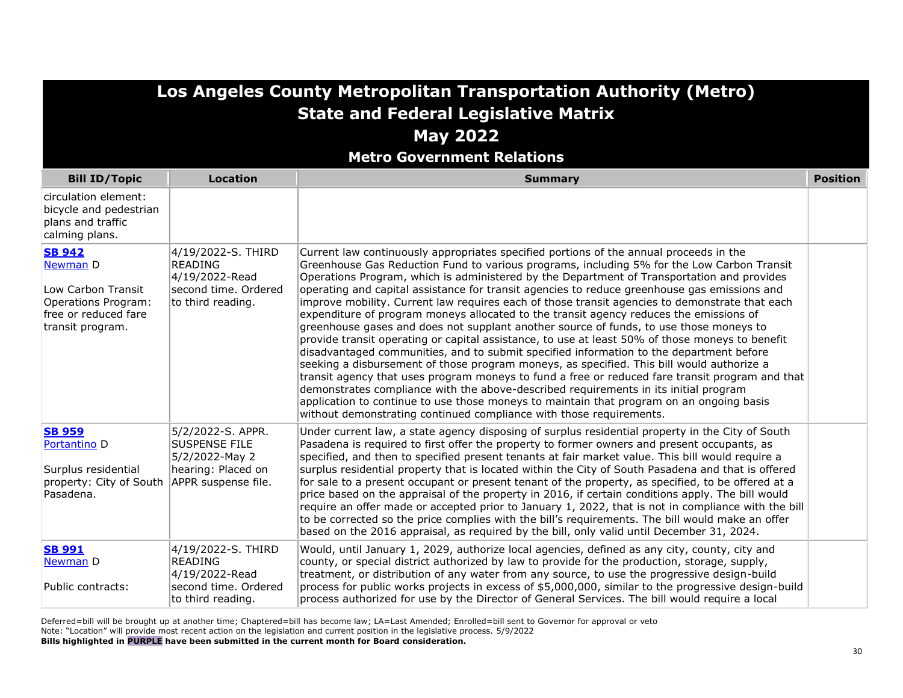| Los Angeles County Metropolitan Transportation Authority (Metro)<br><b>State and Federal Legislative Matrix</b><br><b>May 2022</b><br><b>Metro Government Relations</b> |                                                                                                          |                                                                                                                                                                                                                                                                                                                                                                                                                                                                                                                                                                                                                                                                                                                                                                                                                                                                                                                                                                                                                                                                                                                                                                                                                                                                                                                                   |                 |
|-------------------------------------------------------------------------------------------------------------------------------------------------------------------------|----------------------------------------------------------------------------------------------------------|-----------------------------------------------------------------------------------------------------------------------------------------------------------------------------------------------------------------------------------------------------------------------------------------------------------------------------------------------------------------------------------------------------------------------------------------------------------------------------------------------------------------------------------------------------------------------------------------------------------------------------------------------------------------------------------------------------------------------------------------------------------------------------------------------------------------------------------------------------------------------------------------------------------------------------------------------------------------------------------------------------------------------------------------------------------------------------------------------------------------------------------------------------------------------------------------------------------------------------------------------------------------------------------------------------------------------------------|-----------------|
| <b>Bill ID/Topic</b>                                                                                                                                                    | <b>Location</b>                                                                                          | <b>Summary</b>                                                                                                                                                                                                                                                                                                                                                                                                                                                                                                                                                                                                                                                                                                                                                                                                                                                                                                                                                                                                                                                                                                                                                                                                                                                                                                                    | <b>Position</b> |
| circulation element:<br>bicycle and pedestrian<br>plans and traffic<br>calming plans.                                                                                   |                                                                                                          |                                                                                                                                                                                                                                                                                                                                                                                                                                                                                                                                                                                                                                                                                                                                                                                                                                                                                                                                                                                                                                                                                                                                                                                                                                                                                                                                   |                 |
| <b>SB 942</b><br>Newman D<br>Low Carbon Transit<br>Operations Program:<br>free or reduced fare<br>transit program.                                                      | 4/19/2022-S. THIRD<br><b>READING</b><br>4/19/2022-Read<br>second time. Ordered<br>to third reading.      | Current law continuously appropriates specified portions of the annual proceeds in the<br>Greenhouse Gas Reduction Fund to various programs, including 5% for the Low Carbon Transit<br>Operations Program, which is administered by the Department of Transportation and provides<br>operating and capital assistance for transit agencies to reduce greenhouse gas emissions and<br>improve mobility. Current law requires each of those transit agencies to demonstrate that each<br>expenditure of program moneys allocated to the transit agency reduces the emissions of<br>greenhouse gases and does not supplant another source of funds, to use those moneys to<br>provide transit operating or capital assistance, to use at least 50% of those moneys to benefit<br>disadvantaged communities, and to submit specified information to the department before<br>seeking a disbursement of those program moneys, as specified. This bill would authorize a<br>transit agency that uses program moneys to fund a free or reduced fare transit program and that<br>demonstrates compliance with the above-described requirements in its initial program<br>application to continue to use those moneys to maintain that program on an ongoing basis<br>without demonstrating continued compliance with those requirements. |                 |
| <b>SB 959</b><br>Portantino <sub>D</sub><br>Surplus residential<br>property: City of South<br>Pasadena.                                                                 | 5/2/2022-S. APPR.<br><b>SUSPENSE FILE</b><br>5/2/2022-May 2<br>hearing: Placed on<br>APPR suspense file. | Under current law, a state agency disposing of surplus residential property in the City of South<br>Pasadena is required to first offer the property to former owners and present occupants, as<br>specified, and then to specified present tenants at fair market value. This bill would require a<br>surplus residential property that is located within the City of South Pasadena and that is offered<br>for sale to a present occupant or present tenant of the property, as specified, to be offered at a<br>price based on the appraisal of the property in 2016, if certain conditions apply. The bill would<br>require an offer made or accepted prior to January 1, 2022, that is not in compliance with the bill<br>to be corrected so the price complies with the bill's requirements. The bill would make an offer<br>based on the 2016 appraisal, as required by the bill, only valid until December 31, 2024.                                                                                                                                                                                                                                                                                                                                                                                                      |                 |
| <b>SB 991</b><br>Newman D<br>Public contracts:                                                                                                                          | 4/19/2022-S. THIRD<br><b>READING</b><br>4/19/2022-Read<br>second time. Ordered                           | Would, until January 1, 2029, authorize local agencies, defined as any city, county, city and<br>county, or special district authorized by law to provide for the production, storage, supply,<br>treatment, or distribution of any water from any source, to use the progressive design-build<br>process for public works projects in excess of \$5,000,000, similar to the progressive design-build                                                                                                                                                                                                                                                                                                                                                                                                                                                                                                                                                                                                                                                                                                                                                                                                                                                                                                                             |                 |

process for public works projects in excess of \$5,000,000, similar to the progressive design-build process authorized for use by the Director of General Services. The bill would require a local

Deferred=bill will be brought up at another time; Chaptered=bill has become law; LA=Last Amended; Enrolled=bill sent to Governor for approval or veto Note: "Location" will provide most recent action on the legislation and current position in the legislative process. 5/9/2022 **Bills highlighted in PURPLE have been submitted in the current month for Board consideration.** 

to third reading.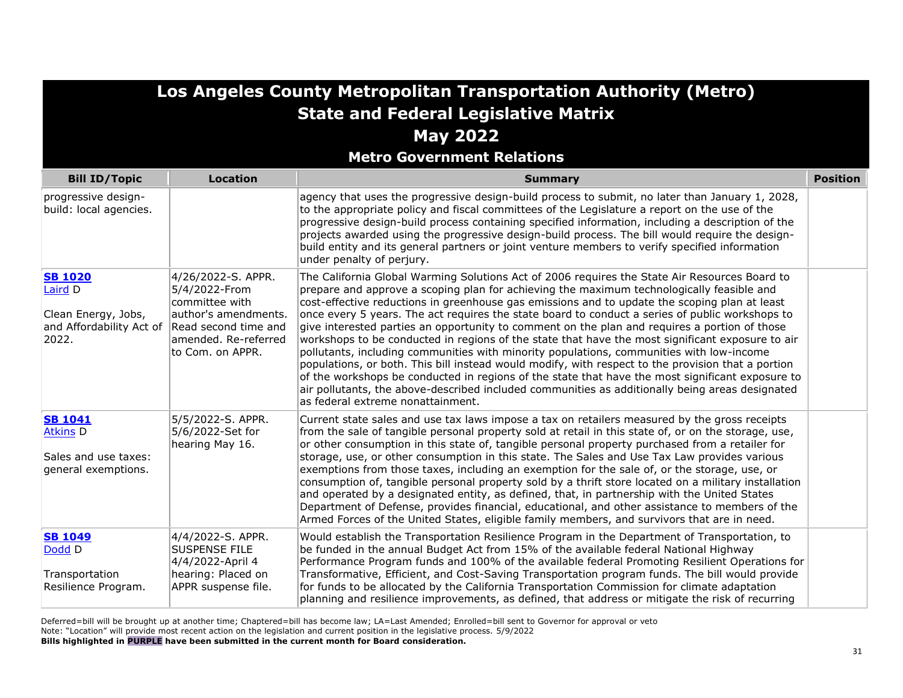| Los Angeles County Metropolitan Transportation Authority (Metro)                      |                                                                                                                                                   |                                                                                                                                                                                                                                                                                                                                                                                                                                                                                                                                                                                                                                                                                                                                                                                                                                                                                                                                                                                                                                                   |                 |
|---------------------------------------------------------------------------------------|---------------------------------------------------------------------------------------------------------------------------------------------------|---------------------------------------------------------------------------------------------------------------------------------------------------------------------------------------------------------------------------------------------------------------------------------------------------------------------------------------------------------------------------------------------------------------------------------------------------------------------------------------------------------------------------------------------------------------------------------------------------------------------------------------------------------------------------------------------------------------------------------------------------------------------------------------------------------------------------------------------------------------------------------------------------------------------------------------------------------------------------------------------------------------------------------------------------|-----------------|
|                                                                                       |                                                                                                                                                   | <b>State and Federal Legislative Matrix</b>                                                                                                                                                                                                                                                                                                                                                                                                                                                                                                                                                                                                                                                                                                                                                                                                                                                                                                                                                                                                       |                 |
|                                                                                       |                                                                                                                                                   | <b>May 2022</b>                                                                                                                                                                                                                                                                                                                                                                                                                                                                                                                                                                                                                                                                                                                                                                                                                                                                                                                                                                                                                                   |                 |
|                                                                                       |                                                                                                                                                   | <b>Metro Government Relations</b>                                                                                                                                                                                                                                                                                                                                                                                                                                                                                                                                                                                                                                                                                                                                                                                                                                                                                                                                                                                                                 |                 |
| <b>Bill ID/Topic</b>                                                                  | <b>Location</b>                                                                                                                                   | <b>Summary</b>                                                                                                                                                                                                                                                                                                                                                                                                                                                                                                                                                                                                                                                                                                                                                                                                                                                                                                                                                                                                                                    | <b>Position</b> |
| progressive design-<br>build: local agencies.                                         |                                                                                                                                                   | agency that uses the progressive design-build process to submit, no later than January 1, 2028,<br>to the appropriate policy and fiscal committees of the Legislature a report on the use of the<br>progressive design-build process containing specified information, including a description of the<br>projects awarded using the progressive design-build process. The bill would require the design-<br>build entity and its general partners or joint venture members to verify specified information<br>under penalty of perjury.                                                                                                                                                                                                                                                                                                                                                                                                                                                                                                           |                 |
| <b>SB 1020</b><br>Laird D<br>Clean Energy, Jobs,<br>and Affordability Act of<br>2022. | 4/26/2022-S. APPR.<br>5/4/2022-From<br>committee with<br>author's amendments.<br>Read second time and<br>amended. Re-referred<br>to Com. on APPR. | The California Global Warming Solutions Act of 2006 requires the State Air Resources Board to<br>prepare and approve a scoping plan for achieving the maximum technologically feasible and<br>cost-effective reductions in greenhouse gas emissions and to update the scoping plan at least<br>once every 5 years. The act requires the state board to conduct a series of public workshops to<br>give interested parties an opportunity to comment on the plan and requires a portion of those<br>workshops to be conducted in regions of the state that have the most significant exposure to air<br>pollutants, including communities with minority populations, communities with low-income<br>populations, or both. This bill instead would modify, with respect to the provision that a portion<br>of the workshops be conducted in regions of the state that have the most significant exposure to<br>air pollutants, the above-described included communities as additionally being areas designated<br>as federal extreme nonattainment. |                 |
| <b>SB 1041</b><br><b>Atkins D</b><br>Sales and use taxes:<br>general exemptions.      | 5/5/2022-S. APPR.<br>5/6/2022-Set for<br>hearing May 16.                                                                                          | Current state sales and use tax laws impose a tax on retailers measured by the gross receipts<br>from the sale of tangible personal property sold at retail in this state of, or on the storage, use,<br>or other consumption in this state of, tangible personal property purchased from a retailer for<br>storage, use, or other consumption in this state. The Sales and Use Tax Law provides various<br>exemptions from those taxes, including an exemption for the sale of, or the storage, use, or<br>consumption of, tangible personal property sold by a thrift store located on a military installation<br>and operated by a designated entity, as defined, that, in partnership with the United States<br>Department of Defense, provides financial, educational, and other assistance to members of the<br>Armed Forces of the United States, eligible family members, and survivors that are in need.                                                                                                                                 |                 |
| <b>SB 1049</b><br>Dodd D<br>Transportation<br>Resilience Program.                     | 4/4/2022-S. APPR.<br><b>SUSPENSE FILE</b><br>4/4/2022-April 4<br>hearing: Placed on<br>APPR suspense file.                                        | Would establish the Transportation Resilience Program in the Department of Transportation, to<br>be funded in the annual Budget Act from 15% of the available federal National Highway<br>Performance Program funds and 100% of the available federal Promoting Resilient Operations for<br>Transformative, Efficient, and Cost-Saving Transportation program funds. The bill would provide<br>for funds to be allocated by the California Transportation Commission for climate adaptation<br>planning and resilience improvements, as defined, that address or mitigate the risk of recurring                                                                                                                                                                                                                                                                                                                                                                                                                                                   |                 |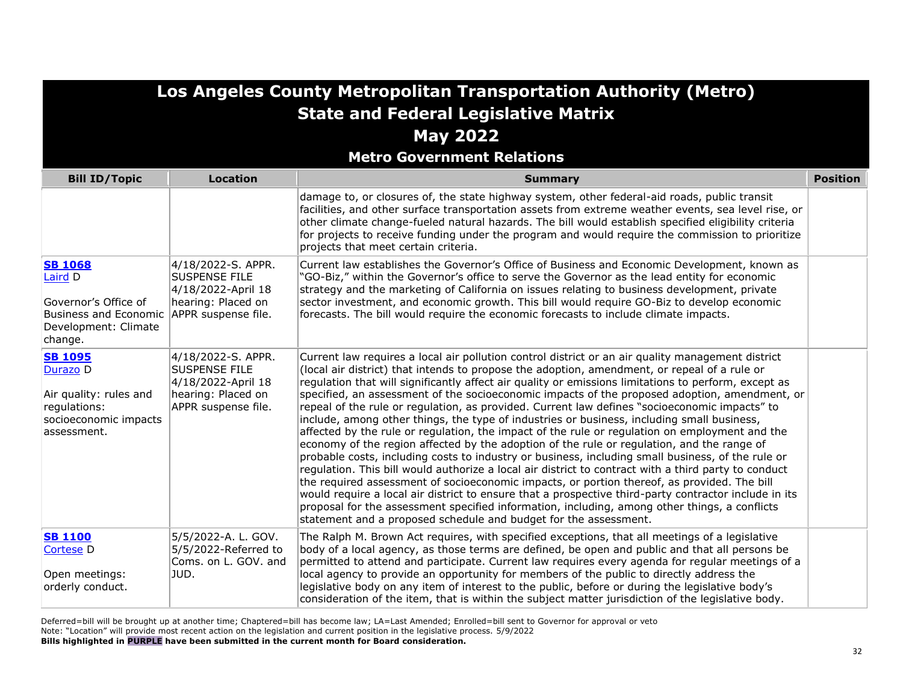| <b>Los Angeles County Metropolitan Transportation Authority (Metro)</b>                                              |                                                                                                               |                                                                                                                                                                                                                                                                                                                                                                                                                                                                                                                                                                                                                                                                                                                                                                                                                                                                                                                                                                                                                                                                                                                                                                                                                                                                                                                                                                                                     |                 |
|----------------------------------------------------------------------------------------------------------------------|---------------------------------------------------------------------------------------------------------------|-----------------------------------------------------------------------------------------------------------------------------------------------------------------------------------------------------------------------------------------------------------------------------------------------------------------------------------------------------------------------------------------------------------------------------------------------------------------------------------------------------------------------------------------------------------------------------------------------------------------------------------------------------------------------------------------------------------------------------------------------------------------------------------------------------------------------------------------------------------------------------------------------------------------------------------------------------------------------------------------------------------------------------------------------------------------------------------------------------------------------------------------------------------------------------------------------------------------------------------------------------------------------------------------------------------------------------------------------------------------------------------------------------|-----------------|
|                                                                                                                      |                                                                                                               | <b>State and Federal Legislative Matrix</b>                                                                                                                                                                                                                                                                                                                                                                                                                                                                                                                                                                                                                                                                                                                                                                                                                                                                                                                                                                                                                                                                                                                                                                                                                                                                                                                                                         |                 |
|                                                                                                                      |                                                                                                               | <b>May 2022</b>                                                                                                                                                                                                                                                                                                                                                                                                                                                                                                                                                                                                                                                                                                                                                                                                                                                                                                                                                                                                                                                                                                                                                                                                                                                                                                                                                                                     |                 |
|                                                                                                                      |                                                                                                               | <b>Metro Government Relations</b>                                                                                                                                                                                                                                                                                                                                                                                                                                                                                                                                                                                                                                                                                                                                                                                                                                                                                                                                                                                                                                                                                                                                                                                                                                                                                                                                                                   |                 |
| <b>Bill ID/Topic</b>                                                                                                 | <b>Location</b>                                                                                               | <b>Summary</b>                                                                                                                                                                                                                                                                                                                                                                                                                                                                                                                                                                                                                                                                                                                                                                                                                                                                                                                                                                                                                                                                                                                                                                                                                                                                                                                                                                                      | <b>Position</b> |
|                                                                                                                      |                                                                                                               | damage to, or closures of, the state highway system, other federal-aid roads, public transit<br>facilities, and other surface transportation assets from extreme weather events, sea level rise, or<br>other climate change-fueled natural hazards. The bill would establish specified eligibility criteria<br>for projects to receive funding under the program and would require the commission to prioritize<br>projects that meet certain criteria.                                                                                                                                                                                                                                                                                                                                                                                                                                                                                                                                                                                                                                                                                                                                                                                                                                                                                                                                             |                 |
| <b>SB 1068</b><br>Laird D<br>Governor's Office of<br><b>Business and Economic</b><br>Development: Climate<br>change. | 4/18/2022-S. APPR.<br><b>SUSPENSE FILE</b><br>4/18/2022-April 18<br>hearing: Placed on<br>APPR suspense file. | Current law establishes the Governor's Office of Business and Economic Development, known as<br>"GO-Biz," within the Governor's office to serve the Governor as the lead entity for economic<br>strategy and the marketing of California on issues relating to business development, private<br>sector investment, and economic growth. This bill would require GO-Biz to develop economic<br>forecasts. The bill would require the economic forecasts to include climate impacts.                                                                                                                                                                                                                                                                                                                                                                                                                                                                                                                                                                                                                                                                                                                                                                                                                                                                                                                  |                 |
| <b>SB 1095</b><br>Durazo D<br>Air quality: rules and<br>regulations:<br>socioeconomic impacts<br>assessment.         | 4/18/2022-S. APPR.<br><b>SUSPENSE FILE</b><br>4/18/2022-April 18<br>hearing: Placed on<br>APPR suspense file. | Current law requires a local air pollution control district or an air quality management district<br>(local air district) that intends to propose the adoption, amendment, or repeal of a rule or<br>regulation that will significantly affect air quality or emissions limitations to perform, except as<br>specified, an assessment of the socioeconomic impacts of the proposed adoption, amendment, or<br>repeal of the rule or regulation, as provided. Current law defines "socioeconomic impacts" to<br>include, among other things, the type of industries or business, including small business,<br>affected by the rule or regulation, the impact of the rule or regulation on employment and the<br>economy of the region affected by the adoption of the rule or regulation, and the range of<br>probable costs, including costs to industry or business, including small business, of the rule or<br>regulation. This bill would authorize a local air district to contract with a third party to conduct<br>the required assessment of socioeconomic impacts, or portion thereof, as provided. The bill<br>would require a local air district to ensure that a prospective third-party contractor include in its<br>proposal for the assessment specified information, including, among other things, a conflicts<br>statement and a proposed schedule and budget for the assessment. |                 |
| <b>SB 1100</b><br><b>Cortese D</b><br>Open meetings:<br>orderly conduct.                                             | 5/5/2022-A. L. GOV.<br>5/5/2022-Referred to<br>Coms. on L. GOV. and<br>JUD.                                   | The Ralph M. Brown Act requires, with specified exceptions, that all meetings of a legislative<br>body of a local agency, as those terms are defined, be open and public and that all persons be<br>permitted to attend and participate. Current law requires every agenda for regular meetings of a<br>local agency to provide an opportunity for members of the public to directly address the<br>legislative body on any item of interest to the public, before or during the legislative body's<br>consideration of the item, that is within the subject matter jurisdiction of the legislative body.                                                                                                                                                                                                                                                                                                                                                                                                                                                                                                                                                                                                                                                                                                                                                                                           |                 |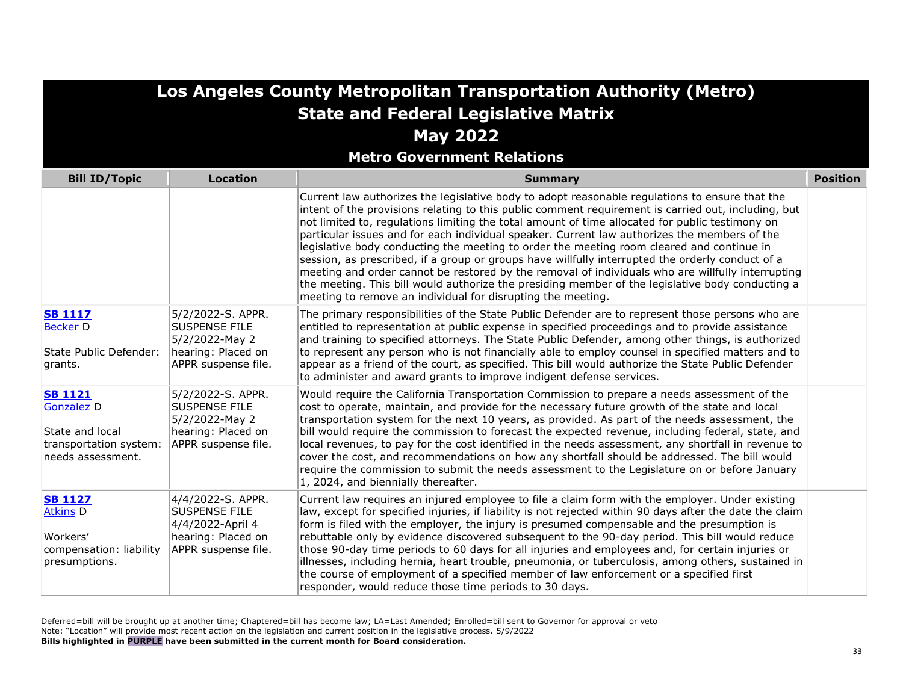|                                                                                                           |                                                                                                            | Los Angeles County Metropolitan Transportation Authority (Metro)                                                                                                                                                                                                                                                                                                                                                                                                                                                                                                                                                                                                                                                                                                                                                                                                                  |                 |
|-----------------------------------------------------------------------------------------------------------|------------------------------------------------------------------------------------------------------------|-----------------------------------------------------------------------------------------------------------------------------------------------------------------------------------------------------------------------------------------------------------------------------------------------------------------------------------------------------------------------------------------------------------------------------------------------------------------------------------------------------------------------------------------------------------------------------------------------------------------------------------------------------------------------------------------------------------------------------------------------------------------------------------------------------------------------------------------------------------------------------------|-----------------|
|                                                                                                           |                                                                                                            | <b>State and Federal Legislative Matrix</b>                                                                                                                                                                                                                                                                                                                                                                                                                                                                                                                                                                                                                                                                                                                                                                                                                                       |                 |
|                                                                                                           |                                                                                                            | <b>May 2022</b>                                                                                                                                                                                                                                                                                                                                                                                                                                                                                                                                                                                                                                                                                                                                                                                                                                                                   |                 |
|                                                                                                           |                                                                                                            | <b>Metro Government Relations</b>                                                                                                                                                                                                                                                                                                                                                                                                                                                                                                                                                                                                                                                                                                                                                                                                                                                 |                 |
| <b>Bill ID/Topic</b>                                                                                      | <b>Location</b>                                                                                            | <b>Summary</b>                                                                                                                                                                                                                                                                                                                                                                                                                                                                                                                                                                                                                                                                                                                                                                                                                                                                    | <b>Position</b> |
|                                                                                                           |                                                                                                            | Current law authorizes the legislative body to adopt reasonable regulations to ensure that the<br>intent of the provisions relating to this public comment requirement is carried out, including, but<br>not limited to, regulations limiting the total amount of time allocated for public testimony on<br>particular issues and for each individual speaker. Current law authorizes the members of the<br>legislative body conducting the meeting to order the meeting room cleared and continue in<br>session, as prescribed, if a group or groups have willfully interrupted the orderly conduct of a<br>meeting and order cannot be restored by the removal of individuals who are willfully interrupting<br>the meeting. This bill would authorize the presiding member of the legislative body conducting a<br>meeting to remove an individual for disrupting the meeting. |                 |
| <b>SB 1117</b><br><b>Becker D</b><br>State Public Defender:<br>grants.                                    | 5/2/2022-S. APPR.<br><b>SUSPENSE FILE</b><br>5/2/2022-May 2<br>hearing: Placed on<br>APPR suspense file.   | The primary responsibilities of the State Public Defender are to represent those persons who are<br>entitled to representation at public expense in specified proceedings and to provide assistance<br>and training to specified attorneys. The State Public Defender, among other things, is authorized<br>to represent any person who is not financially able to employ counsel in specified matters and to<br>appear as a friend of the court, as specified. This bill would authorize the State Public Defender<br>to administer and award grants to improve indigent defense services.                                                                                                                                                                                                                                                                                       |                 |
| <b>SB 1121</b><br>Gonzalez <sub>D</sub><br>State and local<br>transportation system:<br>needs assessment. | 5/2/2022-S. APPR.<br><b>SUSPENSE FILE</b><br>5/2/2022-May 2<br>hearing: Placed on<br>APPR suspense file.   | Would require the California Transportation Commission to prepare a needs assessment of the<br>cost to operate, maintain, and provide for the necessary future growth of the state and local<br>transportation system for the next 10 years, as provided. As part of the needs assessment, the<br>bill would require the commission to forecast the expected revenue, including federal, state, and<br>local revenues, to pay for the cost identified in the needs assessment, any shortfall in revenue to<br>cover the cost, and recommendations on how any shortfall should be addressed. The bill would<br>require the commission to submit the needs assessment to the Legislature on or before January<br>$ 1, 2024$ , and biennially thereafter.                                                                                                                            |                 |
| <b>SB 1127</b><br><b>Atkins D</b><br>Workers'<br>compensation: liability<br>presumptions.                 | 4/4/2022-S. APPR.<br><b>SUSPENSE FILE</b><br>4/4/2022-April 4<br>hearing: Placed on<br>APPR suspense file. | Current law requires an injured employee to file a claim form with the employer. Under existing<br>law, except for specified injuries, if liability is not rejected within 90 days after the date the claim<br>form is filed with the employer, the injury is presumed compensable and the presumption is<br>rebuttable only by evidence discovered subsequent to the 90-day period. This bill would reduce<br>those 90-day time periods to 60 days for all injuries and employees and, for certain injuries or<br>illnesses, including hernia, heart trouble, pneumonia, or tuberculosis, among others, sustained in<br>the course of employment of a specified member of law enforcement or a specified first<br>responder, would reduce those time periods to 30 days.                                                                                                         |                 |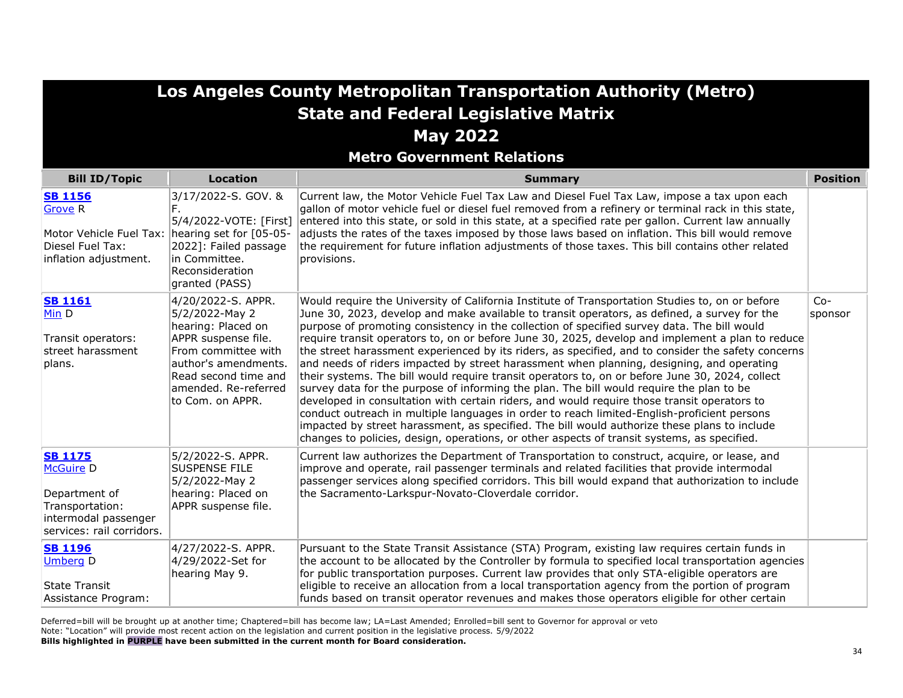**Metro Government Relations**

| <b>Bill ID/Topic</b>                                                                                                        | <b>Location</b>                                                                                                                                                                                      | <b>Summary</b>                                                                                                                                                                                                                                                                                                                                                                                                                                                                                                                                                                                                                                                                                                                                                                                                                                                                                                                                                                                                                                                                                                                                                                                    | <b>Position</b>  |
|-----------------------------------------------------------------------------------------------------------------------------|------------------------------------------------------------------------------------------------------------------------------------------------------------------------------------------------------|---------------------------------------------------------------------------------------------------------------------------------------------------------------------------------------------------------------------------------------------------------------------------------------------------------------------------------------------------------------------------------------------------------------------------------------------------------------------------------------------------------------------------------------------------------------------------------------------------------------------------------------------------------------------------------------------------------------------------------------------------------------------------------------------------------------------------------------------------------------------------------------------------------------------------------------------------------------------------------------------------------------------------------------------------------------------------------------------------------------------------------------------------------------------------------------------------|------------------|
| <b>SB 1156</b><br><b>Grove R</b><br>Motor Vehicle Fuel Tax:<br>Diesel Fuel Tax:<br>inflation adjustment.                    | 3/17/2022-S. GOV. &<br>F.<br>5/4/2022-VOTE: [First]<br>hearing set for $[05-05-$<br>2022]: Failed passage<br>in Committee.<br>Reconsideration<br>granted (PASS)                                      | Current law, the Motor Vehicle Fuel Tax Law and Diesel Fuel Tax Law, impose a tax upon each<br>gallon of motor vehicle fuel or diesel fuel removed from a refinery or terminal rack in this state,<br>entered into this state, or sold in this state, at a specified rate per gallon. Current law annually<br>adjusts the rates of the taxes imposed by those laws based on inflation. This bill would remove<br>the requirement for future inflation adjustments of those taxes. This bill contains other related<br>provisions.                                                                                                                                                                                                                                                                                                                                                                                                                                                                                                                                                                                                                                                                 |                  |
| <b>SB 1161</b><br>Min D<br>Transit operators:<br>street harassment<br>plans.                                                | 4/20/2022-S. APPR.<br>5/2/2022-May 2<br>hearing: Placed on<br>APPR suspense file.<br>From committee with<br>author's amendments.<br>Read second time and<br>amended. Re-referred<br>to Com. on APPR. | Would require the University of California Institute of Transportation Studies to, on or before<br>June 30, 2023, develop and make available to transit operators, as defined, a survey for the<br>purpose of promoting consistency in the collection of specified survey data. The bill would<br>require transit operators to, on or before June 30, 2025, develop and implement a plan to reduce<br>the street harassment experienced by its riders, as specified, and to consider the safety concerns<br>and needs of riders impacted by street harassment when planning, designing, and operating<br>their systems. The bill would require transit operators to, on or before June 30, 2024, collect<br>survey data for the purpose of informing the plan. The bill would require the plan to be<br>developed in consultation with certain riders, and would require those transit operators to<br>conduct outreach in multiple languages in order to reach limited-English-proficient persons<br>impacted by street harassment, as specified. The bill would authorize these plans to include<br>changes to policies, design, operations, or other aspects of transit systems, as specified. | $Co-$<br>sponsor |
| <b>SB 1175</b><br><b>McGuire D</b><br>Department of<br>Transportation:<br>intermodal passenger<br>services: rail corridors. | 5/2/2022-S. APPR.<br><b>SUSPENSE FILE</b><br>5/2/2022-May 2<br>hearing: Placed on<br>APPR suspense file.                                                                                             | Current law authorizes the Department of Transportation to construct, acquire, or lease, and<br>improve and operate, rail passenger terminals and related facilities that provide intermodal<br>passenger services along specified corridors. This bill would expand that authorization to include<br>the Sacramento-Larkspur-Novato-Cloverdale corridor.                                                                                                                                                                                                                                                                                                                                                                                                                                                                                                                                                                                                                                                                                                                                                                                                                                         |                  |
| <b>SB 1196</b><br><b>Umberg D</b><br><b>State Transit</b><br>Assistance Program:                                            | 4/27/2022-S. APPR.<br>4/29/2022-Set for<br>hearing May 9.                                                                                                                                            | Pursuant to the State Transit Assistance (STA) Program, existing law requires certain funds in<br>the account to be allocated by the Controller by formula to specified local transportation agencies<br>for public transportation purposes. Current law provides that only STA-eligible operators are<br>eligible to receive an allocation from a local transportation agency from the portion of program<br>funds based on transit operator revenues and makes those operators eligible for other certain                                                                                                                                                                                                                                                                                                                                                                                                                                                                                                                                                                                                                                                                                       |                  |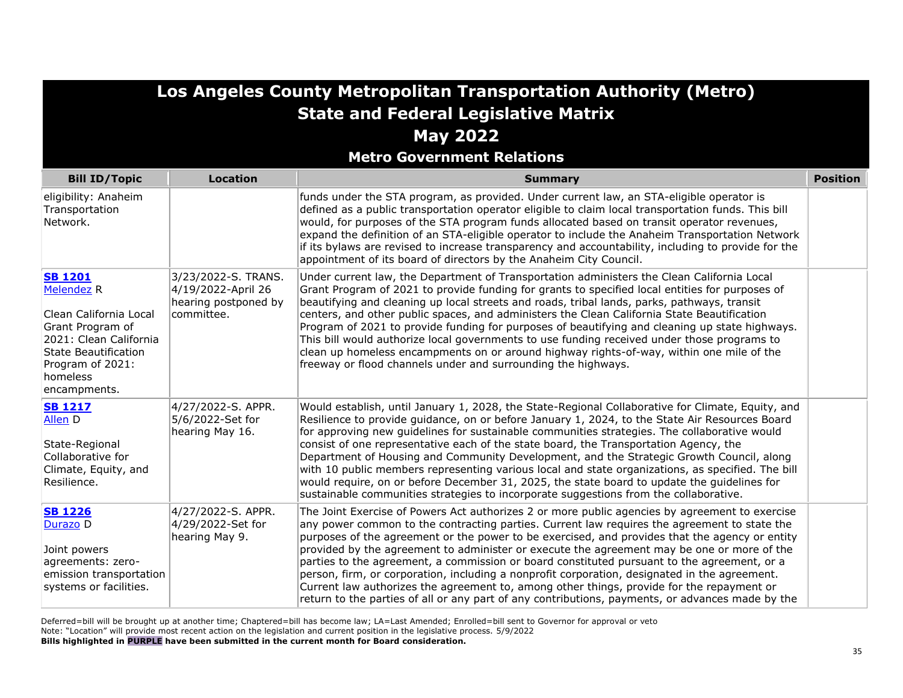|                                                                                                                                                                                                | Los Angeles County Metropolitan Transportation Authority (Metro)                |                                                                                                                                                                                                                                                                                                                                                                                                                                                                                                                                                                                                                                                                                                                                                                                                 |                 |  |
|------------------------------------------------------------------------------------------------------------------------------------------------------------------------------------------------|---------------------------------------------------------------------------------|-------------------------------------------------------------------------------------------------------------------------------------------------------------------------------------------------------------------------------------------------------------------------------------------------------------------------------------------------------------------------------------------------------------------------------------------------------------------------------------------------------------------------------------------------------------------------------------------------------------------------------------------------------------------------------------------------------------------------------------------------------------------------------------------------|-----------------|--|
|                                                                                                                                                                                                |                                                                                 | <b>State and Federal Legislative Matrix</b>                                                                                                                                                                                                                                                                                                                                                                                                                                                                                                                                                                                                                                                                                                                                                     |                 |  |
|                                                                                                                                                                                                |                                                                                 | <b>May 2022</b>                                                                                                                                                                                                                                                                                                                                                                                                                                                                                                                                                                                                                                                                                                                                                                                 |                 |  |
|                                                                                                                                                                                                |                                                                                 | <b>Metro Government Relations</b>                                                                                                                                                                                                                                                                                                                                                                                                                                                                                                                                                                                                                                                                                                                                                               |                 |  |
| <b>Bill ID/Topic</b>                                                                                                                                                                           | <b>Location</b>                                                                 | <b>Summary</b>                                                                                                                                                                                                                                                                                                                                                                                                                                                                                                                                                                                                                                                                                                                                                                                  | <b>Position</b> |  |
| eligibility: Anaheim<br>Transportation<br>Network.                                                                                                                                             |                                                                                 | funds under the STA program, as provided. Under current law, an STA-eligible operator is<br>defined as a public transportation operator eligible to claim local transportation funds. This bill<br>would, for purposes of the STA program funds allocated based on transit operator revenues,<br>expand the definition of an STA-eligible operator to include the Anaheim Transportation Network<br>if its bylaws are revised to increase transparency and accountability, including to provide for the<br>appointment of its board of directors by the Anaheim City Council.                                                                                                                                                                                                                   |                 |  |
| <b>SB 1201</b><br>Melendez <sub>R</sub><br>Clean California Local<br>Grant Program of<br>2021: Clean California<br><b>State Beautification</b><br>Program of 2021:<br>homeless<br>encampments. | 3/23/2022-S. TRANS.<br>4/19/2022-April 26<br>hearing postponed by<br>committee. | Under current law, the Department of Transportation administers the Clean California Local<br>Grant Program of 2021 to provide funding for grants to specified local entities for purposes of<br>beautifying and cleaning up local streets and roads, tribal lands, parks, pathways, transit<br>centers, and other public spaces, and administers the Clean California State Beautification<br>Program of 2021 to provide funding for purposes of beautifying and cleaning up state highways.<br>This bill would authorize local governments to use funding received under those programs to<br>clean up homeless encampments on or around highway rights-of-way, within one mile of the<br>freeway or flood channels under and surrounding the highways.                                       |                 |  |
| <b>SB 1217</b><br>Allen D<br>State-Regional<br>Collaborative for<br>Climate, Equity, and<br>Resilience.                                                                                        | 4/27/2022-S. APPR.<br>5/6/2022-Set for<br>hearing May 16.                       | Would establish, until January 1, 2028, the State-Regional Collaborative for Climate, Equity, and<br>Resilience to provide guidance, on or before January 1, 2024, to the State Air Resources Board<br>for approving new guidelines for sustainable communities strategies. The collaborative would<br>consist of one representative each of the state board, the Transportation Agency, the<br>Department of Housing and Community Development, and the Strategic Growth Council, along<br>with 10 public members representing various local and state organizations, as specified. The bill<br>would require, on or before December 31, 2025, the state board to update the guidelines for<br>sustainable communities strategies to incorporate suggestions from the collaborative.           |                 |  |
| <b>SB 1226</b><br>Durazo D<br>Joint powers<br>agreements: zero-<br>emission transportation<br>systems or facilities.                                                                           | 4/27/2022-S. APPR.<br>4/29/2022-Set for<br>hearing May 9.                       | The Joint Exercise of Powers Act authorizes 2 or more public agencies by agreement to exercise<br>any power common to the contracting parties. Current law requires the agreement to state the<br>purposes of the agreement or the power to be exercised, and provides that the agency or entity<br>provided by the agreement to administer or execute the agreement may be one or more of the<br>parties to the agreement, a commission or board constituted pursuant to the agreement, or a<br>person, firm, or corporation, including a nonprofit corporation, designated in the agreement.<br>Current law authorizes the agreement to, among other things, provide for the repayment or<br>return to the parties of all or any part of any contributions, payments, or advances made by the |                 |  |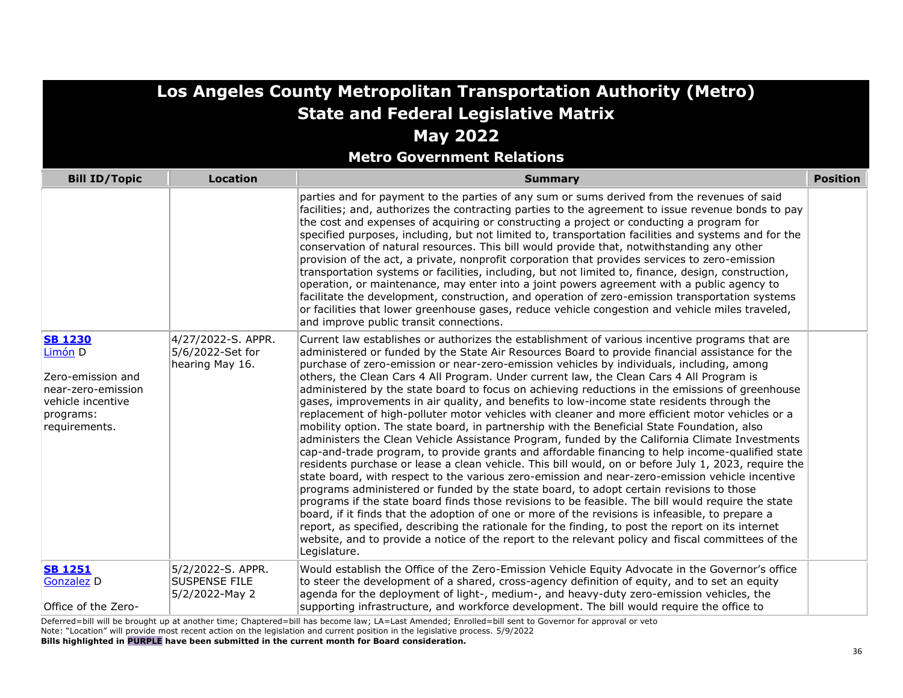| Los Angeles County Metropolitan Transportation Authority (Metro)                                                        |                                                             |                                                                                                                                                                                                                                                                                                                                                                                                                                                                                                                                                                                                                                                                                                                                                                                                                                                                                                                                                                                                                                                                                                                                                                                                                                                                                                                                                                                                                                                                                                                                                                                                                                                                                                                                                 |                 |
|-------------------------------------------------------------------------------------------------------------------------|-------------------------------------------------------------|-------------------------------------------------------------------------------------------------------------------------------------------------------------------------------------------------------------------------------------------------------------------------------------------------------------------------------------------------------------------------------------------------------------------------------------------------------------------------------------------------------------------------------------------------------------------------------------------------------------------------------------------------------------------------------------------------------------------------------------------------------------------------------------------------------------------------------------------------------------------------------------------------------------------------------------------------------------------------------------------------------------------------------------------------------------------------------------------------------------------------------------------------------------------------------------------------------------------------------------------------------------------------------------------------------------------------------------------------------------------------------------------------------------------------------------------------------------------------------------------------------------------------------------------------------------------------------------------------------------------------------------------------------------------------------------------------------------------------------------------------|-----------------|
|                                                                                                                         |                                                             | <b>State and Federal Legislative Matrix</b>                                                                                                                                                                                                                                                                                                                                                                                                                                                                                                                                                                                                                                                                                                                                                                                                                                                                                                                                                                                                                                                                                                                                                                                                                                                                                                                                                                                                                                                                                                                                                                                                                                                                                                     |                 |
|                                                                                                                         |                                                             | <b>May 2022</b>                                                                                                                                                                                                                                                                                                                                                                                                                                                                                                                                                                                                                                                                                                                                                                                                                                                                                                                                                                                                                                                                                                                                                                                                                                                                                                                                                                                                                                                                                                                                                                                                                                                                                                                                 |                 |
|                                                                                                                         |                                                             | <b>Metro Government Relations</b>                                                                                                                                                                                                                                                                                                                                                                                                                                                                                                                                                                                                                                                                                                                                                                                                                                                                                                                                                                                                                                                                                                                                                                                                                                                                                                                                                                                                                                                                                                                                                                                                                                                                                                               |                 |
| <b>Bill ID/Topic</b>                                                                                                    | <b>Location</b>                                             | <b>Summary</b>                                                                                                                                                                                                                                                                                                                                                                                                                                                                                                                                                                                                                                                                                                                                                                                                                                                                                                                                                                                                                                                                                                                                                                                                                                                                                                                                                                                                                                                                                                                                                                                                                                                                                                                                  | <b>Position</b> |
|                                                                                                                         |                                                             | parties and for payment to the parties of any sum or sums derived from the revenues of said<br>facilities; and, authorizes the contracting parties to the agreement to issue revenue bonds to pay<br>the cost and expenses of acquiring or constructing a project or conducting a program for<br>specified purposes, including, but not limited to, transportation facilities and systems and for the<br>conservation of natural resources. This bill would provide that, notwithstanding any other<br>provision of the act, a private, nonprofit corporation that provides services to zero-emission<br>transportation systems or facilities, including, but not limited to, finance, design, construction,<br>operation, or maintenance, may enter into a joint powers agreement with a public agency to<br>facilitate the development, construction, and operation of zero-emission transportation systems<br>or facilities that lower greenhouse gases, reduce vehicle congestion and vehicle miles traveled,<br>and improve public transit connections.                                                                                                                                                                                                                                                                                                                                                                                                                                                                                                                                                                                                                                                                                    |                 |
| <b>SB 1230</b><br>Limón D<br>Zero-emission and<br>near-zero-emission<br>vehicle incentive<br>programs:<br>requirements. | 4/27/2022-S. APPR.<br>5/6/2022-Set for<br>hearing May 16.   | Current law establishes or authorizes the establishment of various incentive programs that are<br>administered or funded by the State Air Resources Board to provide financial assistance for the<br>purchase of zero-emission or near-zero-emission vehicles by individuals, including, among<br>others, the Clean Cars 4 All Program. Under current law, the Clean Cars 4 All Program is<br>administered by the state board to focus on achieving reductions in the emissions of greenhouse<br>gases, improvements in air quality, and benefits to low-income state residents through the<br>replacement of high-polluter motor vehicles with cleaner and more efficient motor vehicles or a<br>mobility option. The state board, in partnership with the Beneficial State Foundation, also<br>administers the Clean Vehicle Assistance Program, funded by the California Climate Investments<br>cap-and-trade program, to provide grants and affordable financing to help income-qualified state<br>residents purchase or lease a clean vehicle. This bill would, on or before July 1, 2023, require the<br>state board, with respect to the various zero-emission and near-zero-emission vehicle incentive<br>programs administered or funded by the state board, to adopt certain revisions to those<br>programs if the state board finds those revisions to be feasible. The bill would require the state<br>board, if it finds that the adoption of one or more of the revisions is infeasible, to prepare a<br>report, as specified, describing the rationale for the finding, to post the report on its internet<br>website, and to provide a notice of the report to the relevant policy and fiscal committees of the<br>Legislature. |                 |
| <b>SB 1251</b><br><b>Gonzalez</b> D<br>Office of the Zero-                                                              | 5/2/2022-S. APPR.<br><b>SUSPENSE FILE</b><br>5/2/2022-May 2 | Would establish the Office of the Zero-Emission Vehicle Equity Advocate in the Governor's office<br>to steer the development of a shared, cross-agency definition of equity, and to set an equity<br>agenda for the deployment of light-, medium-, and heavy-duty zero-emission vehicles, the<br>supporting infrastructure, and workforce development. The bill would require the office to                                                                                                                                                                                                                                                                                                                                                                                                                                                                                                                                                                                                                                                                                                                                                                                                                                                                                                                                                                                                                                                                                                                                                                                                                                                                                                                                                     |                 |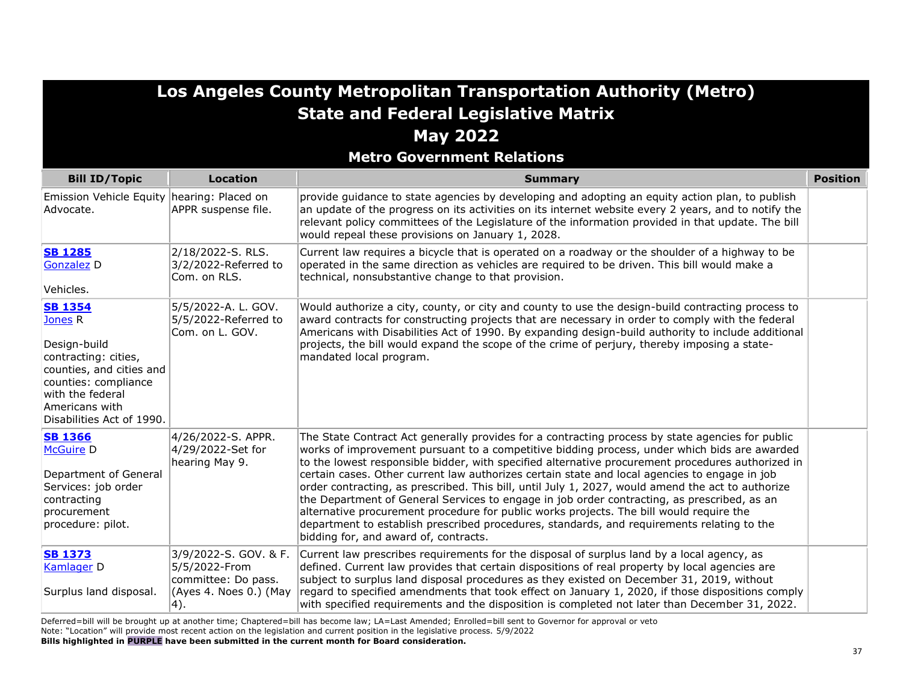| Los Angeles County Metropolitan Transportation Authority (Metro)<br><b>State and Federal Legislative Matrix</b><br><b>May 2022</b>                                                                  |                                                                                                 |                                                                                                                                                                                                                                                                                                                                                                                                                                                                                                                                                                                                                                                                                                                                                                                                                                              |                 |
|-----------------------------------------------------------------------------------------------------------------------------------------------------------------------------------------------------|-------------------------------------------------------------------------------------------------|----------------------------------------------------------------------------------------------------------------------------------------------------------------------------------------------------------------------------------------------------------------------------------------------------------------------------------------------------------------------------------------------------------------------------------------------------------------------------------------------------------------------------------------------------------------------------------------------------------------------------------------------------------------------------------------------------------------------------------------------------------------------------------------------------------------------------------------------|-----------------|
| <b>Metro Government Relations</b>                                                                                                                                                                   |                                                                                                 |                                                                                                                                                                                                                                                                                                                                                                                                                                                                                                                                                                                                                                                                                                                                                                                                                                              |                 |
| <b>Bill ID/Topic</b>                                                                                                                                                                                | <b>Location</b>                                                                                 | <b>Summary</b>                                                                                                                                                                                                                                                                                                                                                                                                                                                                                                                                                                                                                                                                                                                                                                                                                               | <b>Position</b> |
| Emission Vehicle Equity hearing: Placed on<br>Advocate.                                                                                                                                             | APPR suspense file.                                                                             | provide guidance to state agencies by developing and adopting an equity action plan, to publish<br>an update of the progress on its activities on its internet website every 2 years, and to notify the<br>relevant policy committees of the Legislature of the information provided in that update. The bill<br>would repeal these provisions on January 1, 2028.                                                                                                                                                                                                                                                                                                                                                                                                                                                                           |                 |
| <b>SB 1285</b><br><b>Gonzalez D</b><br>Vehicles.                                                                                                                                                    | 2/18/2022-S. RLS.<br>3/2/2022-Referred to<br>Com. on RLS.                                       | Current law requires a bicycle that is operated on a roadway or the shoulder of a highway to be<br>operated in the same direction as vehicles are required to be driven. This bill would make a<br>technical, nonsubstantive change to that provision.                                                                                                                                                                                                                                                                                                                                                                                                                                                                                                                                                                                       |                 |
| <b>SB 1354</b><br>Jones <sub>R</sub><br>Design-build<br>contracting: cities,<br>counties, and cities and<br>counties: compliance<br>with the federal<br>Americans with<br>Disabilities Act of 1990. | 5/5/2022-A. L. GOV.<br>5/5/2022-Referred to<br>Com. on L. GOV.                                  | Would authorize a city, county, or city and county to use the design-build contracting process to<br>award contracts for constructing projects that are necessary in order to comply with the federal<br>Americans with Disabilities Act of 1990. By expanding design-build authority to include additional<br>projects, the bill would expand the scope of the crime of perjury, thereby imposing a state-<br>mandated local program.                                                                                                                                                                                                                                                                                                                                                                                                       |                 |
| <b>SB 1366</b><br>McGuire <sub>D</sub><br>Department of General<br>Services: job order<br>contracting<br>procurement<br>procedure: pilot.                                                           | 4/26/2022-S. APPR.<br>4/29/2022-Set for<br>hearing May 9.                                       | The State Contract Act generally provides for a contracting process by state agencies for public<br>works of improvement pursuant to a competitive bidding process, under which bids are awarded<br>to the lowest responsible bidder, with specified alternative procurement procedures authorized in<br>certain cases. Other current law authorizes certain state and local agencies to engage in job<br>order contracting, as prescribed. This bill, until July 1, 2027, would amend the act to authorize<br>the Department of General Services to engage in job order contracting, as prescribed, as an<br>alternative procurement procedure for public works projects. The bill would require the<br>department to establish prescribed procedures, standards, and requirements relating to the<br>bidding for, and award of, contracts. |                 |
| <b>SB 1373</b><br>Kamlager D<br>Surplus land disposal.                                                                                                                                              | 3/9/2022-S. GOV. & F.<br>5/5/2022-From<br>committee: Do pass.<br>(Ayes 4. Noes 0.) (May<br> 4). | Current law prescribes requirements for the disposal of surplus land by a local agency, as<br>defined. Current law provides that certain dispositions of real property by local agencies are<br>subject to surplus land disposal procedures as they existed on December 31, 2019, without<br>regard to specified amendments that took effect on January 1, 2020, if those dispositions comply<br>with specified requirements and the disposition is completed not later than December 31, 2022.                                                                                                                                                                                                                                                                                                                                              |                 |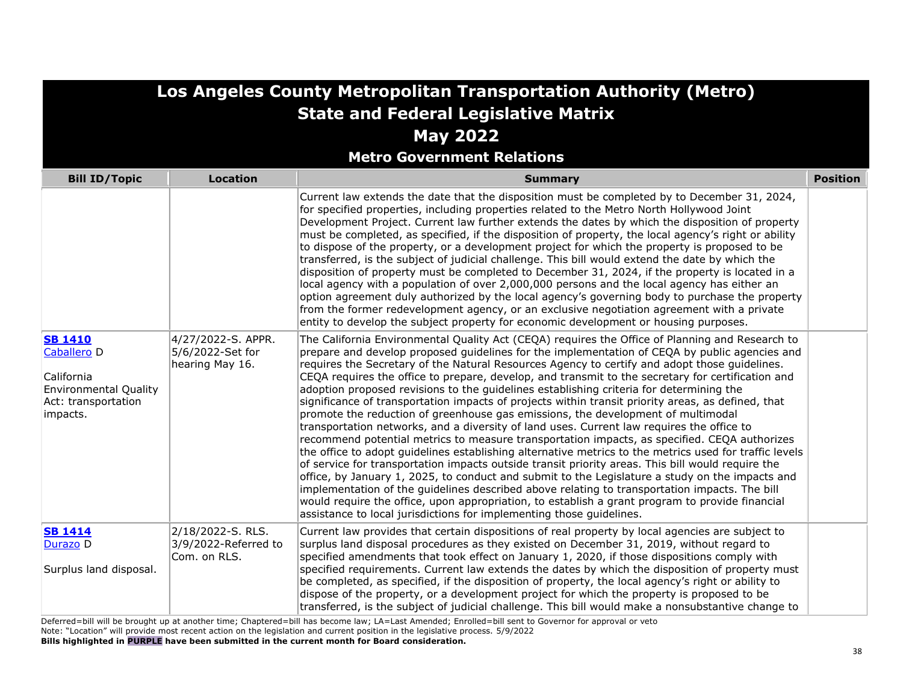| Los Angeles County Metropolitan Transportation Authority (Metro)                                                          |                                                           |                                                                                                                                                                                                                                                                                                                                                                                                                                                                                                                                                                                                                                                                                                                                                                                                                                                                                                                                                                                                                                                                                                                                                                                                                                                                                                                                                                                                                                                                                        |                 |
|---------------------------------------------------------------------------------------------------------------------------|-----------------------------------------------------------|----------------------------------------------------------------------------------------------------------------------------------------------------------------------------------------------------------------------------------------------------------------------------------------------------------------------------------------------------------------------------------------------------------------------------------------------------------------------------------------------------------------------------------------------------------------------------------------------------------------------------------------------------------------------------------------------------------------------------------------------------------------------------------------------------------------------------------------------------------------------------------------------------------------------------------------------------------------------------------------------------------------------------------------------------------------------------------------------------------------------------------------------------------------------------------------------------------------------------------------------------------------------------------------------------------------------------------------------------------------------------------------------------------------------------------------------------------------------------------------|-----------------|
| <b>State and Federal Legislative Matrix</b>                                                                               |                                                           |                                                                                                                                                                                                                                                                                                                                                                                                                                                                                                                                                                                                                                                                                                                                                                                                                                                                                                                                                                                                                                                                                                                                                                                                                                                                                                                                                                                                                                                                                        |                 |
| <b>May 2022</b>                                                                                                           |                                                           |                                                                                                                                                                                                                                                                                                                                                                                                                                                                                                                                                                                                                                                                                                                                                                                                                                                                                                                                                                                                                                                                                                                                                                                                                                                                                                                                                                                                                                                                                        |                 |
|                                                                                                                           |                                                           | <b>Metro Government Relations</b>                                                                                                                                                                                                                                                                                                                                                                                                                                                                                                                                                                                                                                                                                                                                                                                                                                                                                                                                                                                                                                                                                                                                                                                                                                                                                                                                                                                                                                                      |                 |
| <b>Bill ID/Topic</b>                                                                                                      | <b>Location</b>                                           | <b>Summary</b>                                                                                                                                                                                                                                                                                                                                                                                                                                                                                                                                                                                                                                                                                                                                                                                                                                                                                                                                                                                                                                                                                                                                                                                                                                                                                                                                                                                                                                                                         | <b>Position</b> |
|                                                                                                                           |                                                           | Current law extends the date that the disposition must be completed by to December 31, 2024,<br>for specified properties, including properties related to the Metro North Hollywood Joint<br>Development Project. Current law further extends the dates by which the disposition of property<br>must be completed, as specified, if the disposition of property, the local agency's right or ability<br>to dispose of the property, or a development project for which the property is proposed to be<br>transferred, is the subject of judicial challenge. This bill would extend the date by which the<br>disposition of property must be completed to December 31, 2024, if the property is located in a<br>local agency with a population of over 2,000,000 persons and the local agency has either an<br>option agreement duly authorized by the local agency's governing body to purchase the property<br>from the former redevelopment agency, or an exclusive negotiation agreement with a private<br>entity to develop the subject property for economic development or housing purposes.                                                                                                                                                                                                                                                                                                                                                                                     |                 |
| <b>SB 1410</b><br>Caballero <sub>D</sub><br>California<br><b>Environmental Quality</b><br>Act: transportation<br>impacts. | 4/27/2022-S. APPR.<br>5/6/2022-Set for<br>hearing May 16. | The California Environmental Quality Act (CEQA) requires the Office of Planning and Research to<br>prepare and develop proposed guidelines for the implementation of CEQA by public agencies and<br>requires the Secretary of the Natural Resources Agency to certify and adopt those quidelines.<br>CEQA requires the office to prepare, develop, and transmit to the secretary for certification and<br>adoption proposed revisions to the guidelines establishing criteria for determining the<br>significance of transportation impacts of projects within transit priority areas, as defined, that<br>promote the reduction of greenhouse gas emissions, the development of multimodal<br>transportation networks, and a diversity of land uses. Current law requires the office to<br>recommend potential metrics to measure transportation impacts, as specified. CEQA authorizes<br>the office to adopt guidelines establishing alternative metrics to the metrics used for traffic levels<br>of service for transportation impacts outside transit priority areas. This bill would require the<br>office, by January 1, 2025, to conduct and submit to the Legislature a study on the impacts and<br>implementation of the guidelines described above relating to transportation impacts. The bill<br>would require the office, upon appropriation, to establish a grant program to provide financial<br>assistance to local jurisdictions for implementing those guidelines. |                 |
| <b>SB 1414</b><br>Durazo D<br>Surplus land disposal.                                                                      | 2/18/2022-S. RLS.<br>3/9/2022-Referred to<br>Com. on RLS. | Current law provides that certain dispositions of real property by local agencies are subject to<br>surplus land disposal procedures as they existed on December 31, 2019, without regard to<br>specified amendments that took effect on January 1, 2020, if those dispositions comply with<br>specified requirements. Current law extends the dates by which the disposition of property must<br>be completed, as specified, if the disposition of property, the local agency's right or ability to<br>dispose of the property, or a development project for which the property is proposed to be<br>transferred, is the subject of judicial challenge. This bill would make a nonsubstantive change to                                                                                                                                                                                                                                                                                                                                                                                                                                                                                                                                                                                                                                                                                                                                                                               |                 |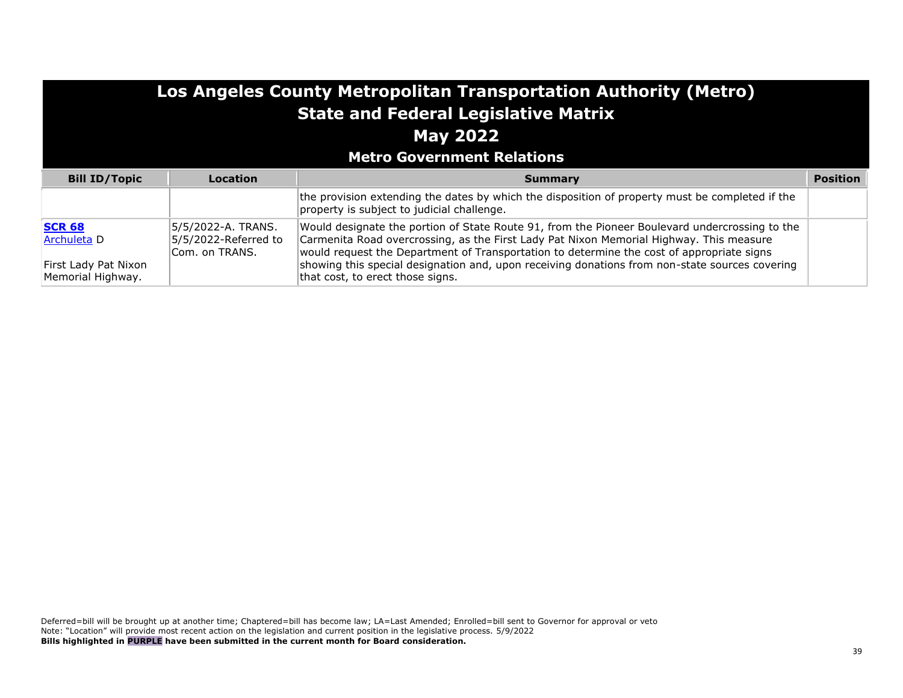| Los Angeles County Metropolitan Transportation Authority (Metro)<br><b>State and Federal Legislative Matrix</b><br><b>May 2022</b><br><b>Metro Government Relations</b> |                                                              |                                                                                                                                                                                                                                                                                                                                                                                                                              |                 |
|-------------------------------------------------------------------------------------------------------------------------------------------------------------------------|--------------------------------------------------------------|------------------------------------------------------------------------------------------------------------------------------------------------------------------------------------------------------------------------------------------------------------------------------------------------------------------------------------------------------------------------------------------------------------------------------|-----------------|
| <b>Bill ID/Topic</b>                                                                                                                                                    | Location                                                     | Summary                                                                                                                                                                                                                                                                                                                                                                                                                      | <b>Position</b> |
|                                                                                                                                                                         |                                                              | the provision extending the dates by which the disposition of property must be completed if the<br>property is subject to judicial challenge.                                                                                                                                                                                                                                                                                |                 |
| <b>SCR 68</b><br>Archuleta D<br>First Lady Pat Nixon<br>Memorial Highway.                                                                                               | 5/5/2022-A. TRANS.<br>5/5/2022-Referred to<br>Com. on TRANS. | Would designate the portion of State Route 91, from the Pioneer Boulevard undercrossing to the<br>Carmenita Road overcrossing, as the First Lady Pat Nixon Memorial Highway. This measure<br>would request the Department of Transportation to determine the cost of appropriate signs<br>showing this special designation and, upon receiving donations from non-state sources covering<br>that cost, to erect those signs. |                 |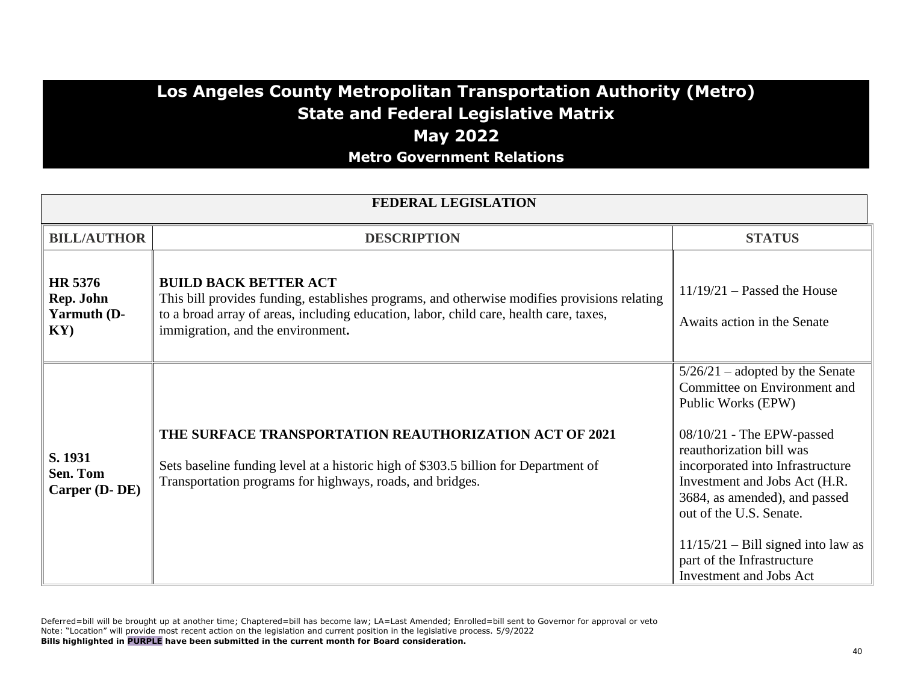### **Los Angeles County Metropolitan Transportation Authority (Metro) State and Federal Legislative Matrix May 2022 Metro Government Relations**

| <b>FEDERAL LEGISLATION</b>                            |                                                                                                                                                                                                                                                             |                                                                                                                                                                                                                                                                                                                                                                                             |  |
|-------------------------------------------------------|-------------------------------------------------------------------------------------------------------------------------------------------------------------------------------------------------------------------------------------------------------------|---------------------------------------------------------------------------------------------------------------------------------------------------------------------------------------------------------------------------------------------------------------------------------------------------------------------------------------------------------------------------------------------|--|
| <b>BILL/AUTHOR</b>                                    | <b>DESCRIPTION</b>                                                                                                                                                                                                                                          | <b>STATUS</b>                                                                                                                                                                                                                                                                                                                                                                               |  |
| HR 5376<br>Rep. John<br>Yarmuth (D-<br>$\mathbf{KY})$ | <b>BUILD BACK BETTER ACT</b><br>This bill provides funding, establishes programs, and otherwise modifies provisions relating<br>to a broad array of areas, including education, labor, child care, health care, taxes,<br>immigration, and the environment. | $11/19/21$ – Passed the House<br>Awaits action in the Senate                                                                                                                                                                                                                                                                                                                                |  |
| S. 1931<br>Sen. Tom<br>Carper (D-DE)                  | <b>THE SURFACE TRANSPORTATION REAUTHORIZATION ACT OF 2021</b><br>Sets baseline funding level at a historic high of \$303.5 billion for Department of<br>Transportation programs for highways, roads, and bridges.                                           | $5/26/21$ – adopted by the Senate<br>Committee on Environment and<br>Public Works (EPW)<br>$08/10/21$ - The EPW-passed<br>reauthorization bill was<br>incorporated into Infrastructure<br>Investment and Jobs Act (H.R.<br>3684, as amended), and passed<br>out of the U.S. Senate.<br>$11/15/21$ – Bill signed into law as<br>part of the Infrastructure<br><b>Investment and Jobs Act</b> |  |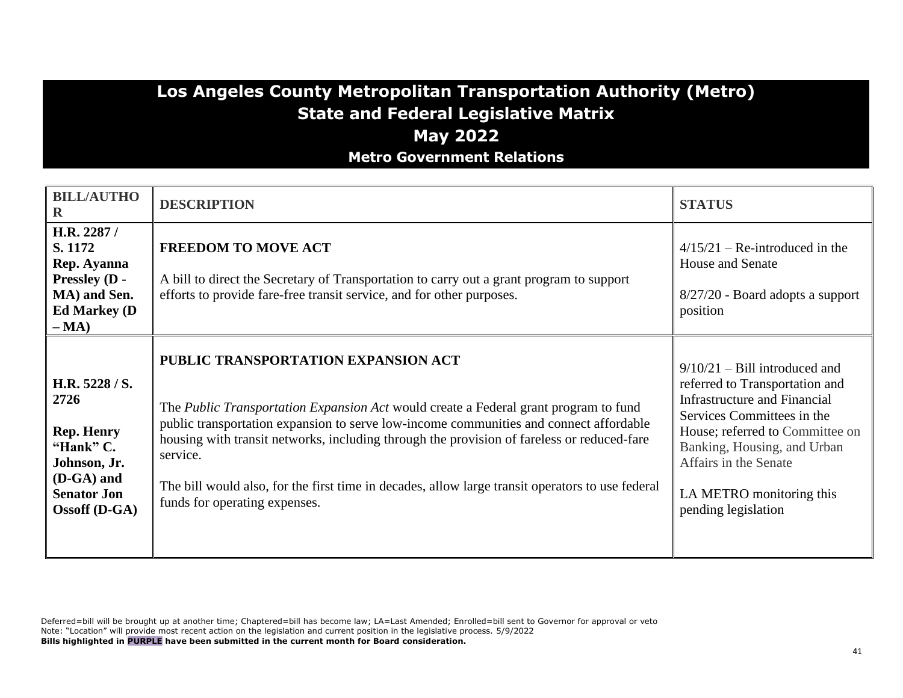### **Los Angeles County Metropolitan Transportation Authority (Metro) State and Federal Legislative Matrix May 2022 Metro Government Relations**

| <b>BILL/AUTHO</b><br>$\mathbf R$                                                                                                     | <b>DESCRIPTION</b>                                                                                                                                                                                                                                                                                                                                                                                                                                                   | <b>STATUS</b>                                                                                                                                                                                                                                                                        |
|--------------------------------------------------------------------------------------------------------------------------------------|----------------------------------------------------------------------------------------------------------------------------------------------------------------------------------------------------------------------------------------------------------------------------------------------------------------------------------------------------------------------------------------------------------------------------------------------------------------------|--------------------------------------------------------------------------------------------------------------------------------------------------------------------------------------------------------------------------------------------------------------------------------------|
| H.R. 2287 /<br>S. 1172<br>Rep. Ayanna<br>Pressley (D -<br>MA) and Sen.<br><b>Ed Markey (D)</b><br>$-MA)$                             | <b>FREEDOM TO MOVE ACT</b><br>A bill to direct the Secretary of Transportation to carry out a grant program to support<br>efforts to provide fare-free transit service, and for other purposes.                                                                                                                                                                                                                                                                      | $4/15/21$ – Re-introduced in the<br>House and Senate<br>8/27/20 - Board adopts a support<br>position                                                                                                                                                                                 |
| H.R. 5228 / S.<br>2726<br><b>Rep. Henry</b><br>"Hank" C.<br>Johnson, Jr.<br>(D-GA) and<br><b>Senator Jon</b><br><b>Ossoff</b> (D-GA) | PUBLIC TRANSPORTATION EXPANSION ACT<br>The Public Transportation Expansion Act would create a Federal grant program to fund<br>public transportation expansion to serve low-income communities and connect affordable<br>housing with transit networks, including through the provision of fareless or reduced-fare<br>service.<br>The bill would also, for the first time in decades, allow large transit operators to use federal<br>funds for operating expenses. | $9/10/21$ – Bill introduced and<br>referred to Transportation and<br><b>Infrastructure and Financial</b><br>Services Committees in the<br>House; referred to Committee on<br>Banking, Housing, and Urban<br>Affairs in the Senate<br>LA METRO monitoring this<br>pending legislation |